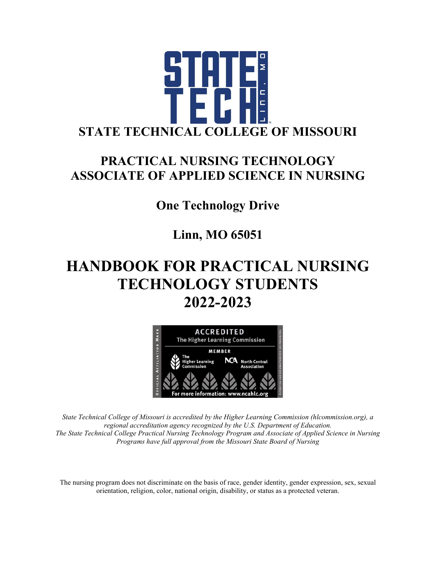

## **PRACTICAL NURSING TECHNOLOGY ASSOCIATE OF APPLIED SCIENCE IN NURSING**

**One Technology Drive**

**Linn, MO 65051**

## **HANDBOOK FOR PRACTICAL NURSING TECHNOLOGY STUDENTS 2022-2023**



*State Technical College of Missouri is accredited by the Higher Learning Commission (hlcommission.org), a regional accreditation agency recognized by the U.S. Department of Education. The State Technical College Practical Nursing Technology Program and Associate of Applied Science in Nursing Programs have full approval from the Missouri State Board of Nursing*

The nursing program does not discriminate on the basis of race, gender identity, gender expression, sex, sexual orientation, religion, color, national origin, disability, or status as a protected veteran.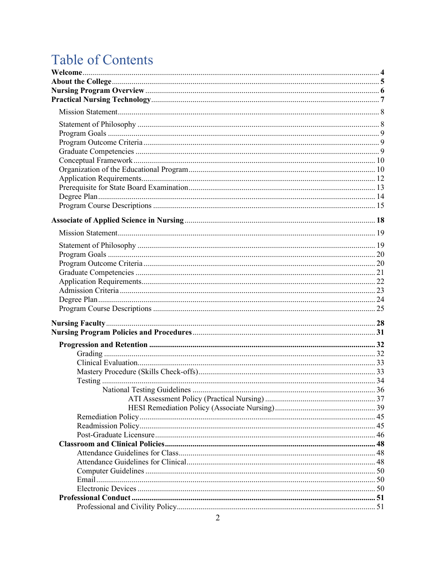## **Table of Contents**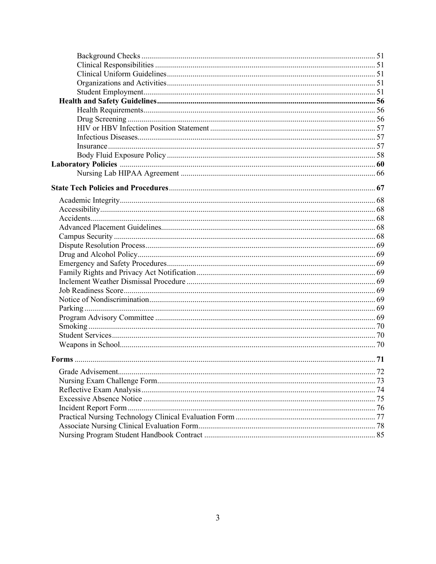| .72 |
|-----|
|     |
|     |
|     |
|     |
|     |
|     |
|     |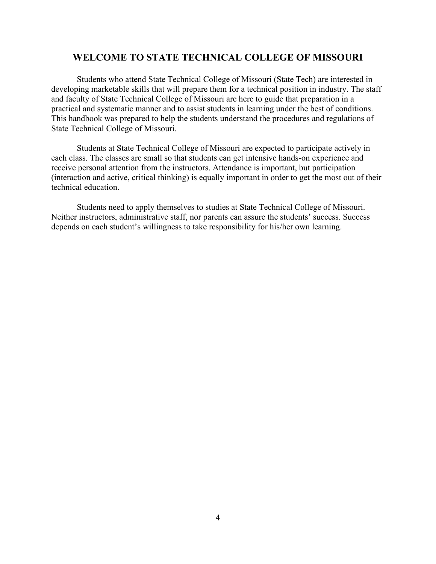#### **WELCOME TO STATE TECHNICAL COLLEGE OF MISSOURI**

Students who attend State Technical College of Missouri (State Tech) are interested in developing marketable skills that will prepare them for a technical position in industry. The staff and faculty of State Technical College of Missouri are here to guide that preparation in a practical and systematic manner and to assist students in learning under the best of conditions. This handbook was prepared to help the students understand the procedures and regulations of State Technical College of Missouri.

Students at State Technical College of Missouri are expected to participate actively in each class. The classes are small so that students can get intensive hands-on experience and receive personal attention from the instructors. Attendance is important, but participation (interaction and active, critical thinking) is equally important in order to get the most out of their technical education.

Students need to apply themselves to studies at State Technical College of Missouri. Neither instructors, administrative staff, nor parents can assure the students' success. Success depends on each student's willingness to take responsibility for his/her own learning.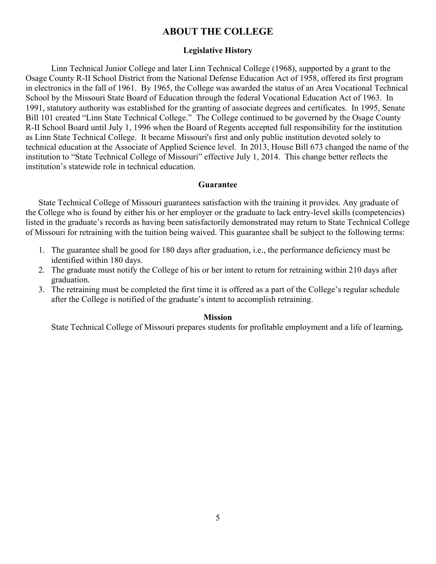#### **ABOUT THE COLLEGE**

#### **Legislative History**

Linn Technical Junior College and later Linn Technical College (1968), supported by a grant to the Osage County R-II School District from the National Defense Education Act of 1958, offered its first program in electronics in the fall of 1961. By 1965, the College was awarded the status of an Area Vocational Technical School by the Missouri State Board of Education through the federal Vocational Education Act of 1963. In 1991, statutory authority was established for the granting of associate degrees and certificates. In 1995, Senate Bill 101 created "Linn State Technical College."The College continued to be governed by the Osage County R-II School Board until July 1, 1996 when the Board of Regents accepted full responsibility for the institution as Linn State Technical College. It became Missouri's first and only public institution devoted solely to technical education at the Associate of Applied Science level. In 2013, House Bill 673 changed the name of the institution to "State Technical College of Missouri" effective July 1, 2014. This change better reflects the institution's statewide role in technical education.

#### **Guarantee**

State Technical College of Missouri guarantees satisfaction with the training it provides. Any graduate of the College who is found by either his or her employer or the graduate to lack entry-level skills (competencies) listed in the graduate's records as having been satisfactorily demonstrated may return to State Technical College of Missouri for retraining with the tuition being waived. This guarantee shall be subject to the following terms:

- 1. The guarantee shall be good for 180 days after graduation, i.e., the performance deficiency must be identified within 180 days.
- 2. The graduate must notify the College of his or her intent to return for retraining within 210 days after graduation.
- 3. The retraining must be completed the first time it is offered as a part of the College's regular schedule after the College is notified of the graduate's intent to accomplish retraining.

#### **Mission**

State Technical College of Missouri prepares students for profitable employment and a life of learning*.*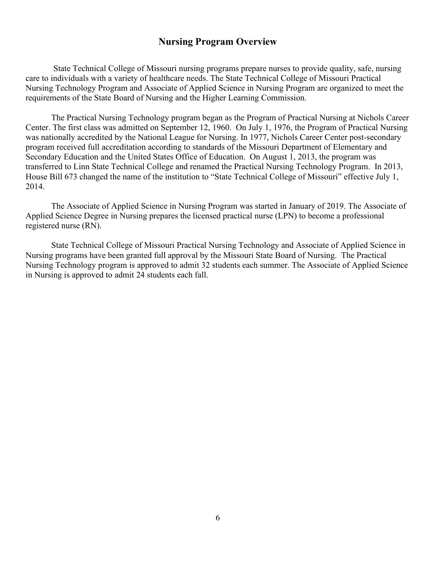#### **Nursing Program Overview**

State Technical College of Missouri nursing programs prepare nurses to provide quality, safe, nursing care to individuals with a variety of healthcare needs. The State Technical College of Missouri Practical Nursing Technology Program and Associate of Applied Science in Nursing Program are organized to meet the requirements of the State Board of Nursing and the Higher Learning Commission.

The Practical Nursing Technology program began as the Program of Practical Nursing at Nichols Career Center. The first class was admitted on September 12, 1960. On July 1, 1976, the Program of Practical Nursing was nationally accredited by the National League for Nursing. In 1977, Nichols Career Center post-secondary program received full accreditation according to standards of the Missouri Department of Elementary and Secondary Education and the United States Office of Education. On August 1, 2013, the program was transferred to Linn State Technical College and renamed the Practical Nursing Technology Program. In 2013, House Bill 673 changed the name of the institution to "State Technical College of Missouri" effective July 1, 2014.

The Associate of Applied Science in Nursing Program was started in January of 2019. The Associate of Applied Science Degree in Nursing prepares the licensed practical nurse (LPN) to become a professional registered nurse (RN).

State Technical College of Missouri Practical Nursing Technology and Associate of Applied Science in Nursing programs have been granted full approval by the Missouri State Board of Nursing. The Practical Nursing Technology program is approved to admit 32 students each summer. The Associate of Applied Science in Nursing is approved to admit 24 students each fall.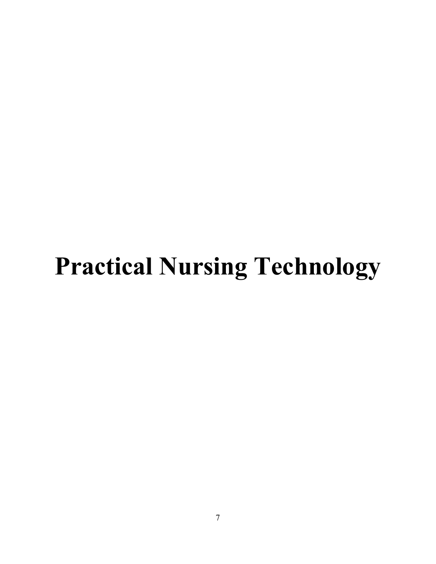# **Practical Nursing Technology**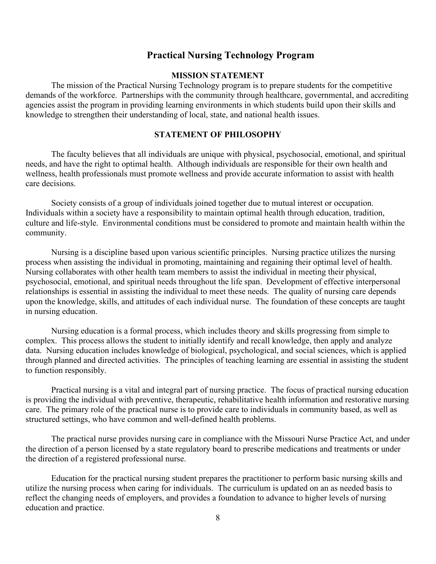#### **Practical Nursing Technology Program**

#### **MISSION STATEMENT**

The mission of the Practical Nursing Technology program is to prepare students for the competitive demands of the workforce. Partnerships with the community through healthcare, governmental, and accrediting agencies assist the program in providing learning environments in which students build upon their skills and knowledge to strengthen their understanding of local, state, and national health issues.

#### **STATEMENT OF PHILOSOPHY**

The faculty believes that all individuals are unique with physical, psychosocial, emotional, and spiritual needs, and have the right to optimal health. Although individuals are responsible for their own health and wellness, health professionals must promote wellness and provide accurate information to assist with health care decisions.

Society consists of a group of individuals joined together due to mutual interest or occupation. Individuals within a society have a responsibility to maintain optimal health through education, tradition, culture and life-style. Environmental conditions must be considered to promote and maintain health within the community.

Nursing is a discipline based upon various scientific principles. Nursing practice utilizes the nursing process when assisting the individual in promoting, maintaining and regaining their optimal level of health. Nursing collaborates with other health team members to assist the individual in meeting their physical, psychosocial, emotional, and spiritual needs throughout the life span. Development of effective interpersonal relationships is essential in assisting the individual to meet these needs. The quality of nursing care depends upon the knowledge, skills, and attitudes of each individual nurse. The foundation of these concepts are taught in nursing education.

Nursing education is a formal process, which includes theory and skills progressing from simple to complex. This process allows the student to initially identify and recall knowledge, then apply and analyze data. Nursing education includes knowledge of biological, psychological, and social sciences, which is applied through planned and directed activities. The principles of teaching learning are essential in assisting the student to function responsibly.

Practical nursing is a vital and integral part of nursing practice. The focus of practical nursing education is providing the individual with preventive, therapeutic, rehabilitative health information and restorative nursing care. The primary role of the practical nurse is to provide care to individuals in community based, as well as structured settings, who have common and well-defined health problems.

The practical nurse provides nursing care in compliance with the Missouri Nurse Practice Act, and under the direction of a person licensed by a state regulatory board to prescribe medications and treatments or under the direction of a registered professional nurse.

Education for the practical nursing student prepares the practitioner to perform basic nursing skills and utilize the nursing process when caring for individuals. The curriculum is updated on an as needed basis to reflect the changing needs of employers, and provides a foundation to advance to higher levels of nursing education and practice.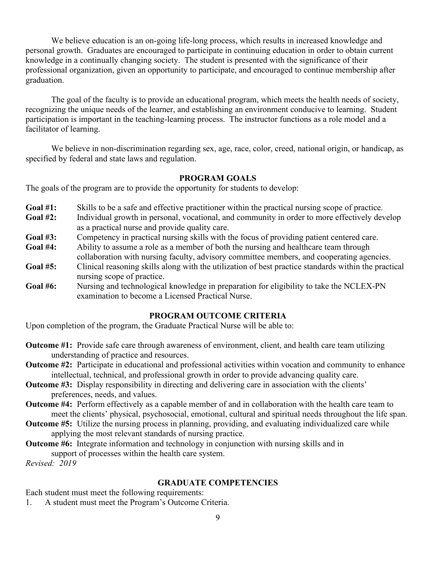We believe education is an on-going life-long process, which results in increased knowledge and personal growth. Graduates are encouraged to participate in continuing education in order to obtain current knowledge in a continually changing society. The student is presented with the significance of their professional organization, given an opportunity to participate, and encouraged to continue membership after graduation.

The goal of the faculty is to provide an educational program, which meets the health needs of society, recognizing the unique needs of the learner, and establishing an environment conducive to learning. Student participation is important in the teaching-learning process. The instructor functions as a role model and a facilitator of learning.

We believe in non-discrimination regarding sex, age, race, color, creed, national origin, or handicap, as specified by federal and state laws and regulation.

#### **PROGRAM GOALS**

The goals of the program are to provide the opportunity for students to develop:

- **Goal #1:** Skills to be a safe and effective practitioner within the practical nursing scope of practice.
- **Goal #2:** Individual growth in personal, vocational, and community in order to more effectively develop as a practical nurse and provide quality care.
- Goal #3: Competency in practical nursing skills with the focus of providing patient centered care.<br> **Goal #4:** Ability to assume a role as a member of both the nursing and healthcare team through
- Ability to assume a role as a member of both the nursing and healthcare team through collaboration with nursing faculty, advisory committee members, and cooperating agencies.
- **Goal #5:** Clinical reasoning skills along with the utilization of best practice standards within the practical nursing scope of practice.
- **Goal #6:** Nursing and technological knowledge in preparation for eligibility to take the NCLEX-PN examination to become a Licensed Practical Nurse.

#### **PROGRAM OUTCOME CRITERIA**

Upon completion of the program, the Graduate Practical Nurse will be able to:

- **Outcome #1:** Provide safe care through awareness of environment, client, and health care team utilizing understanding of practice and resources.
- **Outcome #2:** Participate in educational and professional activities within vocation and community to enhance intellectual, technical, and professional growth in order to provide advancing quality care.
- **Outcome #3:** Display responsibility in directing and delivering care in association with the clients' preferences, needs, and values.
- **Outcome #4:** Perform effectively as a capable member of and in collaboration with the health care team to meet the clients' physical, psychosocial, emotional, cultural and spiritual needs throughout the life span.
- **Outcome #5:** Utilize the nursing process in planning, providing, and evaluating individualized care while applying the most relevant standards of nursing practice.
- **Outcome #6:** Integrate information and technology in conjunction with nursing skills and in support of processes within the health care system.

*Revised: 2019*

#### **GRADUATE COMPETENCIES**

Each student must meet the following requirements:

1. A student must meet the Program's Outcome Criteria.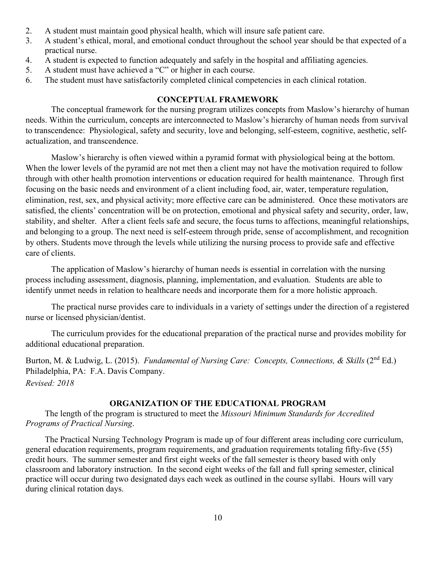- 2. A student must maintain good physical health, which will insure safe patient care.
- 3. A student's ethical, moral, and emotional conduct throughout the school year should be that expected of a practical nurse.
- 4. A student is expected to function adequately and safely in the hospital and affiliating agencies.
- 5. A student must have achieved a "C" or higher in each course.
- 6. The student must have satisfactorily completed clinical competencies in each clinical rotation.

#### **CONCEPTUAL FRAMEWORK**

The conceptual framework for the nursing program utilizes concepts from Maslow's hierarchy of human needs. Within the curriculum, concepts are interconnected to Maslow's hierarchy of human needs from survival to transcendence: Physiological, safety and security, love and belonging, self-esteem, cognitive, aesthetic, selfactualization, and transcendence.

Maslow's hierarchy is often viewed within a pyramid format with physiological being at the bottom. When the lower levels of the pyramid are not met then a client may not have the motivation required to follow through with other health promotion interventions or education required for health maintenance. Through first focusing on the basic needs and environment of a client including food, air, water, temperature regulation, elimination, rest, sex, and physical activity; more effective care can be administered. Once these motivators are satisfied, the clients' concentration will be on protection, emotional and physical safety and security, order, law, stability, and shelter. After a client feels safe and secure, the focus turns to affections, meaningful relationships, and belonging to a group. The next need is self-esteem through pride, sense of accomplishment, and recognition by others. Students move through the levels while utilizing the nursing process to provide safe and effective care of clients.

The application of Maslow's hierarchy of human needs is essential in correlation with the nursing process including assessment, diagnosis, planning, implementation, and evaluation. Students are able to identify unmet needs in relation to healthcare needs and incorporate them for a more holistic approach.

The practical nurse provides care to individuals in a variety of settings under the direction of a registered nurse or licensed physician/dentist.

The curriculum provides for the educational preparation of the practical nurse and provides mobility for additional educational preparation.

Burton, M. & Ludwig, L. (2015). *Fundamental of Nursing Care: Concepts, Connections, & Skills* (2<sup>nd</sup> Ed.) Philadelphia, PA: F.A. Davis Company. *Revised: 2018*

#### **ORGANIZATION OF THE EDUCATIONAL PROGRAM**

The length of the program is structured to meet the *Missouri Minimum Standards for Accredited Programs of Practical Nursing*.

The Practical Nursing Technology Program is made up of four different areas including core curriculum, general education requirements, program requirements, and graduation requirements totaling fifty-five (55) credit hours. The summer semester and first eight weeks of the fall semester is theory based with only classroom and laboratory instruction. In the second eight weeks of the fall and full spring semester, clinical practice will occur during two designated days each week as outlined in the course syllabi. Hours will vary during clinical rotation days.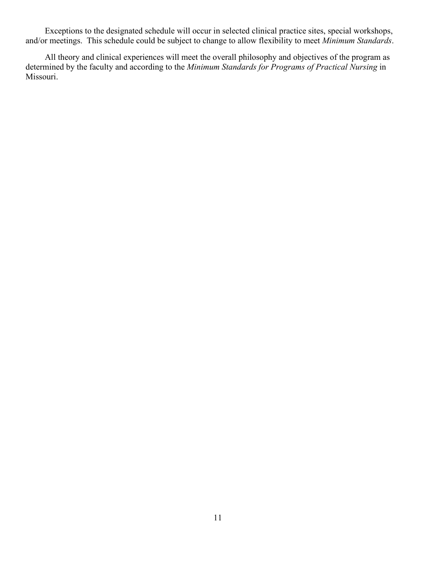Exceptions to the designated schedule will occur in selected clinical practice sites, special workshops, and/or meetings. This schedule could be subject to change to allow flexibility to meet *Minimum Standards*.

All theory and clinical experiences will meet the overall philosophy and objectives of the program as determined by the faculty and according to the *Minimum Standards for Programs of Practical Nursing* in Missouri.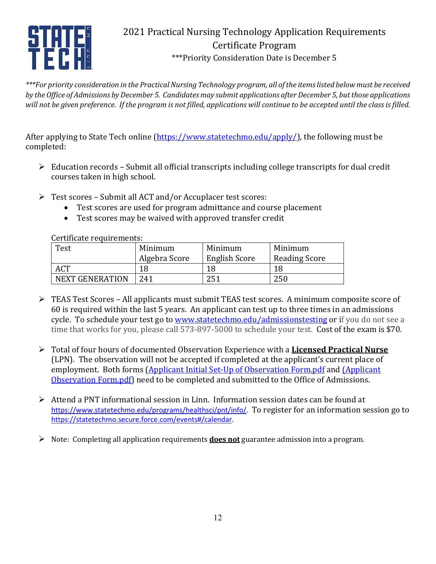

## 2021 Practical Nursing Technology Application Requirements Certificate Program \*\*\*Priority Consideration Date is December 5

*\*\*\*For priority consideration in the Practical Nursing Technology program, all of the items listed below must be received by the Office of Admissions by December 5. Candidates may submit applications after December 5, but those applications will not be given preference. If the program is not filled, applications will continue to be accepted until the class is filled.*

After applying to State Tech online [\(https://www.statetechmo.edu/apply/\)](https://www.statetechmo.edu/apply/), the following must be completed:

- $\triangleright$  Education records Submit all official transcripts including college transcripts for dual credit courses taken in high school.
- Test scores Submit all ACT and/or Accuplacer test scores:
	- Test scores are used for program admittance and course placement
	- Test scores may be waived with approved transfer credit

Certificate requirements:

| Minimum       | Minimum              | Minimum              |
|---------------|----------------------|----------------------|
| Algebra Score | <b>English Score</b> | <b>Reading Score</b> |
| 18            | 18                   | 18                   |
| 241           | 251                  | 250                  |
|               |                      |                      |

- TEAS Test Scores All applicants must submit TEAS test scores. A minimum composite score of 60 is required within the last 5 years. An applicant can test up to three times in an admissions cycle. To schedule your test go to [www.statetechmo.edu/admissionstesting](http://www.statetechmo.edu/admissionstesting) or if you do not see a time that works for you, please call 573-897-5000 to schedule your test. Cost of the exam is \$70.
- Total of four hours of documented Observation Experience with a **Licensed Practical Nurse** (LPN). The observation will not be accepted if completed at the applicant's current place of employment. Both forms (Applicant Initial Set-Up of Observation Form.pdf and (Applicant Observation Form.pdf) need to be completed and submitted to the Office of Admissions.
- Attend a PNT informational session in Linn. Information session dates can be found at [https://www.statetechmo.edu/programs/healthsci/pnt/info/.](https://www.statetechmo.edu/programs/healthsci/pnt/info/) To register for an information session go to [https://statetechmo.secure.force.com/events#/calendar.](https://statetechmo.secure.force.com/events#/calendar)
- Note: Completing all application requirements **does not** guarantee admission into a program.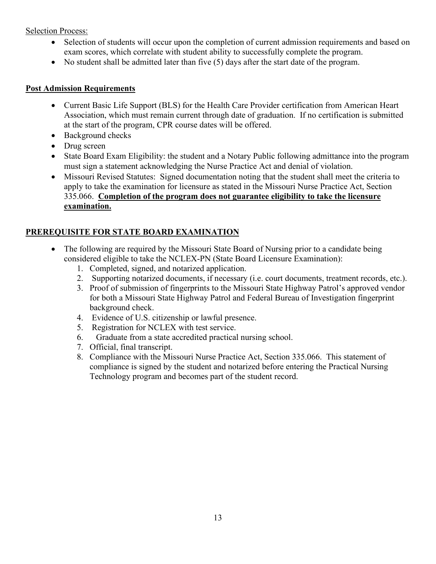#### Selection Process:

- Selection of students will occur upon the completion of current admission requirements and based on exam scores, which correlate with student ability to successfully complete the program.
- No student shall be admitted later than five (5) days after the start date of the program.

#### **Post Admission Requirements**

- Current Basic Life Support (BLS) for the Health Care Provider certification from American Heart Association, which must remain current through date of graduation. If no certification is submitted at the start of the program, CPR course dates will be offered.
- Background checks
- Drug screen
- State Board Exam Eligibility: the student and a Notary Public following admittance into the program must sign a statement acknowledging the Nurse Practice Act and denial of violation.
- Missouri Revised Statutes: Signed documentation noting that the student shall meet the criteria to apply to take the examination for licensure as stated in the Missouri Nurse Practice Act, Section 335.066. **Completion of the program does not guarantee eligibility to take the licensure examination.**

#### **PREREQUISITE FOR STATE BOARD EXAMINATION**

- The following are required by the Missouri State Board of Nursing prior to a candidate being considered eligible to take the NCLEX-PN (State Board Licensure Examination):
	- 1. Completed, signed, and notarized application.
	- 2. Supporting notarized documents, if necessary (i.e. court documents, treatment records, etc.).
	- 3. Proof of submission of fingerprints to the Missouri State Highway Patrol's approved vendor for both a Missouri State Highway Patrol and Federal Bureau of Investigation fingerprint background check.
	- 4. Evidence of U.S. citizenship or lawful presence.
	- 5. Registration for NCLEX with test service.
	- 6. Graduate from a state accredited practical nursing school.
	- 7. Official, final transcript.
	- 8. Compliance with the Missouri Nurse Practice Act, Section 335.066. This statement of compliance is signed by the student and notarized before entering the Practical Nursing Technology program and becomes part of the student record.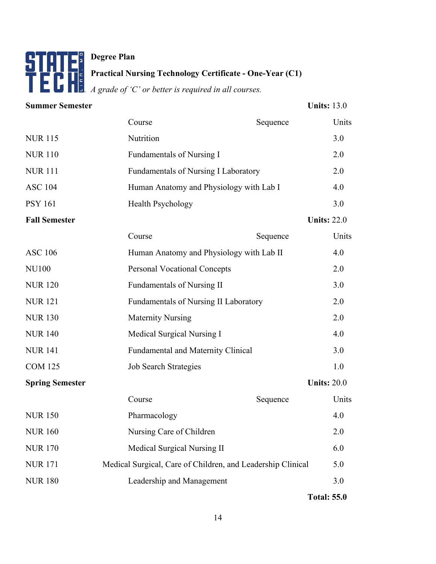## **Degree Plan Practical Nursing Technology Certificate - One-Year (C1)** *A grade of 'C' or better is required in all courses.*

| <b>Summer Semester</b> |                                                             |          | <b>Units: 13.0</b> |
|------------------------|-------------------------------------------------------------|----------|--------------------|
|                        | Course                                                      | Sequence | Units              |
| <b>NUR 115</b>         | Nutrition                                                   |          | 3.0                |
| <b>NUR 110</b>         | Fundamentals of Nursing I                                   |          | 2.0                |
| <b>NUR 111</b>         | Fundamentals of Nursing I Laboratory                        |          | 2.0                |
| <b>ASC 104</b>         | Human Anatomy and Physiology with Lab I                     |          | 4.0                |
| <b>PSY 161</b>         | <b>Health Psychology</b>                                    |          | 3.0                |
| <b>Fall Semester</b>   |                                                             |          | <b>Units: 22.0</b> |
|                        | Course                                                      | Sequence | Units              |
| <b>ASC 106</b>         | Human Anatomy and Physiology with Lab II                    |          | 4.0                |
| <b>NU100</b>           | <b>Personal Vocational Concepts</b>                         |          | 2.0                |
| <b>NUR 120</b>         | <b>Fundamentals of Nursing II</b>                           |          | 3.0                |
| <b>NUR121</b>          | Fundamentals of Nursing II Laboratory                       |          | 2.0                |
| <b>NUR 130</b>         | <b>Maternity Nursing</b>                                    |          | 2.0                |
| <b>NUR 140</b>         | Medical Surgical Nursing I                                  |          | 4.0                |
| <b>NUR 141</b>         | <b>Fundamental and Maternity Clinical</b>                   |          | 3.0                |
| <b>COM 125</b>         | <b>Job Search Strategies</b>                                |          | 1.0                |
| <b>Spring Semester</b> |                                                             |          | <b>Units: 20.0</b> |
|                        | Course                                                      | Sequence | Units              |
| <b>NUR 150</b>         | Pharmacology                                                |          | 4.0                |
| <b>NUR 160</b>         | Nursing Care of Children                                    |          | 2.0                |
| <b>NUR 170</b>         | Medical Surgical Nursing II                                 |          | 6.0                |
| <b>NUR171</b>          | Medical Surgical, Care of Children, and Leadership Clinical |          | 5.0                |
| <b>NUR 180</b>         | Leadership and Management                                   |          | 3.0                |
|                        |                                                             |          |                    |

**Total: 55.0**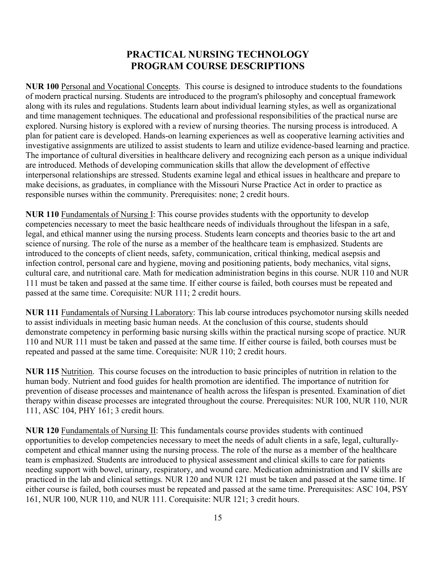### **PRACTICAL NURSING TECHNOLOGY PROGRAM COURSE DESCRIPTIONS**

**NUR 100** Personal and Vocational Concepts. This course is designed to introduce students to the foundations of modern practical nursing. Students are introduced to the program's philosophy and conceptual framework along with its rules and regulations. Students learn about individual learning styles, as well as organizational and time management techniques. The educational and professional responsibilities of the practical nurse are explored. Nursing history is explored with a review of nursing theories. The nursing process is introduced. A plan for patient care is developed. Hands-on learning experiences as well as cooperative learning activities and investigative assignments are utilized to assist students to learn and utilize evidence-based learning and practice. The importance of cultural diversities in healthcare delivery and recognizing each person as a unique individual are introduced. Methods of developing communication skills that allow the development of effective interpersonal relationships are stressed. Students examine legal and ethical issues in healthcare and prepare to make decisions, as graduates, in compliance with the Missouri Nurse Practice Act in order to practice as responsible nurses within the community. Prerequisites: none; 2 credit hours.

**NUR 110** Fundamentals of Nursing I: This course provides students with the opportunity to develop competencies necessary to meet the basic healthcare needs of individuals throughout the lifespan in a safe, legal, and ethical manner using the nursing process. Students learn concepts and theories basic to the art and science of nursing. The role of the nurse as a member of the healthcare team is emphasized. Students are introduced to the concepts of client needs, safety, communication, critical thinking, medical asepsis and infection control, personal care and hygiene, moving and positioning patients, body mechanics, vital signs, cultural care, and nutritional care. Math for medication administration begins in this course. NUR 110 and NUR 111 must be taken and passed at the same time. If either course is failed, both courses must be repeated and passed at the same time. Corequisite: NUR 111; 2 credit hours.

**NUR 111** Fundamentals of Nursing I Laboratory: This lab course introduces psychomotor nursing skills needed to assist individuals in meeting basic human needs. At the conclusion of this course, students should demonstrate competency in performing basic nursing skills within the practical nursing scope of practice. NUR 110 and NUR 111 must be taken and passed at the same time. If either course is failed, both courses must be repeated and passed at the same time. Corequisite: NUR 110; 2 credit hours.

**NUR 115** Nutrition. This course focuses on the introduction to basic principles of nutrition in relation to the human body. Nutrient and food guides for health promotion are identified. The importance of nutrition for prevention of disease processes and maintenance of health across the lifespan is presented. Examination of diet therapy within disease processes are integrated throughout the course. Prerequisites: NUR 100, NUR 110, NUR 111, ASC 104, PHY 161; 3 credit hours.

**NUR 120** Fundamentals of Nursing II: This fundamentals course provides students with continued opportunities to develop competencies necessary to meet the needs of adult clients in a safe, legal, culturallycompetent and ethical manner using the nursing process. The role of the nurse as a member of the healthcare team is emphasized. Students are introduced to physical assessment and clinical skills to care for patients needing support with bowel, urinary, respiratory, and wound care. Medication administration and IV skills are practiced in the lab and clinical settings. NUR 120 and NUR 121 must be taken and passed at the same time. If either course is failed, both courses must be repeated and passed at the same time. Prerequisites: ASC 104, PSY 161, NUR 100, NUR 110, and NUR 111. Corequisite: NUR 121; 3 credit hours.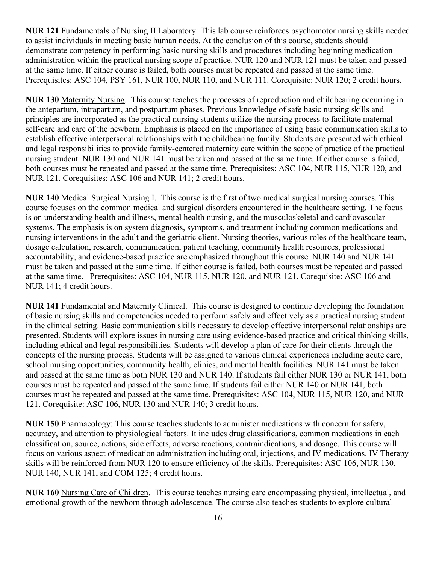**NUR 121** Fundamentals of Nursing II Laboratory: This lab course reinforces psychomotor nursing skills needed to assist individuals in meeting basic human needs. At the conclusion of this course, students should demonstrate competency in performing basic nursing skills and procedures including beginning medication administration within the practical nursing scope of practice. NUR 120 and NUR 121 must be taken and passed at the same time. If either course is failed, both courses must be repeated and passed at the same time. Prerequisites: ASC 104, PSY 161, NUR 100, NUR 110, and NUR 111. Corequisite: NUR 120; 2 credit hours.

**NUR 130** Maternity Nursing. This course teaches the processes of reproduction and childbearing occurring in the antepartum, intrapartum, and postpartum phases. Previous knowledge of safe basic nursing skills and principles are incorporated as the practical nursing students utilize the nursing process to facilitate maternal self-care and care of the newborn. Emphasis is placed on the importance of using basic communication skills to establish effective interpersonal relationships with the childbearing family. Students are presented with ethical and legal responsibilities to provide family-centered maternity care within the scope of practice of the practical nursing student. NUR 130 and NUR 141 must be taken and passed at the same time. If either course is failed, both courses must be repeated and passed at the same time. Prerequisites: ASC 104, NUR 115, NUR 120, and NUR 121. Corequisites: ASC 106 and NUR 141; 2 credit hours.

**NUR 140** Medical Surgical Nursing I. This course is the first of two medical surgical nursing courses. This course focuses on the common medical and surgical disorders encountered in the healthcare setting. The focus is on understanding health and illness, mental health nursing, and the musculoskeletal and cardiovascular systems. The emphasis is on system diagnosis, symptoms, and treatment including common medications and nursing interventions in the adult and the geriatric client. Nursing theories, various roles of the healthcare team, dosage calculation, research, communication, patient teaching, community health resources, professional accountability, and evidence-based practice are emphasized throughout this course. NUR 140 and NUR 141 must be taken and passed at the same time. If either course is failed, both courses must be repeated and passed at the same time. Prerequisites: ASC 104, NUR 115, NUR 120, and NUR 121. Corequisite: ASC 106 and NUR 141; 4 credit hours.

**NUR 141** Fundamental and Maternity Clinical. This course is designed to continue developing the foundation of basic nursing skills and competencies needed to perform safely and effectively as a practical nursing student in the clinical setting. Basic communication skills necessary to develop effective interpersonal relationships are presented. Students will explore issues in nursing care using evidence-based practice and critical thinking skills, including ethical and legal responsibilities. Students will develop a plan of care for their clients through the concepts of the nursing process. Students will be assigned to various clinical experiences including acute care, school nursing opportunities, community health, clinics, and mental health facilities. NUR 141 must be taken and passed at the same time as both NUR 130 and NUR 140. If students fail either NUR 130 or NUR 141, both courses must be repeated and passed at the same time. If students fail either NUR 140 or NUR 141, both courses must be repeated and passed at the same time. Prerequisites: ASC 104, NUR 115, NUR 120, and NUR 121. Corequisite: ASC 106, NUR 130 and NUR 140; 3 credit hours.

**NUR 150** Pharmacology: This course teaches students to administer medications with concern for safety, accuracy, and attention to physiological factors. It includes drug classifications, common medications in each classification, source, actions, side effects, adverse reactions, contraindications, and dosage. This course will focus on various aspect of medication administration including oral, injections, and IV medications. IV Therapy skills will be reinforced from NUR 120 to ensure efficiency of the skills. Prerequisites: ASC 106, NUR 130, NUR 140, NUR 141, and COM 125; 4 credit hours.

**NUR 160** Nursing Care of Children. This course teaches nursing care encompassing physical, intellectual, and emotional growth of the newborn through adolescence. The course also teaches students to explore cultural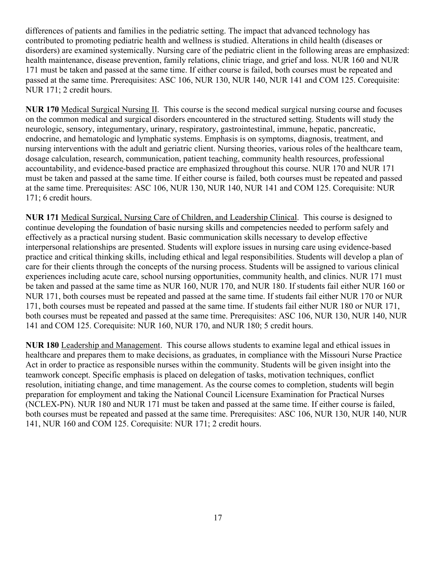differences of patients and families in the pediatric setting. The impact that advanced technology has contributed to promoting pediatric health and wellness is studied. Alterations in child health (diseases or disorders) are examined systemically. Nursing care of the pediatric client in the following areas are emphasized: health maintenance, disease prevention, family relations, clinic triage, and grief and loss. NUR 160 and NUR 171 must be taken and passed at the same time. If either course is failed, both courses must be repeated and passed at the same time. Prerequisites: ASC 106, NUR 130, NUR 140, NUR 141 and COM 125. Corequisite: NUR 171; 2 credit hours.

**NUR 170** Medical Surgical Nursing II. This course is the second medical surgical nursing course and focuses on the common medical and surgical disorders encountered in the structured setting. Students will study the neurologic, sensory, integumentary, urinary, respiratory, gastrointestinal, immune, hepatic, pancreatic, endocrine, and hematologic and lymphatic systems. Emphasis is on symptoms, diagnosis, treatment, and nursing interventions with the adult and geriatric client. Nursing theories, various roles of the healthcare team, dosage calculation, research, communication, patient teaching, community health resources, professional accountability, and evidence-based practice are emphasized throughout this course. NUR 170 and NUR 171 must be taken and passed at the same time. If either course is failed, both courses must be repeated and passed at the same time. Prerequisites: ASC 106, NUR 130, NUR 140, NUR 141 and COM 125. Corequisite: NUR 171; 6 credit hours.

**NUR 171** Medical Surgical, Nursing Care of Children, and Leadership Clinical. This course is designed to continue developing the foundation of basic nursing skills and competencies needed to perform safely and effectively as a practical nursing student. Basic communication skills necessary to develop effective interpersonal relationships are presented. Students will explore issues in nursing care using evidence-based practice and critical thinking skills, including ethical and legal responsibilities. Students will develop a plan of care for their clients through the concepts of the nursing process. Students will be assigned to various clinical experiences including acute care, school nursing opportunities, community health, and clinics. NUR 171 must be taken and passed at the same time as NUR 160, NUR 170, and NUR 180. If students fail either NUR 160 or NUR 171, both courses must be repeated and passed at the same time. If students fail either NUR 170 or NUR 171, both courses must be repeated and passed at the same time. If students fail either NUR 180 or NUR 171, both courses must be repeated and passed at the same time. Prerequisites: ASC 106, NUR 130, NUR 140, NUR 141 and COM 125. Corequisite: NUR 160, NUR 170, and NUR 180; 5 credit hours.

**NUR 180** Leadership and Management. This course allows students to examine legal and ethical issues in healthcare and prepares them to make decisions, as graduates, in compliance with the Missouri Nurse Practice Act in order to practice as responsible nurses within the community. Students will be given insight into the teamwork concept. Specific emphasis is placed on delegation of tasks, motivation techniques, conflict resolution, initiating change, and time management. As the course comes to completion, students will begin preparation for employment and taking the National Council Licensure Examination for Practical Nurses (NCLEX-PN). NUR 180 and NUR 171 must be taken and passed at the same time. If either course is failed, both courses must be repeated and passed at the same time. Prerequisites: ASC 106, NUR 130, NUR 140, NUR 141, NUR 160 and COM 125. Corequisite: NUR 171; 2 credit hours.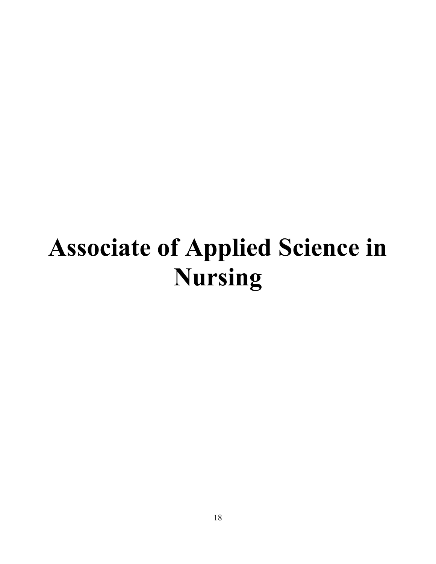# **Associate of Applied Science in Nursing**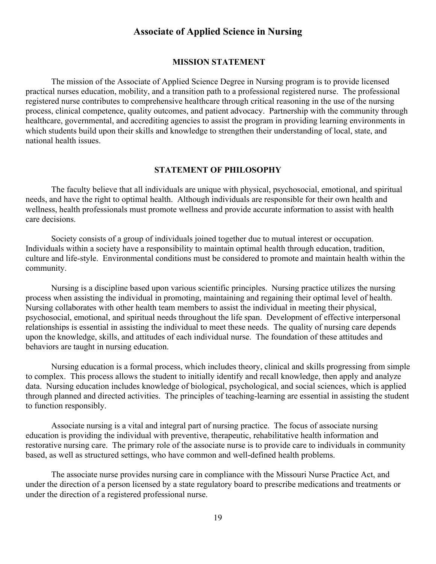#### **Associate of Applied Science in Nursing**

#### **MISSION STATEMENT**

The mission of the Associate of Applied Science Degree in Nursing program is to provide licensed practical nurses education, mobility, and a transition path to a professional registered nurse. The professional registered nurse contributes to comprehensive healthcare through critical reasoning in the use of the nursing process, clinical competence, quality outcomes, and patient advocacy. Partnership with the community through healthcare, governmental, and accrediting agencies to assist the program in providing learning environments in which students build upon their skills and knowledge to strengthen their understanding of local, state, and national health issues.

#### **STATEMENT OF PHILOSOPHY**

The faculty believe that all individuals are unique with physical, psychosocial, emotional, and spiritual needs, and have the right to optimal health. Although individuals are responsible for their own health and wellness, health professionals must promote wellness and provide accurate information to assist with health care decisions.

Society consists of a group of individuals joined together due to mutual interest or occupation. Individuals within a society have a responsibility to maintain optimal health through education, tradition, culture and life-style. Environmental conditions must be considered to promote and maintain health within the community.

Nursing is a discipline based upon various scientific principles. Nursing practice utilizes the nursing process when assisting the individual in promoting, maintaining and regaining their optimal level of health. Nursing collaborates with other health team members to assist the individual in meeting their physical, psychosocial, emotional, and spiritual needs throughout the life span. Development of effective interpersonal relationships is essential in assisting the individual to meet these needs. The quality of nursing care depends upon the knowledge, skills, and attitudes of each individual nurse. The foundation of these attitudes and behaviors are taught in nursing education.

Nursing education is a formal process, which includes theory, clinical and skills progressing from simple to complex. This process allows the student to initially identify and recall knowledge, then apply and analyze data. Nursing education includes knowledge of biological, psychological, and social sciences, which is applied through planned and directed activities. The principles of teaching-learning are essential in assisting the student to function responsibly.

Associate nursing is a vital and integral part of nursing practice. The focus of associate nursing education is providing the individual with preventive, therapeutic, rehabilitative health information and restorative nursing care. The primary role of the associate nurse is to provide care to individuals in community based, as well as structured settings, who have common and well-defined health problems.

The associate nurse provides nursing care in compliance with the Missouri Nurse Practice Act, and under the direction of a person licensed by a state regulatory board to prescribe medications and treatments or under the direction of a registered professional nurse.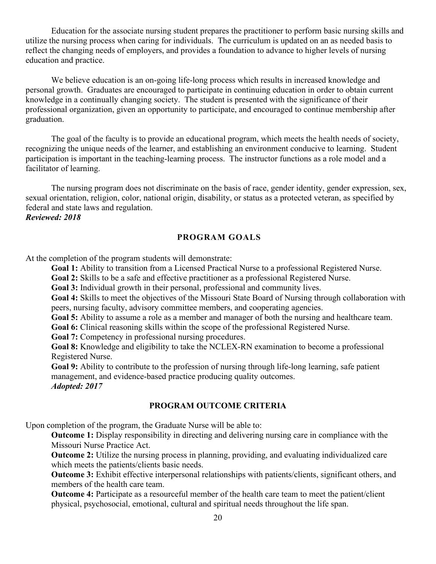Education for the associate nursing student prepares the practitioner to perform basic nursing skills and utilize the nursing process when caring for individuals. The curriculum is updated on an as needed basis to reflect the changing needs of employers, and provides a foundation to advance to higher levels of nursing education and practice.

We believe education is an on-going life-long process which results in increased knowledge and personal growth. Graduates are encouraged to participate in continuing education in order to obtain current knowledge in a continually changing society. The student is presented with the significance of their professional organization, given an opportunity to participate, and encouraged to continue membership after graduation.

The goal of the faculty is to provide an educational program, which meets the health needs of society, recognizing the unique needs of the learner, and establishing an environment conducive to learning. Student participation is important in the teaching-learning process. The instructor functions as a role model and a facilitator of learning.

The nursing program does not discriminate on the basis of race, gender identity, gender expression, sex, sexual orientation, religion, color, national origin, disability, or status as a protected veteran, as specified by federal and state laws and regulation.

*Reviewed: 2018*

#### **PROGRAM GOALS**

At the completion of the program students will demonstrate:

**Goal 1:** Ability to transition from a Licensed Practical Nurse to a professional Registered Nurse.

**Goal 2:** Skills to be a safe and effective practitioner as a professional Registered Nurse.

**Goal 3:** Individual growth in their personal, professional and community lives.

**Goal 4:** Skills to meet the objectives of the Missouri State Board of Nursing through collaboration with peers, nursing faculty, advisory committee members, and cooperating agencies.

**Goal 5:** Ability to assume a role as a member and manager of both the nursing and healthcare team.

**Goal 6:** Clinical reasoning skills within the scope of the professional Registered Nurse.

**Goal 7:** Competency in professional nursing procedures.

**Goal 8:** Knowledge and eligibility to take the NCLEX-RN examination to become a professional Registered Nurse.

**Goal 9:** Ability to contribute to the profession of nursing through life-long learning, safe patient management, and evidence-based practice producing quality outcomes. *Adopted: 2017*

#### **PROGRAM OUTCOME CRITERIA**

Upon completion of the program, the Graduate Nurse will be able to:

**Outcome 1:** Display responsibility in directing and delivering nursing care in compliance with the Missouri Nurse Practice Act.

**Outcome 2:** Utilize the nursing process in planning, providing, and evaluating individualized care which meets the patients/clients basic needs.

**Outcome 3:** Exhibit effective interpersonal relationships with patients/clients, significant others, and members of the health care team.

**Outcome 4:** Participate as a resourceful member of the health care team to meet the patient/client physical, psychosocial, emotional, cultural and spiritual needs throughout the life span.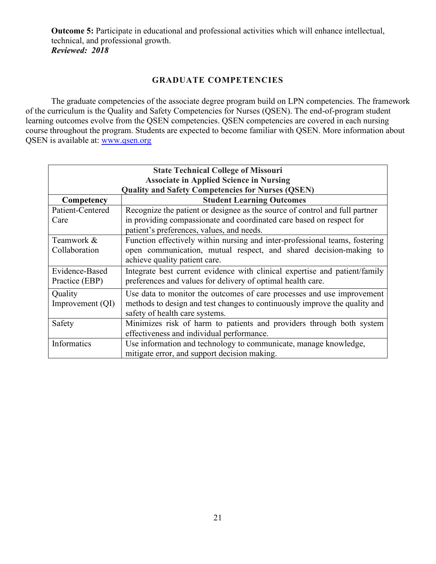**Outcome 5:** Participate in educational and professional activities which will enhance intellectual, technical, and professional growth. *Reviewed: 2018*

#### **GRADUATE COMPETENCIES**

The graduate competencies of the associate degree program build on LPN competencies. The framework of the curriculum is the Quality and Safety Competencies for Nurses (QSEN). The end-of-program student learning outcomes evolve from the QSEN competencies. QSEN competencies are covered in each nursing course throughout the program. Students are expected to become familiar with QSEN. More information about QSEN is available at: [www.qsen.org](http://www.qsen.org/) 

| <b>State Technical College of Missouri</b><br><b>Associate in Applied Science in Nursing</b> |                                                                             |  |
|----------------------------------------------------------------------------------------------|-----------------------------------------------------------------------------|--|
| <b>Quality and Safety Competencies for Nurses (QSEN)</b>                                     |                                                                             |  |
| Competency                                                                                   | <b>Student Learning Outcomes</b>                                            |  |
| Patient-Centered                                                                             | Recognize the patient or designee as the source of control and full partner |  |
| Care                                                                                         | in providing compassionate and coordinated care based on respect for        |  |
|                                                                                              | patient's preferences, values, and needs.                                   |  |
| Teamwork &                                                                                   | Function effectively within nursing and inter-professional teams, fostering |  |
| Collaboration                                                                                | open communication, mutual respect, and shared decision-making to           |  |
|                                                                                              | achieve quality patient care.                                               |  |
| Evidence-Based                                                                               | Integrate best current evidence with clinical expertise and patient/family  |  |
| Practice (EBP)                                                                               | preferences and values for delivery of optimal health care.                 |  |
| Quality                                                                                      | Use data to monitor the outcomes of care processes and use improvement      |  |
| Improvement $(QI)$                                                                           | methods to design and test changes to continuously improve the quality and  |  |
|                                                                                              | safety of health care systems.                                              |  |
| Safety                                                                                       | Minimizes risk of harm to patients and providers through both system        |  |
|                                                                                              | effectiveness and individual performance.                                   |  |
| Informatics                                                                                  | Use information and technology to communicate, manage knowledge,            |  |
|                                                                                              | mitigate error, and support decision making.                                |  |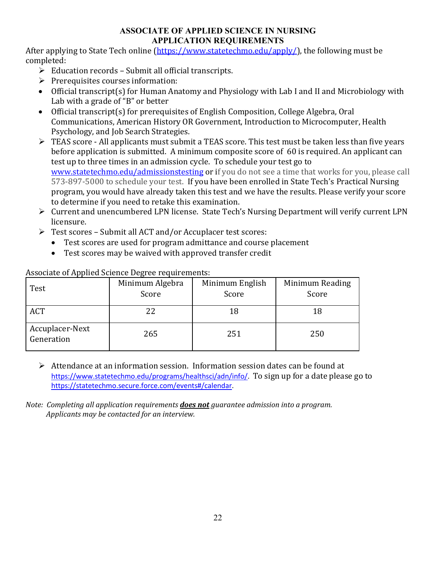#### **ASSOCIATE OF APPLIED SCIENCE IN NURSING APPLICATION REQUIREMENTS**

After applying to State Tech online [\(https://www.statetechmo.edu/apply/\)](https://www.statetechmo.edu/apply/), the following must be completed:

- $\triangleright$  Education records Submit all official transcripts.
- $\triangleright$  Prerequisites courses information:
- Official transcript(s) for Human Anatomy and Physiology with Lab I and II and Microbiology with Lab with a grade of "B" or better
- Official transcript(s) for prerequisites of English Composition, College Algebra, Oral Communications, American History OR Government, Introduction to Microcomputer, Health Psychology, and Job Search Strategies.
- FEAS score All applicants must submit a TEAS score. This test must be taken less than five years before application is submitted. A minimum composite score of 60 is required. An applicant can test up to three times in an admission cycle. To schedule your test go to [www.statetechmo.edu/admissionstesting](http://www.statetechmo.edu/admissionstesting) or if you do not see a time that works for you, please call 573-897-5000 to schedule your test. If you have been enrolled in State Tech's Practical Nursing program, you would have already taken this test and we have the results. Please verify your score to determine if you need to retake this examination.
- Current and unencumbered LPN license. State Tech's Nursing Department will verify current LPN licensure.
- $\triangleright$  Test scores Submit all ACT and/or Accuplacer test scores:
	- Test scores are used for program admittance and course placement
	- Test scores may be waived with approved transfer credit

| Test                          | $\cdot$<br>Minimum Algebra<br>Score | Minimum English<br>Score | Minimum Reading<br>Score |
|-------------------------------|-------------------------------------|--------------------------|--------------------------|
| <b>ACT</b>                    | 22                                  | 18                       |                          |
| Accuplacer-Next<br>Generation | 265                                 | 251                      | 250                      |

Associate of Applied Science Degree requirements:

 $\triangleright$  Attendance at an information session. Information session dates can be found at [https://www.statetechmo.edu/programs/healthsci/adn/info/.](https://www.statetechmo.edu/programs/healthsci/adn/info/) To sign up for a date please go to [https://statetechmo.secure.force.com/events#/calendar.](https://statetechmo.secure.force.com/events#/calendar)

*Note: Completing all application requirements does not guarantee admission into a program. Applicants may be contacted for an interview.*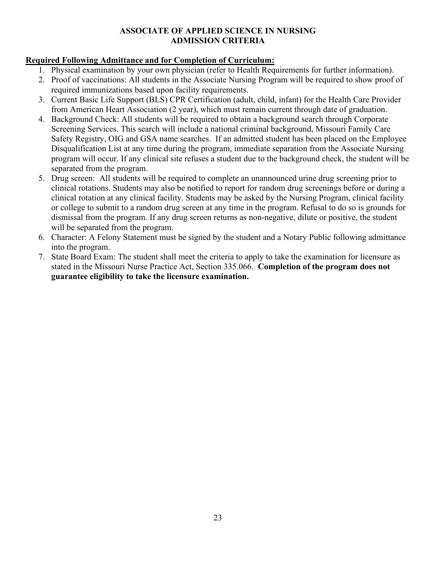#### **ASSOCIATE OF APPLIED SCIENCE IN NURSING ADMISSION CRITERIA**

#### **Required Following Admittance and for Completion of Curriculum:**

- 1. Physical examination by your own physician (refer to Health Requirements for further information).
- 2. Proof of vaccinations: All students in the Associate Nursing Program will be required to show proof of required immunizations based upon facility requirements.
- 3. Current Basic Life Support (BLS) CPR Certification (adult, child, infant) for the Health Care Provider from American Heart Association (2 year), which must remain current through date of graduation.
- 4. Background Check: All students will be required to obtain a background search through Corporate Screening Services. This search will include a national criminal background, Missouri Family Care Safety Registry, OIG and GSA name searches. If an admitted student has been placed on the Employee Disqualification List at any time during the program, immediate separation from the Associate Nursing program will occur. If any clinical site refuses a student due to the background check, the student will be separated from the program.
- 5. Drug screen: All students will be required to complete an unannounced urine drug screening prior to clinical rotations. Students may also be notified to report for random drug screenings before or during a clinical rotation at any clinical facility. Students may be asked by the Nursing Program, clinical facility or college to submit to a random drug screen at any time in the program. Refusal to do so is grounds for dismissal from the program. If any drug screen returns as non-negative, dilute or positive, the student will be separated from the program.
- 6. Character: A Felony Statement must be signed by the student and a Notary Public following admittance into the program.
- 7. State Board Exam: The student shall meet the criteria to apply to take the examination for licensure as stated in the Missouri Nurse Practice Act, Section 335.066. **Completion of the program does not guarantee eligibility to take the licensure examination.**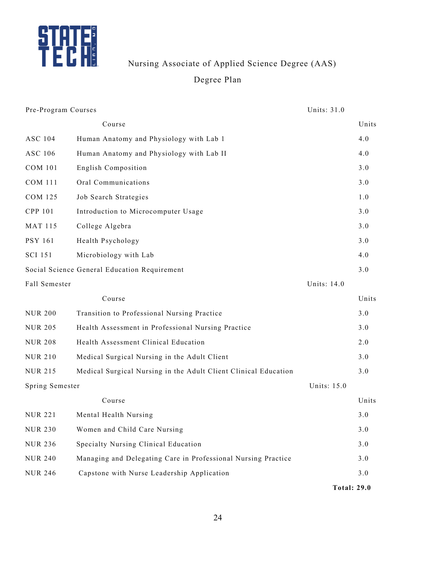

Nursing Associate of Applied Science Degree (AAS)

## Degree Plan

| Pre-Program Courses |                                                                 | Units: 31.0        |       |
|---------------------|-----------------------------------------------------------------|--------------------|-------|
|                     | Course                                                          |                    | Units |
| <b>ASC 104</b>      | Human Anatomy and Physiology with Lab 1                         |                    | 4.0   |
| ASC 106             | Human Anatomy and Physiology with Lab II                        |                    | 4.0   |
| <b>COM 101</b>      | English Composition                                             |                    | 3.0   |
| <b>COM 111</b>      | Oral Communications                                             |                    | 3.0   |
| <b>COM 125</b>      | Job Search Strategies                                           |                    | 1.0   |
| CPP 101             | Introduction to Microcomputer Usage                             |                    | 3.0   |
| <b>MAT 115</b>      | College Algebra                                                 |                    | 3.0   |
| <b>PSY 161</b>      | Health Psychology                                               |                    | 3.0   |
| <b>SCI 151</b>      | Microbiology with Lab                                           |                    | 4.0   |
|                     | Social Science General Education Requirement                    |                    | 3.0   |
| Fall Semester       |                                                                 | Units: 14.0        |       |
|                     | Course                                                          |                    | Units |
| <b>NUR 200</b>      | Transition to Professional Nursing Practice                     |                    | 3.0   |
| <b>NUR 205</b>      | Health Assessment in Professional Nursing Practice              |                    | 3.0   |
| <b>NUR 208</b>      | Health Assessment Clinical Education                            |                    | 2.0   |
| <b>NUR 210</b>      | Medical Surgical Nursing in the Adult Client                    |                    | 3.0   |
| <b>NUR 215</b>      | Medical Surgical Nursing in the Adult Client Clinical Education |                    | 3.0   |
| Spring Semester     |                                                                 | Units: 15.0        |       |
|                     | Course                                                          |                    | Units |
| <b>NUR 221</b>      | Mental Health Nursing                                           |                    | 3.0   |
| <b>NUR 230</b>      | Women and Child Care Nursing                                    |                    | 3.0   |
| <b>NUR 236</b>      | Specialty Nursing Clinical Education                            |                    | 3.0   |
| <b>NUR 240</b>      | Managing and Delegating Care in Professional Nursing Practice   |                    | 3.0   |
| <b>NUR 246</b>      | Capstone with Nurse Leadership Application                      |                    | 3.0   |
|                     |                                                                 | <b>Total: 29.0</b> |       |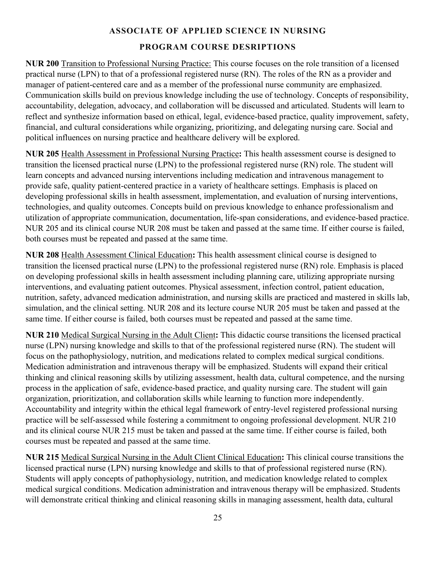### **ASSOCIATE OF APPLIED SCIENCE IN NURSING PROGRAM COURSE DESRIPTIONS**

**NUR 200** Transition to Professional Nursing Practice: This course focuses on the role transition of a licensed practical nurse (LPN) to that of a professional registered nurse (RN). The roles of the RN as a provider and manager of patient-centered care and as a member of the professional nurse community are emphasized. Communication skills build on previous knowledge including the use of technology. Concepts of responsibility, accountability, delegation, advocacy, and collaboration will be discussed and articulated. Students will learn to reflect and synthesize information based on ethical, legal, evidence-based practice, quality improvement, safety, financial, and cultural considerations while organizing, prioritizing, and delegating nursing care. Social and political influences on nursing practice and healthcare delivery will be explored.

**NUR 205** Health Assessment in Professional Nursing Practice**:** This health assessment course is designed to transition the licensed practical nurse (LPN) to the professional registered nurse (RN) role. The student will learn concepts and advanced nursing interventions including medication and intravenous management to provide safe, quality patient-centered practice in a variety of healthcare settings. Emphasis is placed on developing professional skills in health assessment, implementation, and evaluation of nursing interventions, technologies, and quality outcomes. Concepts build on previous knowledge to enhance professionalism and utilization of appropriate communication, documentation, life-span considerations, and evidence-based practice. NUR 205 and its clinical course NUR 208 must be taken and passed at the same time. If either course is failed, both courses must be repeated and passed at the same time.

**NUR 208** Health Assessment Clinical Education**:** This health assessment clinical course is designed to transition the licensed practical nurse (LPN) to the professional registered nurse (RN) role. Emphasis is placed on developing professional skills in health assessment including planning care, utilizing appropriate nursing interventions, and evaluating patient outcomes. Physical assessment, infection control, patient education, nutrition, safety, advanced medication administration, and nursing skills are practiced and mastered in skills lab, simulation, and the clinical setting. NUR 208 and its lecture course NUR 205 must be taken and passed at the same time. If either course is failed, both courses must be repeated and passed at the same time.

**NUR 210** Medical Surgical Nursing in the Adult Client**:** This didactic course transitions the licensed practical nurse (LPN) nursing knowledge and skills to that of the professional registered nurse (RN). The student will focus on the pathophysiology, nutrition, and medications related to complex medical surgical conditions. Medication administration and intravenous therapy will be emphasized. Students will expand their critical thinking and clinical reasoning skills by utilizing assessment, health data, cultural competence, and the nursing process in the application of safe, evidence-based practice, and quality nursing care. The student will gain organization, prioritization, and collaboration skills while learning to function more independently. Accountability and integrity within the ethical legal framework of entry-level registered professional nursing practice will be self-assessed while fostering a commitment to ongoing professional development. NUR 210 and its clinical course NUR 215 must be taken and passed at the same time. If either course is failed, both courses must be repeated and passed at the same time.

**NUR 215** Medical Surgical Nursing in the Adult Client Clinical Education**:** This clinical course transitions the licensed practical nurse (LPN) nursing knowledge and skills to that of professional registered nurse (RN). Students will apply concepts of pathophysiology, nutrition, and medication knowledge related to complex medical surgical conditions. Medication administration and intravenous therapy will be emphasized. Students will demonstrate critical thinking and clinical reasoning skills in managing assessment, health data, cultural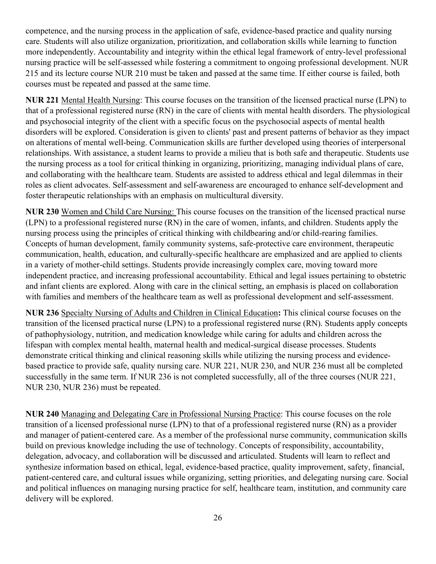competence, and the nursing process in the application of safe, evidence-based practice and quality nursing care. Students will also utilize organization, prioritization, and collaboration skills while learning to function more independently. Accountability and integrity within the ethical legal framework of entry-level professional nursing practice will be self-assessed while fostering a commitment to ongoing professional development. NUR 215 and its lecture course NUR 210 must be taken and passed at the same time. If either course is failed, both courses must be repeated and passed at the same time.

**NUR 221** Mental Health Nursing: This course focuses on the transition of the licensed practical nurse (LPN) to that of a professional registered nurse (RN) in the care of clients with mental health disorders. The physiological and psychosocial integrity of the client with a specific focus on the psychosocial aspects of mental health disorders will be explored. Consideration is given to clients' past and present patterns of behavior as they impact on alterations of mental well-being. Communication skills are further developed using theories of interpersonal relationships. With assistance, a student learns to provide a milieu that is both safe and therapeutic. Students use the nursing process as a tool for critical thinking in organizing, prioritizing, managing individual plans of care, and collaborating with the healthcare team. Students are assisted to address ethical and legal dilemmas in their roles as client advocates. Self-assessment and self-awareness are encouraged to enhance self-development and foster therapeutic relationships with an emphasis on multicultural diversity.

**NUR 230** Women and Child Care Nursing: This course focuses on the transition of the licensed practical nurse (LPN) to a professional registered nurse (RN) in the care of women, infants, and children. Students apply the nursing process using the principles of critical thinking with childbearing and/or child-rearing families. Concepts of human development, family community systems, safe-protective care environment, therapeutic communication, health, education, and culturally-specific healthcare are emphasized and are applied to clients in a variety of mother-child settings. Students provide increasingly complex care, moving toward more independent practice, and increasing professional accountability. Ethical and legal issues pertaining to obstetric and infant clients are explored. Along with care in the clinical setting, an emphasis is placed on collaboration with families and members of the healthcare team as well as professional development and self-assessment.

**NUR 236** Specialty Nursing of Adults and Children in Clinical Education**:** This clinical course focuses on the transition of the licensed practical nurse (LPN) to a professional registered nurse (RN). Students apply concepts of pathophysiology, nutrition, and medication knowledge while caring for adults and children across the lifespan with complex mental health, maternal health and medical-surgical disease processes. Students demonstrate critical thinking and clinical reasoning skills while utilizing the nursing process and evidencebased practice to provide safe, quality nursing care. NUR 221, NUR 230, and NUR 236 must all be completed successfully in the same term. If NUR 236 is not completed successfully, all of the three courses (NUR 221, NUR 230, NUR 236) must be repeated.

**NUR 240** Managing and Delegating Care in Professional Nursing Practice: This course focuses on the role transition of a licensed professional nurse (LPN) to that of a professional registered nurse (RN) as a provider and manager of patient-centered care. As a member of the professional nurse community, communication skills build on previous knowledge including the use of technology. Concepts of responsibility, accountability, delegation, advocacy, and collaboration will be discussed and articulated. Students will learn to reflect and synthesize information based on ethical, legal, evidence-based practice, quality improvement, safety, financial, patient-centered care, and cultural issues while organizing, setting priorities, and delegating nursing care. Social and political influences on managing nursing practice for self, healthcare team, institution, and community care delivery will be explored.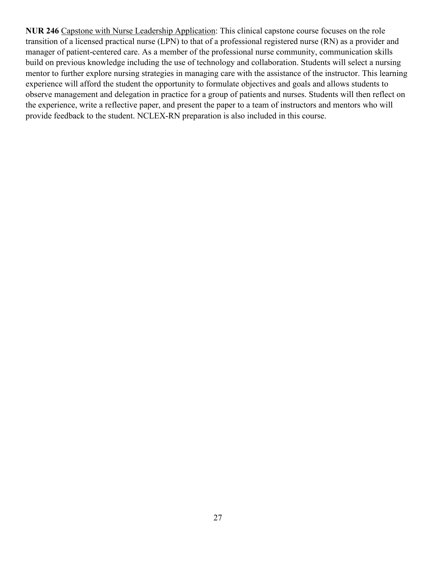**NUR 246** Capstone with Nurse Leadership Application: This clinical capstone course focuses on the role transition of a licensed practical nurse (LPN) to that of a professional registered nurse (RN) as a provider and manager of patient-centered care. As a member of the professional nurse community, communication skills build on previous knowledge including the use of technology and collaboration. Students will select a nursing mentor to further explore nursing strategies in managing care with the assistance of the instructor. This learning experience will afford the student the opportunity to formulate objectives and goals and allows students to observe management and delegation in practice for a group of patients and nurses. Students will then reflect on the experience, write a reflective paper, and present the paper to a team of instructors and mentors who will provide feedback to the student. NCLEX-RN preparation is also included in this course.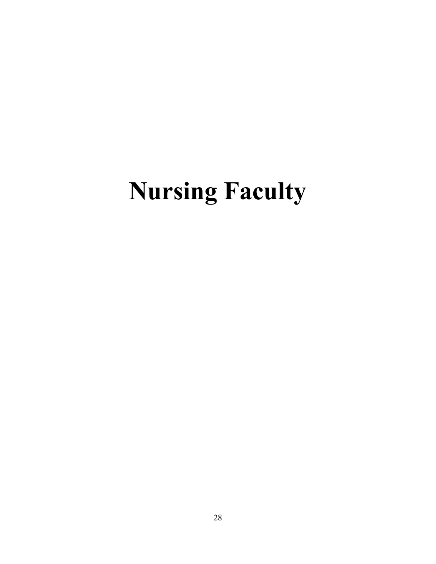# **Nursing Faculty**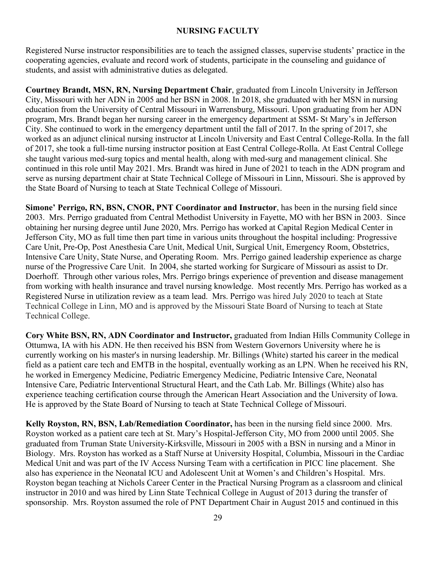#### **NURSING FACULTY**

Registered Nurse instructor responsibilities are to teach the assigned classes, supervise students' practice in the cooperating agencies, evaluate and record work of students, participate in the counseling and guidance of students, and assist with administrative duties as delegated.

**Courtney Brandt, MSN, RN, Nursing Department Chair**, graduated from Lincoln University in Jefferson City, Missouri with her ADN in 2005 and her BSN in 2008. In 2018, she graduated with her MSN in nursing education from the University of Central Missouri in Warrensburg, Missouri. Upon graduating from her ADN program, Mrs. Brandt began her nursing career in the emergency department at SSM- St Mary's in Jefferson City. She continued to work in the emergency department until the fall of 2017. In the spring of 2017, she worked as an adjunct clinical nursing instructor at Lincoln University and East Central College-Rolla. In the fall of 2017, she took a full-time nursing instructor position at East Central College-Rolla. At East Central College she taught various med-surg topics and mental health, along with med-surg and management clinical. She continued in this role until May 2021. Mrs. Brandt was hired in June of 2021 to teach in the ADN program and serve as nursing department chair at State Technical College of Missouri in Linn, Missouri. She is approved by the State Board of Nursing to teach at State Technical College of Missouri.

**Simone' Perrigo, RN, BSN, CNOR, PNT Coordinator and Instructor**, has been in the nursing field since 2003. Mrs. Perrigo graduated from Central Methodist University in Fayette, MO with her BSN in 2003. Since obtaining her nursing degree until June 2020, Mrs. Perrigo has worked at Capital Region Medical Center in Jefferson City, MO as full time then part time in various units throughout the hospital including: Progressive Care Unit, Pre-Op, Post Anesthesia Care Unit, Medical Unit, Surgical Unit, Emergency Room, Obstetrics, Intensive Care Unity, State Nurse, and Operating Room. Mrs. Perrigo gained leadership experience as charge nurse of the Progressive Care Unit. In 2004, she started working for Surgicare of Missouri as assist to Dr. Doerhoff. Through other various roles, Mrs. Perrigo brings experience of prevention and disease management from working with health insurance and travel nursing knowledge. Most recently Mrs. Perrigo has worked as a Registered Nurse in utilization review as a team lead. Mrs. Perrigo was hired July 2020 to teach at State Technical College in Linn, MO and is approved by the Missouri State Board of Nursing to teach at State Technical College.

**Cory White BSN, RN, ADN Coordinator and Instructor,** graduated from Indian Hills Community College in Ottumwa, IA with his ADN. He then received his BSN from Western Governors University where he is currently working on his master's in nursing leadership. Mr. Billings (White) started his career in the medical field as a patient care tech and EMTB in the hospital, eventually working as an LPN. When he received his RN, he worked in Emergency Medicine, Pediatric Emergency Medicine, Pediatric Intensive Care, Neonatal Intensive Care, Pediatric Interventional Structural Heart, and the Cath Lab. Mr. Billings (White) also has experience teaching certification course through the American Heart Association and the University of Iowa. He is approved by the State Board of Nursing to teach at State Technical College of Missouri.

**Kelly Royston, RN, BSN, Lab/Remediation Coordinator,** has been in the nursing field since 2000. Mrs. Royston worked as a patient care tech at St. Mary's Hospital-Jefferson City, MO from 2000 until 2005. She graduated from Truman State University-Kirksville, Missouri in 2005 with a BSN in nursing and a Minor in Biology. Mrs. Royston has worked as a Staff Nurse at University Hospital, Columbia, Missouri in the Cardiac Medical Unit and was part of the IV Access Nursing Team with a certification in PICC line placement. She also has experience in the Neonatal ICU and Adolescent Unit at Women's and Children's Hospital. Mrs. Royston began teaching at Nichols Career Center in the Practical Nursing Program as a classroom and clinical instructor in 2010 and was hired by Linn State Technical College in August of 2013 during the transfer of sponsorship. Mrs. Royston assumed the role of PNT Department Chair in August 2015 and continued in this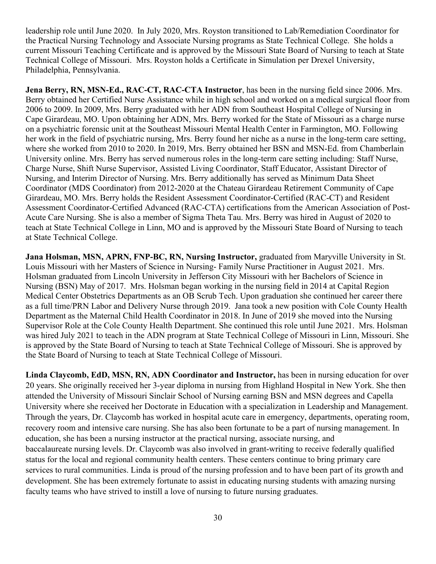leadership role until June 2020. In July 2020, Mrs. Royston transitioned to Lab/Remediation Coordinator for the Practical Nursing Technology and Associate Nursing programs as State Technical College. She holds a current Missouri Teaching Certificate and is approved by the Missouri State Board of Nursing to teach at State Technical College of Missouri. Mrs. Royston holds a Certificate in Simulation per Drexel University, Philadelphia, Pennsylvania.

**Jena Berry, RN, MSN-Ed., RAC-CT, RAC-CTA Instructor**, has been in the nursing field since 2006. Mrs. Berry obtained her Certified Nurse Assistance while in high school and worked on a medical surgical floor from 2006 to 2009. In 2009, Mrs. Berry graduated with her ADN from Southeast Hospital College of Nursing in Cape Girardeau, MO. Upon obtaining her ADN, Mrs. Berry worked for the State of Missouri as a charge nurse on a psychiatric forensic unit at the Southeast Missouri Mental Health Center in Farmington, MO. Following her work in the field of psychiatric nursing, Mrs. Berry found her niche as a nurse in the long-term care setting, where she worked from 2010 to 2020. In 2019, Mrs. Berry obtained her BSN and MSN-Ed. from Chamberlain University online. Mrs. Berry has served numerous roles in the long-term care setting including: Staff Nurse, Charge Nurse, Shift Nurse Supervisor, Assisted Living Coordinator, Staff Educator, Assistant Director of Nursing, and Interim Director of Nursing. Mrs. Berry additionally has served as Minimum Data Sheet Coordinator (MDS Coordinator) from 2012-2020 at the Chateau Girardeau Retirement Community of Cape Girardeau, MO. Mrs. Berry holds the Resident Assessment Coordinator-Certified (RAC-CT) and Resident Assessment Coordinator-Certified Advanced (RAC-CTA) certifications from the American Association of Post-Acute Care Nursing. She is also a member of Sigma Theta Tau. Mrs. Berry was hired in August of 2020 to teach at State Technical College in Linn, MO and is approved by the Missouri State Board of Nursing to teach at State Technical College.

**Jana Holsman, MSN, APRN, FNP-BC, RN, Nursing Instructor,** graduated from Maryville University in St. Louis Missouri with her Masters of Science in Nursing- Family Nurse Practitioner in August 2021. Mrs. Holsman graduated from Lincoln University in Jefferson City Missouri with her Bachelors of Science in Nursing (BSN) May of 2017. Mrs. Holsman began working in the nursing field in 2014 at Capital Region Medical Center Obstetrics Departments as an OB Scrub Tech. Upon graduation she continued her career there as a full time/PRN Labor and Delivery Nurse through 2019. Jana took a new position with Cole County Health Department as the Maternal Child Health Coordinator in 2018. In June of 2019 she moved into the Nursing Supervisor Role at the Cole County Health Department. She continued this role until June 2021. Mrs. Holsman was hired July 2021 to teach in the ADN program at State Technical College of Missouri in Linn, Missouri. She is approved by the State Board of Nursing to teach at State Technical College of Missouri. She is approved by the State Board of Nursing to teach at State Technical College of Missouri.

**Linda Claycomb, EdD, MSN, RN, ADN Coordinator and Instructor,** has been in nursing education for over 20 years. She originally received her 3-year diploma in nursing from Highland Hospital in New York. She then attended the University of Missouri Sinclair School of Nursing earning BSN and MSN degrees and Capella University where she received her Doctorate in Education with a specialization in Leadership and Management. Through the years, Dr. Claycomb has worked in hospital acute care in emergency, departments, operating room, recovery room and intensive care nursing. She has also been fortunate to be a part of nursing management. In education, she has been a nursing instructor at the practical nursing, associate nursing, and baccalaureate nursing levels. Dr. Claycomb was also involved in grant-writing to receive federally qualified status for the local and regional community health centers. These centers continue to bring primary care services to rural communities. Linda is proud of the nursing profession and to have been part of its growth and development. She has been extremely fortunate to assist in educating nursing students with amazing nursing faculty teams who have strived to instill a love of nursing to future nursing graduates.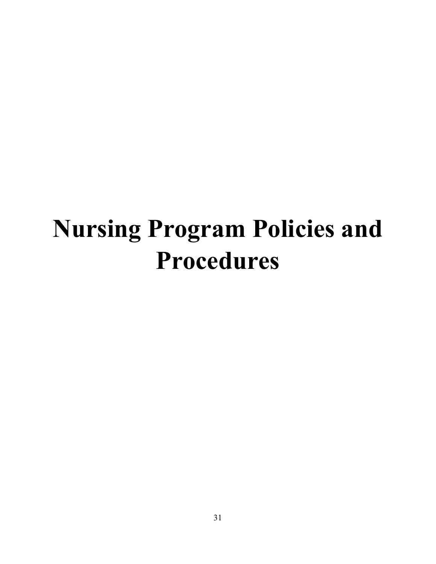# **Nursing Program Policies and Procedures**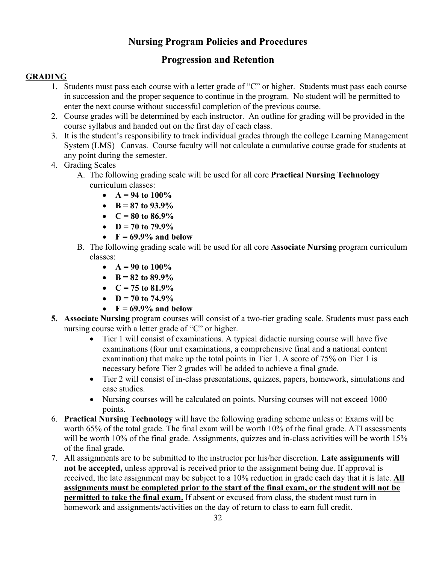### **Nursing Program Policies and Procedures**

### **Progression and Retention**

#### **GRADING**

- 1. Students must pass each course with a letter grade of "C" or higher. Students must pass each course in succession and the proper sequence to continue in the program. No student will be permitted to enter the next course without successful completion of the previous course.
- 2. Course grades will be determined by each instructor. An outline for grading will be provided in the course syllabus and handed out on the first day of each class.
- 3. It is the student's responsibility to track individual grades through the college Learning Management System (LMS) –Canvas. Course faculty will not calculate a cumulative course grade for students at any point during the semester.
- 4. Grading Scales
	- A. The following grading scale will be used for all core **Practical Nursing Technology**  curriculum classes:
		- $A = 94$  to  $100\%$
		- $B = 87$  to  $93.9\%$
		- $C = 80$  to  $86.9\%$
		- **D** = 70 to 79.9%
		- $F = 69.9\%$  and below
	- B. The following grading scale will be used for all core **Associate Nursing** program curriculum classes:
		- $A = 90$  to  $100\%$
		- $B = 82$  to  $89.9\%$
		- $C = 75$  to  $81.9\%$
		- $D = 70$  to  $74.9\%$
		- $F = 69.9\%$  and below
- **5. Associate Nursing** program courses will consist of a two-tier grading scale. Students must pass each nursing course with a letter grade of "C" or higher.
	- Tier 1 will consist of examinations. A typical didactic nursing course will have five examinations (four unit examinations, a comprehensive final and a national content examination) that make up the total points in Tier 1. A score of 75% on Tier 1 is necessary before Tier 2 grades will be added to achieve a final grade.
	- Tier 2 will consist of in-class presentations, quizzes, papers, homework, simulations and case studies.
	- Nursing courses will be calculated on points. Nursing courses will not exceed 1000 points.
- 6. **Practical Nursing Technology** will have the following grading scheme unless o: Exams will be worth 65% of the total grade. The final exam will be worth 10% of the final grade. ATI assessments will be worth 10% of the final grade. Assignments, quizzes and in-class activities will be worth 15% of the final grade.
- 7. All assignments are to be submitted to the instructor per his/her discretion. **Late assignments will not be accepted,** unless approval is received prior to the assignment being due. If approval is received, the late assignment may be subject to a 10% reduction in grade each day that it is late. **All assignments must be completed prior to the start of the final exam, or the student will not be permitted to take the final exam.** If absent or excused from class, the student must turn in homework and assignments/activities on the day of return to class to earn full credit.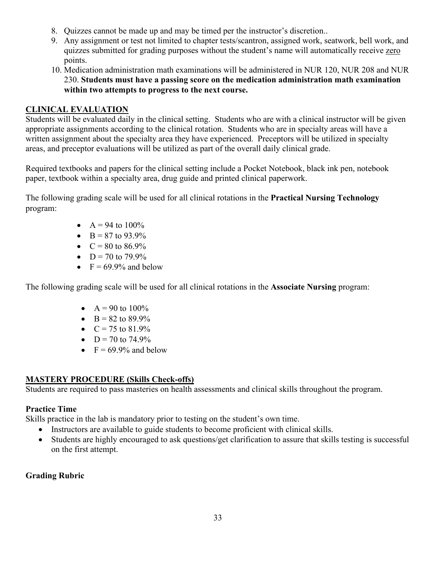- 8. Quizzes cannot be made up and may be timed per the instructor's discretion..
- 9. Any assignment or test not limited to chapter tests/scantron, assigned work, seatwork, bell work, and quizzes submitted for grading purposes without the student's name will automatically receive zero points.
- 10. Medication administration math examinations will be administered in NUR 120, NUR 208 and NUR 230. **Students must have a passing score on the medication administration math examination within two attempts to progress to the next course.**

#### **CLINICAL EVALUATION**

Students will be evaluated daily in the clinical setting. Students who are with a clinical instructor will be given appropriate assignments according to the clinical rotation. Students who are in specialty areas will have a written assignment about the specialty area they have experienced. Preceptors will be utilized in specialty areas, and preceptor evaluations will be utilized as part of the overall daily clinical grade.

Required textbooks and papers for the clinical setting include a Pocket Notebook, black ink pen, notebook paper, textbook within a specialty area, drug guide and printed clinical paperwork.

The following grading scale will be used for all clinical rotations in the **Practical Nursing Technology** program:

- $A = 94$  to  $100\%$
- $B = 87$  to 93.9%
- $C = 80$  to  $86.9\%$
- $D = 70$  to  $79.9\%$
- $F = 69.9\%$  and below

The following grading scale will be used for all clinical rotations in the **Associate Nursing** program:

- $A = 90$  to  $100\%$
- $B = 82$  to  $89.9\%$
- $C = 75$  to  $81.9\%$
- $D = 70$  to 74.9%
- $F = 69.9\%$  and below

#### **MASTERY PROCEDURE (Skills Check-offs)**

Students are required to pass masteries on health assessments and clinical skills throughout the program.

#### **Practice Time**

Skills practice in the lab is mandatory prior to testing on the student's own time.

- Instructors are available to guide students to become proficient with clinical skills.
- Students are highly encouraged to ask questions/get clarification to assure that skills testing is successful on the first attempt.

#### **Grading Rubric**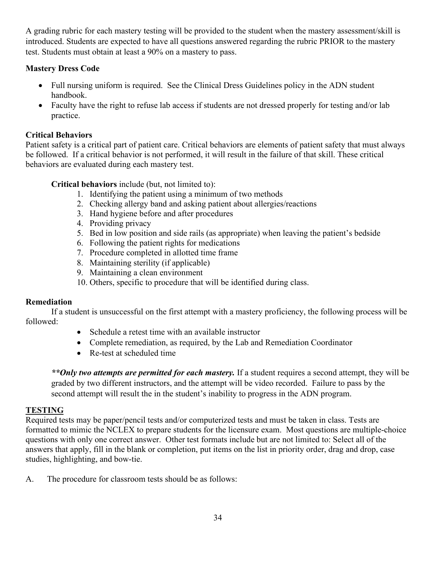A grading rubric for each mastery testing will be provided to the student when the mastery assessment/skill is introduced. Students are expected to have all questions answered regarding the rubric PRIOR to the mastery test. Students must obtain at least a 90% on a mastery to pass.

#### **Mastery Dress Code**

- Full nursing uniform is required. See the Clinical Dress Guidelines policy in the ADN student handbook.
- Faculty have the right to refuse lab access if students are not dressed properly for testing and/or lab practice.

#### **Critical Behaviors**

Patient safety is a critical part of patient care. Critical behaviors are elements of patient safety that must always be followed. If a critical behavior is not performed, it will result in the failure of that skill. These critical behaviors are evaluated during each mastery test.

**Critical behaviors** include (but, not limited to):

- 1. Identifying the patient using a minimum of two methods
- 2. Checking allergy band and asking patient about allergies/reactions
- 3. Hand hygiene before and after procedures
- 4. Providing privacy
- 5. Bed in low position and side rails (as appropriate) when leaving the patient's bedside
- 6. Following the patient rights for medications
- 7. Procedure completed in allotted time frame
- 8. Maintaining sterility (if applicable)
- 9. Maintaining a clean environment
- 10. Others, specific to procedure that will be identified during class.

#### **Remediation**

 If a student is unsuccessful on the first attempt with a mastery proficiency, the following process will be followed:

- Schedule a retest time with an available instructor
- Complete remediation, as required, by the Lab and Remediation Coordinator
- Re-test at scheduled time

*\*\*Only two attempts are permitted for each mastery.* If a student requires a second attempt, they will be graded by two different instructors, and the attempt will be video recorded. Failure to pass by the second attempt will result the in the student's inability to progress in the ADN program.

#### **TESTING**

Required tests may be paper/pencil tests and/or computerized tests and must be taken in class. Tests are formatted to mimic the NCLEX to prepare students for the licensure exam. Most questions are multiple-choice questions with only one correct answer. Other test formats include but are not limited to: Select all of the answers that apply, fill in the blank or completion, put items on the list in priority order, drag and drop, case studies, highlighting, and bow-tie.

A. The procedure for classroom tests should be as follows: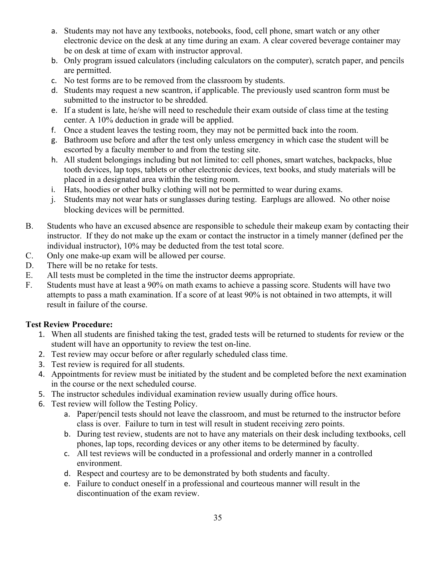- a. Students may not have any textbooks, notebooks, food, cell phone, smart watch or any other electronic device on the desk at any time during an exam. A clear covered beverage container may be on desk at time of exam with instructor approval.
- b. Only program issued calculators (including calculators on the computer), scratch paper, and pencils are permitted.
- c. No test forms are to be removed from the classroom by students.
- d. Students may request a new scantron, if applicable. The previously used scantron form must be submitted to the instructor to be shredded.
- e. If a student is late, he/she will need to reschedule their exam outside of class time at the testing center. A 10% deduction in grade will be applied.
- f. Once a student leaves the testing room, they may not be permitted back into the room.
- g. Bathroom use before and after the test only unless emergency in which case the student will be escorted by a faculty member to and from the testing site.
- h. All student belongings including but not limited to: cell phones, smart watches, backpacks, blue tooth devices, lap tops, tablets or other electronic devices, text books, and study materials will be placed in a designated area within the testing room.
- i. Hats, hoodies or other bulky clothing will not be permitted to wear during exams.
- j. Students may not wear hats or sunglasses during testing. Earplugs are allowed. No other noise blocking devices will be permitted.
- B. Students who have an excused absence are responsible to schedule their makeup exam by contacting their instructor. If they do not make up the exam or contact the instructor in a timely manner (defined per the individual instructor), 10% may be deducted from the test total score.
- C. Only one make-up exam will be allowed per course.
- D. There will be no retake for tests.
- E. All tests must be completed in the time the instructor deems appropriate.
- F. Students must have at least a 90% on math exams to achieve a passing score. Students will have two attempts to pass a math examination. If a score of at least 90% is not obtained in two attempts, it will result in failure of the course.

#### **Test Review Procedure:**

- 1. When all students are finished taking the test, graded tests will be returned to students for review or the student will have an opportunity to review the test on-line.
- 2. Test review may occur before or after regularly scheduled class time.
- 3. Test review is required for all students.
- 4. Appointments for review must be initiated by the student and be completed before the next examination in the course or the next scheduled course.
- 5. The instructor schedules individual examination review usually during office hours.
- 6. Test review will follow the Testing Policy.
	- a. Paper/pencil tests should not leave the classroom, and must be returned to the instructor before class is over. Failure to turn in test will result in student receiving zero points.
	- b. During test review, students are not to have any materials on their desk including textbooks, cell phones, lap tops, recording devices or any other items to be determined by faculty.
	- c. All test reviews will be conducted in a professional and orderly manner in a controlled environment.
	- d. Respect and courtesy are to be demonstrated by both students and faculty.
	- e. Failure to conduct oneself in a professional and courteous manner will result in the discontinuation of the exam review.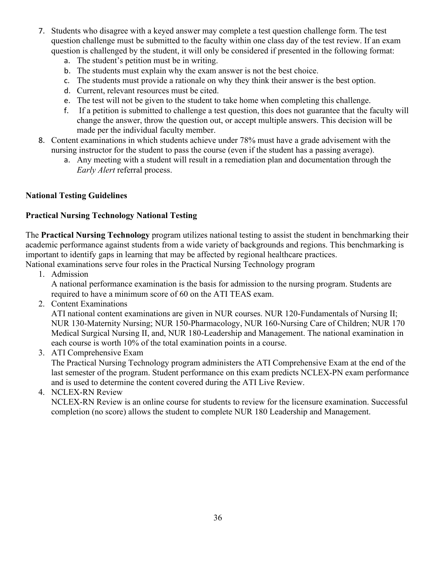- 7. Students who disagree with a keyed answer may complete a test question challenge form. The test question challenge must be submitted to the faculty within one class day of the test review. If an exam question is challenged by the student, it will only be considered if presented in the following format:
	- a. The student's petition must be in writing.
	- b. The students must explain why the exam answer is not the best choice.
	- c. The students must provide a rationale on why they think their answer is the best option.
	- d. Current, relevant resources must be cited.
	- e. The test will not be given to the student to take home when completing this challenge.
	- f. If a petition is submitted to challenge a test question, this does not guarantee that the faculty will change the answer, throw the question out, or accept multiple answers. This decision will be made per the individual faculty member.
- 8. Content examinations in which students achieve under 78% must have a grade advisement with the nursing instructor for the student to pass the course (even if the student has a passing average).
	- a. Any meeting with a student will result in a remediation plan and documentation through the *Early Alert* referral process.

#### **National Testing Guidelines**

#### **Practical Nursing Technology National Testing**

The **Practical Nursing Technology** program utilizes national testing to assist the student in benchmarking their academic performance against students from a wide variety of backgrounds and regions. This benchmarking is important to identify gaps in learning that may be affected by regional healthcare practices.

National examinations serve four roles in the Practical Nursing Technology program

1. Admission

A national performance examination is the basis for admission to the nursing program. Students are required to have a minimum score of 60 on the ATI TEAS exam.

2. Content Examinations

ATI national content examinations are given in NUR courses. NUR 120-Fundamentals of Nursing II; NUR 130-Maternity Nursing; NUR 150-Pharmacology, NUR 160-Nursing Care of Children; NUR 170 Medical Surgical Nursing II, and, NUR 180-Leadership and Management. The national examination in each course is worth 10% of the total examination points in a course.

3. ATI Comprehensive Exam

The Practical Nursing Technology program administers the ATI Comprehensive Exam at the end of the last semester of the program. Student performance on this exam predicts NCLEX-PN exam performance and is used to determine the content covered during the ATI Live Review.

4. NCLEX-RN Review

NCLEX-RN Review is an online course for students to review for the licensure examination. Successful completion (no score) allows the student to complete NUR 180 Leadership and Management.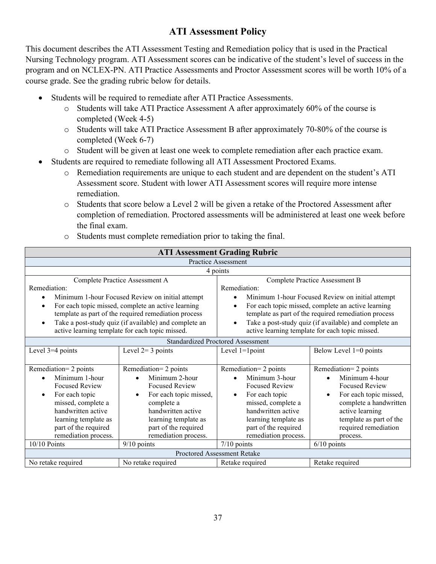# **ATI Assessment Policy**

This document describes the ATI Assessment Testing and Remediation policy that is used in the Practical Nursing Technology program. ATI Assessment scores can be indicative of the student's level of success in the program and on NCLEX-PN. ATI Practice Assessments and Proctor Assessment scores will be worth 10% of a course grade. See the grading rubric below for details.

- Students will be required to remediate after ATI Practice Assessments.
	- o Students will take ATI Practice Assessment A after approximately 60% of the course is completed (Week 4-5)
	- o Students will take ATI Practice Assessment B after approximately 70-80% of the course is completed (Week 6-7)
	- o Student will be given at least one week to complete remediation after each practice exam.
- Students are required to remediate following all ATI Assessment Proctored Exams.
	- o Remediation requirements are unique to each student and are dependent on the student's ATI Assessment score. Student with lower ATI Assessment scores will require more intense remediation.
	- o Students that score below a Level 2 will be given a retake of the Proctored Assessment after completion of remediation. Proctored assessments will be administered at least one week before the final exam.

|                               |                                                       | <b>ATI Assessment Grading Rubric</b>     |                                                       |  |
|-------------------------------|-------------------------------------------------------|------------------------------------------|-------------------------------------------------------|--|
| <b>Practice Assessment</b>    |                                                       |                                          |                                                       |  |
|                               |                                                       | 4 points                                 |                                                       |  |
|                               | Complete Practice Assessment A                        |                                          | Complete Practice Assessment B                        |  |
| Remediation:                  |                                                       | Remediation:                             |                                                       |  |
| $\bullet$                     | Minimum 1-hour Focused Review on initial attempt      | $\bullet$                                | Minimum 1-hour Focused Review on initial attempt      |  |
| $\bullet$                     | For each topic missed, complete an active learning    |                                          | For each topic missed, complete an active learning    |  |
|                               | template as part of the required remediation process  |                                          | template as part of the required remediation process  |  |
| $\bullet$                     | Take a post-study quiz (if available) and complete an |                                          | Take a post-study quiz (if available) and complete an |  |
|                               | active learning template for each topic missed.       |                                          | active learning template for each topic missed.       |  |
|                               |                                                       | <b>Standardized Proctored Assessment</b> |                                                       |  |
| Level 3=4 points              | Level $2=3$ points                                    | Level $1=1$ point                        | Below Level $1=0$ points                              |  |
|                               |                                                       |                                          |                                                       |  |
| Remediation= 2 points         | Remediation= 2 points                                 | Remediation= 2 points                    | Remediation= 2 points                                 |  |
| Minimum 1-hour                | Minimum 2-hour                                        | Minimum 3-hour                           | Minimum 4-hour                                        |  |
| <b>Focused Review</b>         | <b>Focused Review</b>                                 | <b>Focused Review</b>                    | <b>Focused Review</b>                                 |  |
| For each topic<br>$\bullet$   | For each topic missed,<br>$\bullet$                   | For each topic<br>$\bullet$              | For each topic missed,                                |  |
| missed, complete a            | complete a                                            | missed, complete a                       | complete a handwritten                                |  |
| handwritten active            | handwritten active                                    | handwritten active                       | active learning                                       |  |
| learning template as          | learning template as                                  | learning template as                     | template as part of the                               |  |
| part of the required          | part of the required                                  | part of the required                     | required remediation                                  |  |
| remediation process.          | remediation process.                                  | remediation process.                     | process.                                              |  |
| 10/10 Points<br>$9/10$ points |                                                       | $7/10$ points                            | $6/10$ points                                         |  |
|                               |                                                       | Proctored Assessment Retake              |                                                       |  |
| No retake required            | No retake required                                    |                                          | Retake required                                       |  |
|                               |                                                       |                                          |                                                       |  |

o Students must complete remediation prior to taking the final.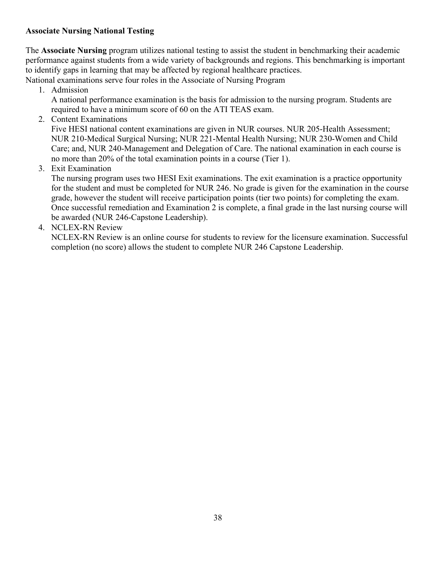# **Associate Nursing National Testing**

The **Associate Nursing** program utilizes national testing to assist the student in benchmarking their academic performance against students from a wide variety of backgrounds and regions. This benchmarking is important to identify gaps in learning that may be affected by regional healthcare practices.

National examinations serve four roles in the Associate of Nursing Program

1. Admission

A national performance examination is the basis for admission to the nursing program. Students are required to have a minimum score of 60 on the ATI TEAS exam.

2. Content Examinations

Five HESI national content examinations are given in NUR courses. NUR 205-Health Assessment; NUR 210-Medical Surgical Nursing; NUR 221-Mental Health Nursing; NUR 230-Women and Child Care; and, NUR 240-Management and Delegation of Care. The national examination in each course is no more than 20% of the total examination points in a course (Tier 1).

3. Exit Examination

The nursing program uses two HESI Exit examinations. The exit examination is a practice opportunity for the student and must be completed for NUR 246. No grade is given for the examination in the course grade, however the student will receive participation points (tier two points) for completing the exam. Once successful remediation and Examination 2 is complete, a final grade in the last nursing course will be awarded (NUR 246-Capstone Leadership).

4. NCLEX-RN Review

NCLEX-RN Review is an online course for students to review for the licensure examination. Successful completion (no score) allows the student to complete NUR 246 Capstone Leadership.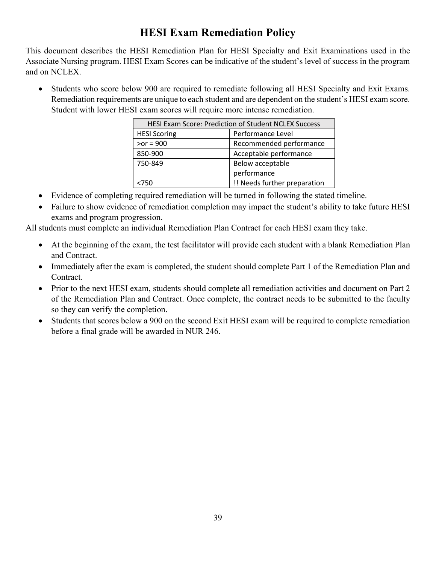# **HESI Exam Remediation Policy**

This document describes the HESI Remediation Plan for HESI Specialty and Exit Examinations used in the Associate Nursing program. HESI Exam Scores can be indicative of the student's level of success in the program and on NCLEX.

• Students who score below 900 are required to remediate following all HESI Specialty and Exit Exams. Remediation requirements are unique to each student and are dependent on the student's HESI exam score. Student with lower HESI exam scores will require more intense remediation.

| <b>HESI Exam Score: Prediction of Student NCLEX Success</b> |                              |  |
|-------------------------------------------------------------|------------------------------|--|
| <b>HESI Scoring</b>                                         | Performance Level            |  |
| $\gamma$ or = 900                                           | Recommended performance      |  |
| 850-900                                                     | Acceptable performance       |  |
| 750-849                                                     | Below acceptable             |  |
|                                                             | performance                  |  |
| <750                                                        | !! Needs further preparation |  |

- Evidence of completing required remediation will be turned in following the stated timeline.
- Failure to show evidence of remediation completion may impact the student's ability to take future HESI exams and program progression.

All students must complete an individual Remediation Plan Contract for each HESI exam they take.

- At the beginning of the exam, the test facilitator will provide each student with a blank Remediation Plan and Contract.
- Immediately after the exam is completed, the student should complete Part 1 of the Remediation Plan and Contract.
- Prior to the next HESI exam, students should complete all remediation activities and document on Part 2 of the Remediation Plan and Contract. Once complete, the contract needs to be submitted to the faculty so they can verify the completion.
- Students that scores below a 900 on the second Exit HESI exam will be required to complete remediation before a final grade will be awarded in NUR 246.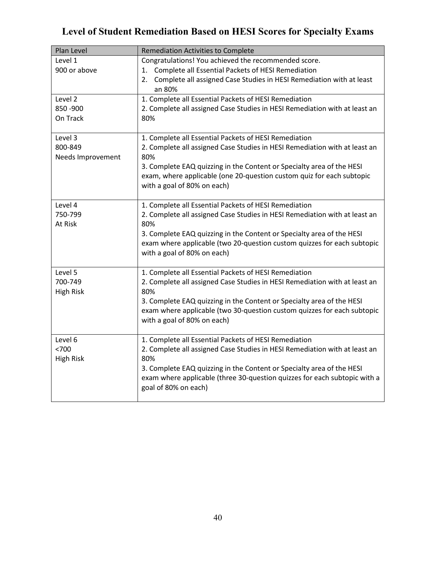# **Level of Student Remediation Based on HESI Scores for Specialty Exams**

| Plan Level                   | Remediation Activities to Complete                                                                                                               |
|------------------------------|--------------------------------------------------------------------------------------------------------------------------------------------------|
| Level 1                      | Congratulations! You achieved the recommended score.                                                                                             |
| 900 or above                 | 1. Complete all Essential Packets of HESI Remediation                                                                                            |
|                              | 2. Complete all assigned Case Studies in HESI Remediation with at least<br>an 80%                                                                |
| Level 2                      | 1. Complete all Essential Packets of HESI Remediation                                                                                            |
| 850 - 900                    | 2. Complete all assigned Case Studies in HESI Remediation with at least an                                                                       |
| On Track                     | 80%                                                                                                                                              |
| Level 3                      | 1. Complete all Essential Packets of HESI Remediation                                                                                            |
| 800-849<br>Needs Improvement | 2. Complete all assigned Case Studies in HESI Remediation with at least an<br>80%                                                                |
|                              | 3. Complete EAQ quizzing in the Content or Specialty area of the HESI                                                                            |
|                              | exam, where applicable (one 20-question custom quiz for each subtopic<br>with a goal of 80% on each)                                             |
|                              |                                                                                                                                                  |
| Level 4                      | 1. Complete all Essential Packets of HESI Remediation                                                                                            |
| 750-799                      | 2. Complete all assigned Case Studies in HESI Remediation with at least an                                                                       |
| At Risk                      | 80%                                                                                                                                              |
|                              | 3. Complete EAQ quizzing in the Content or Specialty area of the HESI<br>exam where applicable (two 20-question custom quizzes for each subtopic |
|                              | with a goal of 80% on each)                                                                                                                      |
|                              |                                                                                                                                                  |
| Level 5<br>700-749           | 1. Complete all Essential Packets of HESI Remediation                                                                                            |
| <b>High Risk</b>             | 2. Complete all assigned Case Studies in HESI Remediation with at least an<br>80%                                                                |
|                              | 3. Complete EAQ quizzing in the Content or Specialty area of the HESI                                                                            |
|                              | exam where applicable (two 30-question custom quizzes for each subtopic                                                                          |
|                              | with a goal of 80% on each)                                                                                                                      |
| Level 6                      | 1. Complete all Essential Packets of HESI Remediation                                                                                            |
| < 700                        | 2. Complete all assigned Case Studies in HESI Remediation with at least an                                                                       |
| <b>High Risk</b>             | 80%                                                                                                                                              |
|                              | 3. Complete EAQ quizzing in the Content or Specialty area of the HESI                                                                            |
|                              | exam where applicable (three 30-question quizzes for each subtopic with a<br>goal of 80% on each)                                                |
|                              |                                                                                                                                                  |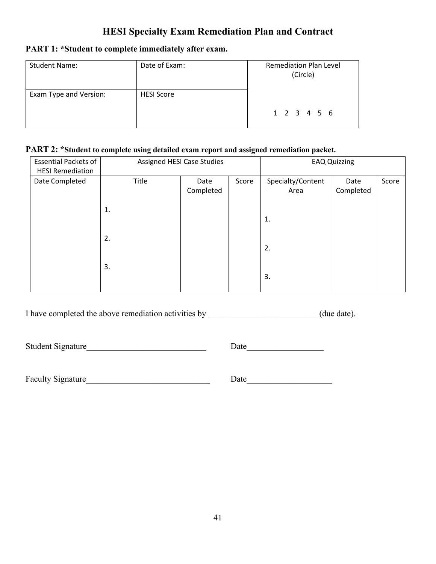# **HESI Specialty Exam Remediation Plan and Contract**

# **PART 1: \*Student to complete immediately after exam.**

| <b>Student Name:</b>   | Date of Exam:     | <b>Remediation Plan Level</b><br>(Circle) |
|------------------------|-------------------|-------------------------------------------|
| Exam Type and Version: | <b>HESI Score</b> | 1 2 3 4 5 6                               |

# **PART 2: \*Student to complete using detailed exam report and assigned remediation packet.**

| <b>Essential Packets of</b><br><b>HESI Remediation</b> |       | Assigned HESI Case Studies |       |                           | <b>EAQ Quizzing</b> |       |
|--------------------------------------------------------|-------|----------------------------|-------|---------------------------|---------------------|-------|
| Date Completed                                         | Title | Date<br>Completed          | Score | Specialty/Content<br>Area | Date<br>Completed   | Score |
|                                                        | 1.    |                            |       | 1.                        |                     |       |
|                                                        | 2.    |                            |       | 2.                        |                     |       |
|                                                        | 3.    |                            |       | 3.                        |                     |       |

I have completed the above remediation activities by \_\_\_\_\_\_\_\_\_\_\_\_\_\_\_\_\_\_\_\_\_\_(due date).

Student Signature\_\_\_\_\_\_\_\_\_\_\_\_\_\_\_\_\_\_\_\_\_\_\_\_\_\_\_\_ Date\_\_\_\_\_\_\_\_\_\_\_\_\_\_\_\_\_\_

Faculty Signature Date Date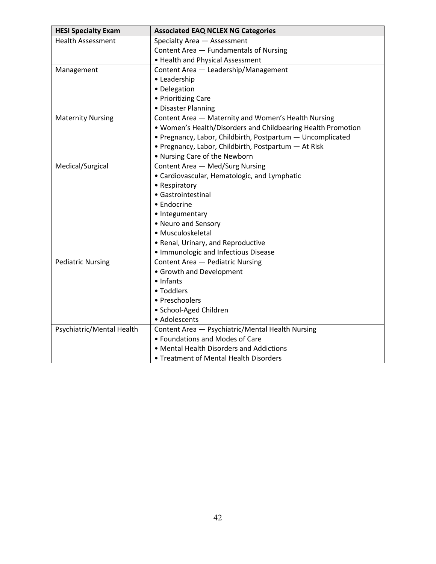| <b>HESI Specialty Exam</b> | <b>Associated EAQ NCLEX NG Categories</b>                    |  |
|----------------------------|--------------------------------------------------------------|--|
| <b>Health Assessment</b>   | Specialty Area - Assessment                                  |  |
|                            | Content Area - Fundamentals of Nursing                       |  |
|                            | • Health and Physical Assessment                             |  |
| Management                 | Content Area - Leadership/Management                         |  |
|                            | • Leadership                                                 |  |
|                            | • Delegation                                                 |  |
|                            | • Prioritizing Care                                          |  |
|                            | • Disaster Planning                                          |  |
| <b>Maternity Nursing</b>   | Content Area - Maternity and Women's Health Nursing          |  |
|                            | . Women's Health/Disorders and Childbearing Health Promotion |  |
|                            | • Pregnancy, Labor, Childbirth, Postpartum - Uncomplicated   |  |
|                            | • Pregnancy, Labor, Childbirth, Postpartum - At Risk         |  |
|                            | • Nursing Care of the Newborn                                |  |
| Medical/Surgical           | Content Area - Med/Surg Nursing                              |  |
|                            | • Cardiovascular, Hematologic, and Lymphatic                 |  |
|                            | • Respiratory                                                |  |
|                            | • Gastrointestinal                                           |  |
|                            | • Endocrine                                                  |  |
|                            | • Integumentary                                              |  |
|                            | • Neuro and Sensory                                          |  |
|                            | • Musculoskeletal                                            |  |
|                            | • Renal, Urinary, and Reproductive                           |  |
|                            | • Immunologic and Infectious Disease                         |  |
| <b>Pediatric Nursing</b>   | Content Area - Pediatric Nursing                             |  |
|                            | • Growth and Development                                     |  |
|                            | • Infants                                                    |  |
|                            | • Toddlers                                                   |  |
|                            | • Preschoolers                                               |  |
|                            | · School-Aged Children                                       |  |
|                            | • Adolescents                                                |  |
| Psychiatric/Mental Health  | Content Area - Psychiatric/Mental Health Nursing             |  |
|                            | • Foundations and Modes of Care                              |  |
|                            | • Mental Health Disorders and Addictions                     |  |
|                            | • Treatment of Mental Health Disorders                       |  |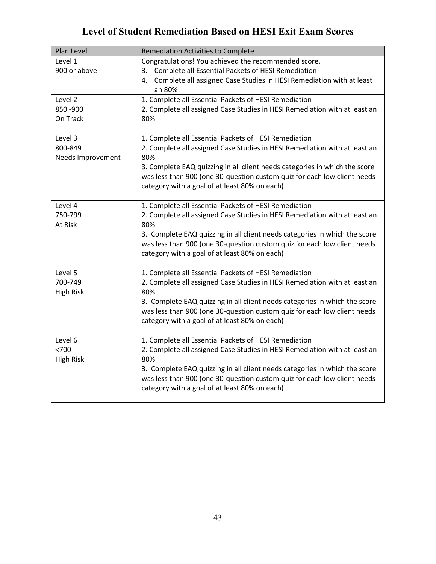# **Level of Student Remediation Based on HESI Exit Exam Scores**

| Plan Level                              | <b>Remediation Activities to Complete</b>                                                                                                                                                                                                                                                                                                             |
|-----------------------------------------|-------------------------------------------------------------------------------------------------------------------------------------------------------------------------------------------------------------------------------------------------------------------------------------------------------------------------------------------------------|
| Level 1<br>900 or above                 | Congratulations! You achieved the recommended score.<br>3. Complete all Essential Packets of HESI Remediation<br>4. Complete all assigned Case Studies in HESI Remediation with at least<br>an 80%                                                                                                                                                    |
| Level 2<br>850 - 900<br>On Track        | 1. Complete all Essential Packets of HESI Remediation<br>2. Complete all assigned Case Studies in HESI Remediation with at least an<br>80%                                                                                                                                                                                                            |
| Level 3<br>800-849<br>Needs Improvement | 1. Complete all Essential Packets of HESI Remediation<br>2. Complete all assigned Case Studies in HESI Remediation with at least an<br>80%<br>3. Complete EAQ quizzing in all client needs categories in which the score<br>was less than 900 (one 30-question custom quiz for each low client needs<br>category with a goal of at least 80% on each) |
| Level 4<br>750-799<br>At Risk           | 1. Complete all Essential Packets of HESI Remediation<br>2. Complete all assigned Case Studies in HESI Remediation with at least an<br>80%<br>3. Complete EAQ quizzing in all client needs categories in which the score<br>was less than 900 (one 30-question custom quiz for each low client needs<br>category with a goal of at least 80% on each) |
| Level 5<br>700-749<br><b>High Risk</b>  | 1. Complete all Essential Packets of HESI Remediation<br>2. Complete all assigned Case Studies in HESI Remediation with at least an<br>80%<br>3. Complete EAQ quizzing in all client needs categories in which the score<br>was less than 900 (one 30-question custom quiz for each low client needs<br>category with a goal of at least 80% on each) |
| Level 6<br>< 700<br><b>High Risk</b>    | 1. Complete all Essential Packets of HESI Remediation<br>2. Complete all assigned Case Studies in HESI Remediation with at least an<br>80%<br>3. Complete EAQ quizzing in all client needs categories in which the score<br>was less than 900 (one 30-question custom quiz for each low client needs<br>category with a goal of at least 80% on each) |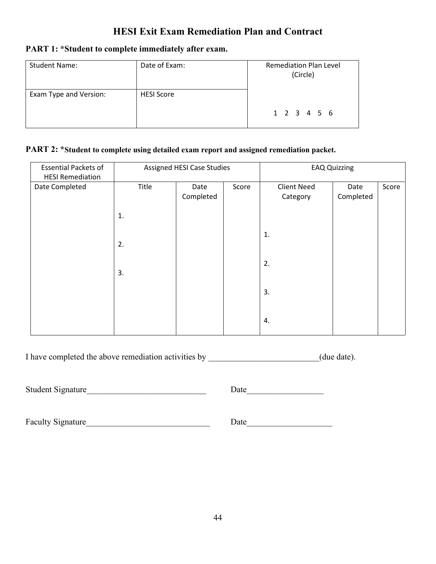# **HESI Exit Exam Remediation Plan and Contract**

# **PART 1: \*Student to complete immediately after exam.**

| <b>Student Name:</b>   | Date of Exam:     | <b>Remediation Plan Level</b><br>(Circle) |
|------------------------|-------------------|-------------------------------------------|
| Exam Type and Version: | <b>HESI Score</b> | 1 2 3 4 5 6                               |

# **PART 2: \*Student to complete using detailed exam report and assigned remediation packet.**

| <b>Essential Packets of</b>               | Assigned HESI Case Studies |           |       | <b>EAQ Quizzing</b> |           |       |
|-------------------------------------------|----------------------------|-----------|-------|---------------------|-----------|-------|
| <b>HESI Remediation</b><br>Date Completed | Title                      | Date      | Score | <b>Client Need</b>  | Date      | Score |
|                                           |                            | Completed |       | Category            | Completed |       |
|                                           |                            |           |       |                     |           |       |
|                                           | 1.                         |           |       |                     |           |       |
|                                           |                            |           |       |                     |           |       |
|                                           |                            |           |       | 1.                  |           |       |
|                                           | 2.                         |           |       |                     |           |       |
|                                           |                            |           |       |                     |           |       |
|                                           | 3.                         |           |       | 2.                  |           |       |
|                                           |                            |           |       |                     |           |       |
|                                           |                            |           |       | 3.                  |           |       |
|                                           |                            |           |       |                     |           |       |
|                                           |                            |           |       |                     |           |       |
|                                           |                            |           |       | 4.                  |           |       |
|                                           |                            |           |       |                     |           |       |

I have completed the above remediation activities by \_\_\_\_\_\_\_\_\_\_\_\_\_\_\_\_\_\_\_\_\_\_\_(due date).

Student Signature\_\_\_\_\_\_\_\_\_\_\_\_\_\_\_\_\_\_\_\_\_\_\_\_\_\_\_\_ Date\_\_\_\_\_\_\_\_\_\_\_\_\_\_\_\_\_\_

Faculty Signature\_\_\_\_\_\_\_\_\_\_\_\_\_\_\_\_\_\_\_\_\_\_\_\_\_\_\_\_\_ Date\_\_\_\_\_\_\_\_\_\_\_\_\_\_\_\_\_\_\_\_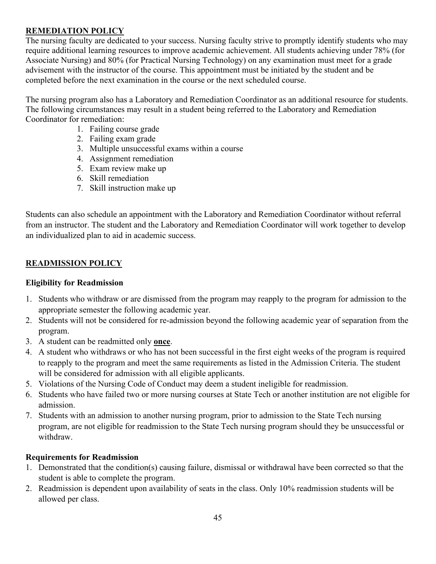# **REMEDIATION POLICY**

The nursing faculty are dedicated to your success. Nursing faculty strive to promptly identify students who may require additional learning resources to improve academic achievement. All students achieving under 78% (for Associate Nursing) and 80% (for Practical Nursing Technology) on any examination must meet for a grade advisement with the instructor of the course. This appointment must be initiated by the student and be completed before the next examination in the course or the next scheduled course.

The nursing program also has a Laboratory and Remediation Coordinator as an additional resource for students. The following circumstances may result in a student being referred to the Laboratory and Remediation Coordinator for remediation:

- 1. Failing course grade
- 2. Failing exam grade
- 3. Multiple unsuccessful exams within a course
- 4. Assignment remediation
- 5. Exam review make up
- 6. Skill remediation
- 7. Skill instruction make up

Students can also schedule an appointment with the Laboratory and Remediation Coordinator without referral from an instructor. The student and the Laboratory and Remediation Coordinator will work together to develop an individualized plan to aid in academic success.

# **READMISSION POLICY**

# **Eligibility for Readmission**

- 1. Students who withdraw or are dismissed from the program may reapply to the program for admission to the appropriate semester the following academic year.
- 2. Students will not be considered for re-admission beyond the following academic year of separation from the program.
- 3. A student can be readmitted only **once**.
- 4. A student who withdraws or who has not been successful in the first eight weeks of the program is required to reapply to the program and meet the same requirements as listed in the Admission Criteria. The student will be considered for admission with all eligible applicants.
- 5. Violations of the Nursing Code of Conduct may deem a student ineligible for readmission.
- 6. Students who have failed two or more nursing courses at State Tech or another institution are not eligible for admission.
- 7. Students with an admission to another nursing program, prior to admission to the State Tech nursing program, are not eligible for readmission to the State Tech nursing program should they be unsuccessful or withdraw.

# **Requirements for Readmission**

- 1. Demonstrated that the condition(s) causing failure, dismissal or withdrawal have been corrected so that the student is able to complete the program.
- 2. Readmission is dependent upon availability of seats in the class. Only 10% readmission students will be allowed per class.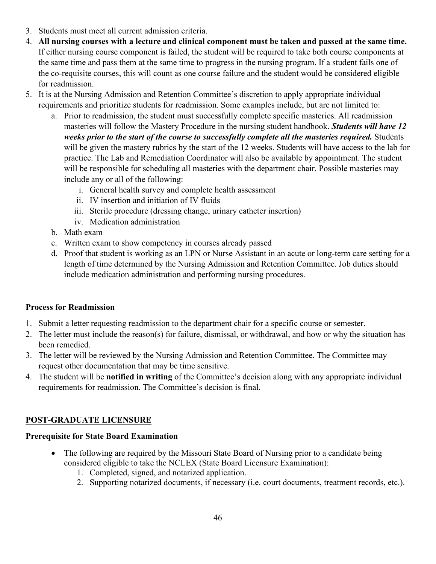- 3. Students must meet all current admission criteria.
- 4. **All nursing courses with a lecture and clinical component must be taken and passed at the same time.** If either nursing course component is failed, the student will be required to take both course components at the same time and pass them at the same time to progress in the nursing program. If a student fails one of the co-requisite courses, this will count as one course failure and the student would be considered eligible for readmission.
- 5. It is at the Nursing Admission and Retention Committee's discretion to apply appropriate individual requirements and prioritize students for readmission. Some examples include, but are not limited to:
	- a. Prior to readmission, the student must successfully complete specific masteries. All readmission masteries will follow the Mastery Procedure in the nursing student handbook. *Students will have 12 weeks prior to the start of the course to successfully complete all the masteries required.* Students will be given the mastery rubrics by the start of the 12 weeks. Students will have access to the lab for practice. The Lab and Remediation Coordinator will also be available by appointment. The student will be responsible for scheduling all masteries with the department chair. Possible masteries may include any or all of the following:
		- i. General health survey and complete health assessment
		- ii. IV insertion and initiation of IV fluids
		- iii. Sterile procedure (dressing change, urinary catheter insertion)
		- iv. Medication administration
	- b. Math exam
	- c. Written exam to show competency in courses already passed
	- d. Proof that student is working as an LPN or Nurse Assistant in an acute or long-term care setting for a length of time determined by the Nursing Admission and Retention Committee. Job duties should include medication administration and performing nursing procedures.

# **Process for Readmission**

- 1. Submit a letter requesting readmission to the department chair for a specific course or semester.
- 2. The letter must include the reason(s) for failure, dismissal, or withdrawal, and how or why the situation has been remedied.
- 3. The letter will be reviewed by the Nursing Admission and Retention Committee. The Committee may request other documentation that may be time sensitive.
- 4. The student will be **notified in writing** of the Committee's decision along with any appropriate individual requirements for readmission. The Committee's decision is final.

# **POST-GRADUATE LICENSURE**

# **Prerequisite for State Board Examination**

- The following are required by the Missouri State Board of Nursing prior to a candidate being considered eligible to take the NCLEX (State Board Licensure Examination):
	- 1. Completed, signed, and notarized application.
	- 2. Supporting notarized documents, if necessary (i.e. court documents, treatment records, etc.).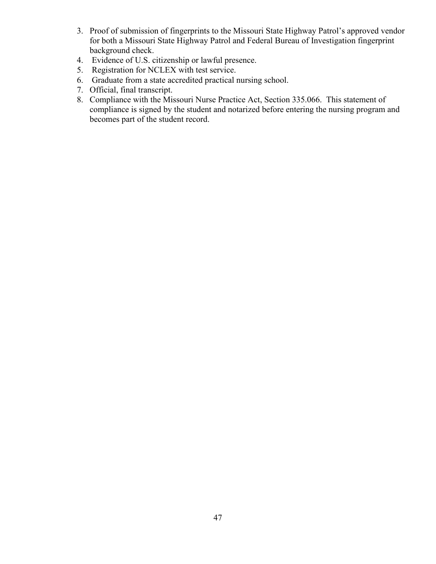- 3. Proof of submission of fingerprints to the Missouri State Highway Patrol's approved vendor for both a Missouri State Highway Patrol and Federal Bureau of Investigation fingerprint background check.
- 4. Evidence of U.S. citizenship or lawful presence.
- 5. Registration for NCLEX with test service.
- 6. Graduate from a state accredited practical nursing school.
- 7. Official, final transcript.
- 8. Compliance with the Missouri Nurse Practice Act, Section 335.066. This statement of compliance is signed by the student and notarized before entering the nursing program and becomes part of the student record.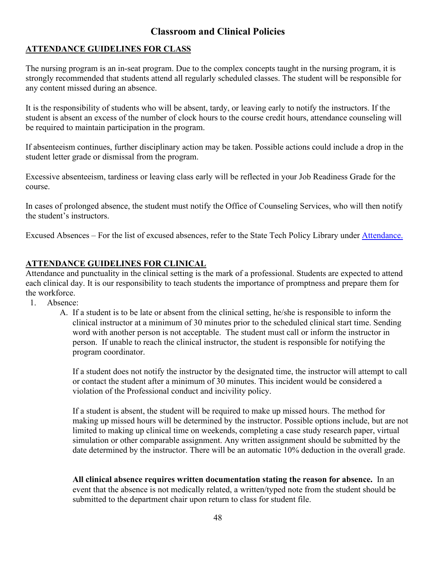# **Classroom and Clinical Policies**

# **ATTENDANCE GUIDELINES FOR CLASS**

The nursing program is an in-seat program. Due to the complex concepts taught in the nursing program, it is strongly recommended that students attend all regularly scheduled classes. The student will be responsible for any content missed during an absence.

It is the responsibility of students who will be absent, tardy, or leaving early to notify the instructors. If the student is absent an excess of the number of clock hours to the course credit hours, attendance counseling will be required to maintain participation in the program.

If absenteeism continues, further disciplinary action may be taken. Possible actions could include a drop in the student letter grade or dismissal from the program.

Excessive absenteeism, tardiness or leaving class early will be reflected in your Job Readiness Grade for the course.

In cases of prolonged absence, the student must notify the Office of Counseling Services, who will then notify the student's instructors.

Excused Absences – For the list of excused absences, refer to the State Tech Policy Library under [Attendance.](https://www.statetechmo.edu/attendance/) 

# **ATTENDANCE GUIDELINES FOR CLINICAL**

Attendance and punctuality in the clinical setting is the mark of a professional. Students are expected to attend each clinical day. It is our responsibility to teach students the importance of promptness and prepare them for the workforce.

- 1. Absence:
	- A. If a student is to be late or absent from the clinical setting, he/she is responsible to inform the clinical instructor at a minimum of 30 minutes prior to the scheduled clinical start time. Sending word with another person is not acceptable. The student must call or inform the instructor in person. If unable to reach the clinical instructor, the student is responsible for notifying the program coordinator.

If a student does not notify the instructor by the designated time, the instructor will attempt to call or contact the student after a minimum of 30 minutes. This incident would be considered a violation of the Professional conduct and incivility policy.

If a student is absent, the student will be required to make up missed hours. The method for making up missed hours will be determined by the instructor. Possible options include, but are not limited to making up clinical time on weekends, completing a case study research paper, virtual simulation or other comparable assignment. Any written assignment should be submitted by the date determined by the instructor. There will be an automatic 10% deduction in the overall grade.

**All clinical absence requires written documentation stating the reason for absence.** In an event that the absence is not medically related, a written/typed note from the student should be submitted to the department chair upon return to class for student file.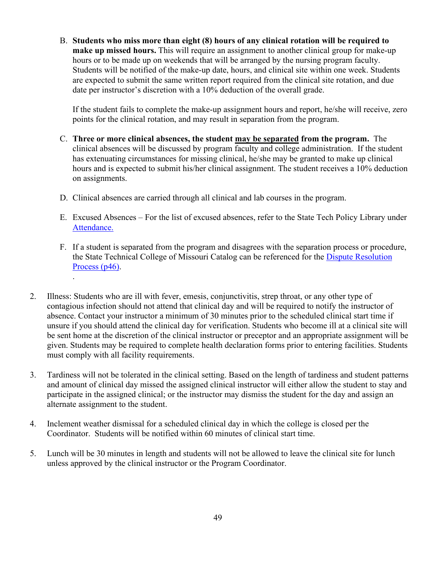B. **Students who miss more than eight (8) hours of any clinical rotation will be required to make up missed hours.** This will require an assignment to another clinical group for make-up hours or to be made up on weekends that will be arranged by the nursing program faculty. Students will be notified of the make-up date, hours, and clinical site within one week. Students are expected to submit the same written report required from the clinical site rotation, and due date per instructor's discretion with a 10% deduction of the overall grade.

If the student fails to complete the make-up assignment hours and report, he/she will receive, zero points for the clinical rotation, and may result in separation from the program.

- C. **Three or more clinical absences, the student may be separated from the program.** The clinical absences will be discussed by program faculty and college administration. If the student has extenuating circumstances for missing clinical, he/she may be granted to make up clinical hours and is expected to submit his/her clinical assignment. The student receives a 10% deduction on assignments.
- D. Clinical absences are carried through all clinical and lab courses in the program.

.

- E. Excused Absences For the list of excused absences, refer to the State Tech Policy Library under [Attendance.](https://www.statetechmo.edu/attendance/)
- F. If a student is separated from the program and disagrees with the separation process or procedure, the State Technical College of Missouri Catalog can be referenced for the [Dispute Resolution](https://www.statetechmo.edu/wp-content/uploads/2021/07/2021-2022-State-Tech-College-Catalog-Policies.pdf)  [Process \(p46\).](https://www.statetechmo.edu/wp-content/uploads/2021/07/2021-2022-State-Tech-College-Catalog-Policies.pdf)
- 2. Illness: Students who are ill with fever, emesis, conjunctivitis, strep throat, or any other type of contagious infection should not attend that clinical day and will be required to notify the instructor of absence. Contact your instructor a minimum of 30 minutes prior to the scheduled clinical start time if unsure if you should attend the clinical day for verification. Students who become ill at a clinical site will be sent home at the discretion of the clinical instructor or preceptor and an appropriate assignment will be given. Students may be required to complete health declaration forms prior to entering facilities. Students must comply with all facility requirements.
- 3. Tardiness will not be tolerated in the clinical setting. Based on the length of tardiness and student patterns and amount of clinical day missed the assigned clinical instructor will either allow the student to stay and participate in the assigned clinical; or the instructor may dismiss the student for the day and assign an alternate assignment to the student.
- 4. Inclement weather dismissal for a scheduled clinical day in which the college is closed per the Coordinator. Students will be notified within 60 minutes of clinical start time.
- 5. Lunch will be 30 minutes in length and students will not be allowed to leave the clinical site for lunch unless approved by the clinical instructor or the Program Coordinator.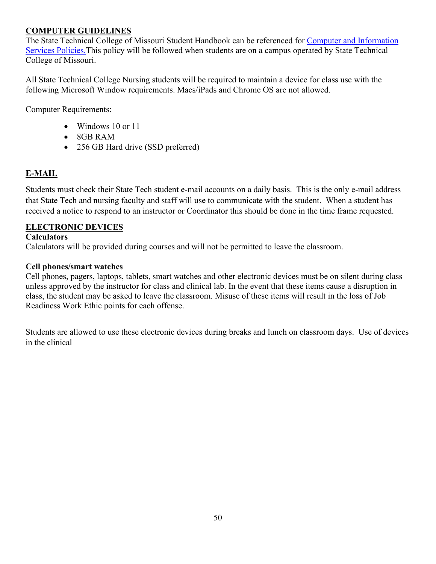# **COMPUTER GUIDELINES**

The State Technical College of Missouri Student Handbook can be referenced for [Computer and Information](https://www.statetechmo.edu/policy/)  [Services Policies.T](https://www.statetechmo.edu/policy/)his policy will be followed when students are on a campus operated by State Technical College of Missouri.

All State Technical College Nursing students will be required to maintain a device for class use with the following Microsoft Window requirements. Macs/iPads and Chrome OS are not allowed.

Computer Requirements:

- Windows 10 or 11
- 8GB RAM
- 256 GB Hard drive (SSD preferred)

# **E-MAIL**

Students must check their State Tech student e-mail accounts on a daily basis. This is the only e-mail address that State Tech and nursing faculty and staff will use to communicate with the student. When a student has received a notice to respond to an instructor or Coordinator this should be done in the time frame requested.

# **ELECTRONIC DEVICES**

# **Calculators**

Calculators will be provided during courses and will not be permitted to leave the classroom.

#### **Cell phones/smart watches**

Cell phones, pagers, laptops, tablets, smart watches and other electronic devices must be on silent during class unless approved by the instructor for class and clinical lab. In the event that these items cause a disruption in class, the student may be asked to leave the classroom. Misuse of these items will result in the loss of Job Readiness Work Ethic points for each offense.

Students are allowed to use these electronic devices during breaks and lunch on classroom days. Use of devices in the clinical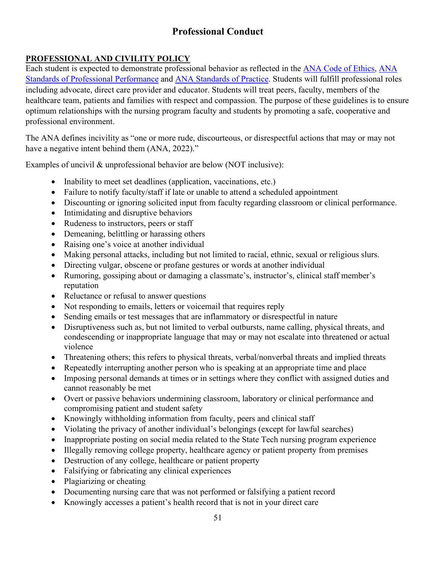# **Professional Conduct**

# **PROFESSIONAL AND CIVILITY POLICY**

Each student is expected to demonstrate professional behavior as reflected in the [ANA Code of Ethics,](https://www.nursingworld.org/coe-view-only) [ANA](https://www.nursingworld.org/%7E4af71a/globalassets/catalog/book-toc/nssp3e-sample-chapter.pdf)  [Standards of Professional Performance](https://www.nursingworld.org/%7E4af71a/globalassets/catalog/book-toc/nssp3e-sample-chapter.pdf) and [ANA Standards of Practice.](https://www.nursingworld.org/%7E4af71a/globalassets/catalog/book-toc/nssp3e-sample-chapter.pdf) Students will fulfill professional roles including advocate, direct care provider and educator. Students will treat peers, faculty, members of the healthcare team, patients and families with respect and compassion. The purpose of these guidelines is to ensure optimum relationships with the nursing program faculty and students by promoting a safe, cooperative and professional environment.

The ANA defines incivility as "one or more rude, discourteous, or disrespectful actions that may or may not have a negative intent behind them (ANA, 2022)."

Examples of uncivil & unprofessional behavior are below (NOT inclusive):

- Inability to meet set deadlines (application, vaccinations, etc.)
- Failure to notify faculty/staff if late or unable to attend a scheduled appointment
- Discounting or ignoring solicited input from faculty regarding classroom or clinical performance.
- Intimidating and disruptive behaviors
- Rudeness to instructors, peers or staff
- Demeaning, belittling or harassing others
- Raising one's voice at another individual
- Making personal attacks, including but not limited to racial, ethnic, sexual or religious slurs.
- Directing vulgar, obscene or profane gestures or words at another individual
- Rumoring, gossiping about or damaging a classmate's, instructor's, clinical staff member's reputation
- Reluctance or refusal to answer questions
- Not responding to emails, letters or voicemail that requires reply
- Sending emails or test messages that are inflammatory or disrespectful in nature
- Disruptiveness such as, but not limited to verbal outbursts, name calling, physical threats, and condescending or inappropriate language that may or may not escalate into threatened or actual violence
- Threatening others; this refers to physical threats, verbal/nonverbal threats and implied threats
- Repeatedly interrupting another person who is speaking at an appropriate time and place
- Imposing personal demands at times or in settings where they conflict with assigned duties and cannot reasonably be met
- Overt or passive behaviors undermining classroom, laboratory or clinical performance and compromising patient and student safety
- Knowingly withholding information from faculty, peers and clinical staff
- Violating the privacy of another individual's belongings (except for lawful searches)
- Inappropriate posting on social media related to the State Tech nursing program experience
- Illegally removing college property, healthcare agency or patient property from premises
- Destruction of any college, healthcare or patient property
- Falsifying or fabricating any clinical experiences
- Plagiarizing or cheating
- Documenting nursing care that was not performed or falsifying a patient record
- Knowingly accesses a patient's health record that is not in your direct care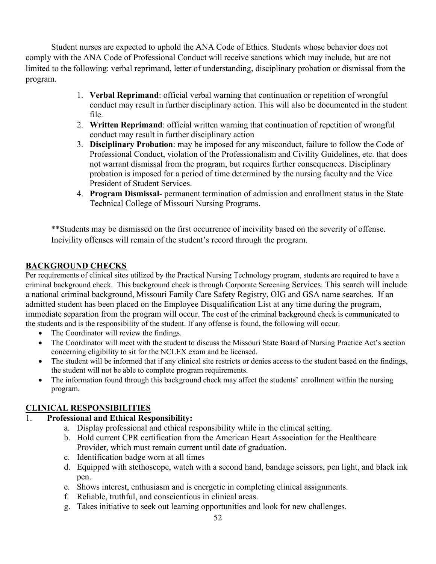Student nurses are expected to uphold the ANA Code of Ethics. Students whose behavior does not comply with the ANA Code of Professional Conduct will receive sanctions which may include, but are not limited to the following: verbal reprimand, letter of understanding, disciplinary probation or dismissal from the program.

- 1. **Verbal Reprimand**: official verbal warning that continuation or repetition of wrongful conduct may result in further disciplinary action. This will also be documented in the student file.
- 2. **Written Reprimand**: official written warning that continuation of repetition of wrongful conduct may result in further disciplinary action
- 3. **Disciplinary Probation**: may be imposed for any misconduct, failure to follow the Code of Professional Conduct, violation of the Professionalism and Civility Guidelines, etc. that does not warrant dismissal from the program, but requires further consequences. Disciplinary probation is imposed for a period of time determined by the nursing faculty and the Vice President of Student Services.
- 4. **Program Dismissal** permanent termination of admission and enrollment status in the State Technical College of Missouri Nursing Programs.

\*\*Students may be dismissed on the first occurrence of incivility based on the severity of offense. Incivility offenses will remain of the student's record through the program.

# **BACKGROUND CHECKS**

Per requirements of clinical sites utilized by the Practical Nursing Technology program, students are required to have a criminal background check. This background check is through Corporate Screening Services. This search will include a national criminal background, Missouri Family Care Safety Registry, OIG and GSA name searches. If an admitted student has been placed on the Employee Disqualification List at any time during the program, immediate separation from the program will occur. The cost of the criminal background check is communicated to the students and is the responsibility of the student. If any offense is found, the following will occur.

- The Coordinator will review the findings.
- The Coordinator will meet with the student to discuss the Missouri State Board of Nursing Practice Act's section concerning eligibility to sit for the NCLEX exam and be licensed.
- The student will be informed that if any clinical site restricts or denies access to the student based on the findings, the student will not be able to complete program requirements.
- The information found through this background check may affect the students' enrollment within the nursing program.

# **CLINICAL RESPONSIBILITIES**

# 1. **Professional and Ethical Responsibility:**

- a. Display professional and ethical responsibility while in the clinical setting.
- b. Hold current CPR certification from the American Heart Association for the Healthcare Provider, which must remain current until date of graduation.
- c. Identification badge worn at all times
- d. Equipped with stethoscope, watch with a second hand, bandage scissors, pen light, and black ink pen.
- e. Shows interest, enthusiasm and is energetic in completing clinical assignments.
- f. Reliable, truthful, and conscientious in clinical areas.
- g. Takes initiative to seek out learning opportunities and look for new challenges.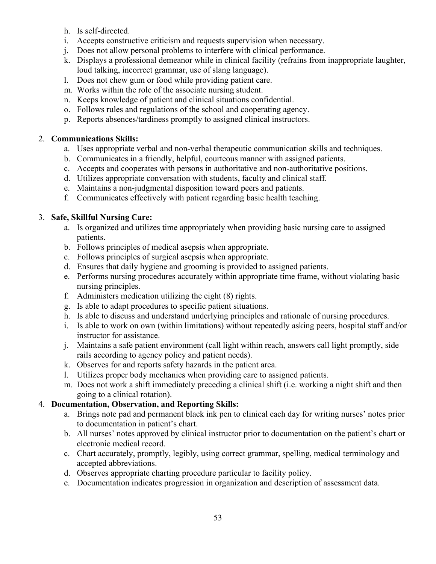- h. Is self-directed.
- i. Accepts constructive criticism and requests supervision when necessary.
- j. Does not allow personal problems to interfere with clinical performance.
- k. Displays a professional demeanor while in clinical facility (refrains from inappropriate laughter, loud talking, incorrect grammar, use of slang language).
- l. Does not chew gum or food while providing patient care.
- m. Works within the role of the associate nursing student.
- n. Keeps knowledge of patient and clinical situations confidential.
- o. Follows rules and regulations of the school and cooperating agency.
- p. Reports absences/tardiness promptly to assigned clinical instructors.

# 2. **Communications Skills:**

- a. Uses appropriate verbal and non-verbal therapeutic communication skills and techniques.
- b. Communicates in a friendly, helpful, courteous manner with assigned patients.
- c. Accepts and cooperates with persons in authoritative and non-authoritative positions.
- d. Utilizes appropriate conversation with students, faculty and clinical staff.
- e. Maintains a non-judgmental disposition toward peers and patients.
- f. Communicates effectively with patient regarding basic health teaching.

# 3. **Safe, Skillful Nursing Care:**

- a. Is organized and utilizes time appropriately when providing basic nursing care to assigned patients.
- b. Follows principles of medical asepsis when appropriate.
- c. Follows principles of surgical asepsis when appropriate.
- d. Ensures that daily hygiene and grooming is provided to assigned patients.
- e. Performs nursing procedures accurately within appropriate time frame, without violating basic nursing principles.
- f. Administers medication utilizing the eight (8) rights.
- g. Is able to adapt procedures to specific patient situations.
- h. Is able to discuss and understand underlying principles and rationale of nursing procedures.
- i. Is able to work on own (within limitations) without repeatedly asking peers, hospital staff and/or instructor for assistance.
- j. Maintains a safe patient environment (call light within reach, answers call light promptly, side rails according to agency policy and patient needs).
- k. Observes for and reports safety hazards in the patient area.
- l. Utilizes proper body mechanics when providing care to assigned patients.
- m. Does not work a shift immediately preceding a clinical shift (i.e. working a night shift and then going to a clinical rotation).

# 4. **Documentation, Observation, and Reporting Skills:**

- a. Brings note pad and permanent black ink pen to clinical each day for writing nurses' notes prior to documentation in patient's chart.
- b. All nurses' notes approved by clinical instructor prior to documentation on the patient's chart or electronic medical record.
- c. Chart accurately, promptly, legibly, using correct grammar, spelling, medical terminology and accepted abbreviations.
- d. Observes appropriate charting procedure particular to facility policy.
- e. Documentation indicates progression in organization and description of assessment data.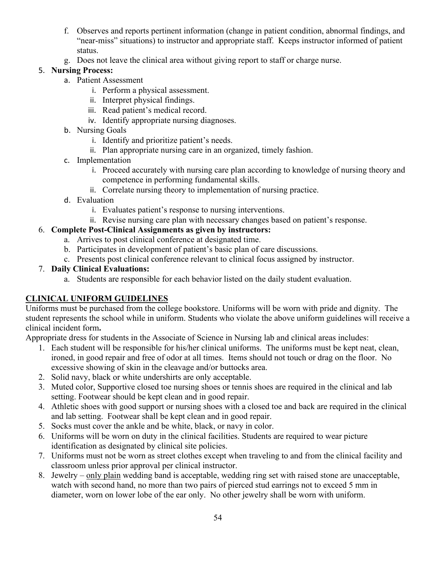- f. Observes and reports pertinent information (change in patient condition, abnormal findings, and "near-miss" situations) to instructor and appropriate staff. Keeps instructor informed of patient status.
- g. Does not leave the clinical area without giving report to staff or charge nurse.

# 5. **Nursing Process:**

- a. Patient Assessment
	- i. Perform a physical assessment.
	- ii. Interpret physical findings.
	- iii. Read patient's medical record.
	- iv. Identify appropriate nursing diagnoses.
- b. Nursing Goals
	- i. Identify and prioritize patient's needs.
	- ii. Plan appropriate nursing care in an organized, timely fashion.
- c. Implementation
	- i. Proceed accurately with nursing care plan according to knowledge of nursing theory and competence in performing fundamental skills.
	- ii. Correlate nursing theory to implementation of nursing practice.
- d. Evaluation
	- i. Evaluates patient's response to nursing interventions.
	- ii. Revise nursing care plan with necessary changes based on patient's response.

# 6. **Complete Post-Clinical Assignments as given by instructors:**

- a. Arrives to post clinical conference at designated time.
- b. Participates in development of patient's basic plan of care discussions.
- c. Presents post clinical conference relevant to clinical focus assigned by instructor.

# 7. **Daily Clinical Evaluations:**

a. Students are responsible for each behavior listed on the daily student evaluation.

# **CLINICAL UNIFORM GUIDELINES**

Uniforms must be purchased from the college bookstore. Uniforms will be worn with pride and dignity. The student represents the school while in uniform. Students who violate the above uniform guidelines will receive a clinical incident form**.** 

Appropriate dress for students in the Associate of Science in Nursing lab and clinical areas includes:

- 1. Each student will be responsible for his/her clinical uniforms. The uniforms must be kept neat, clean, ironed, in good repair and free of odor at all times. Items should not touch or drag on the floor. No excessive showing of skin in the cleavage and/or buttocks area.
- 2. Solid navy, black or white undershirts are only acceptable.
- 3. Muted color, Supportive closed toe nursing shoes or tennis shoes are required in the clinical and lab setting. Footwear should be kept clean and in good repair.
- 4. Athletic shoes with good support or nursing shoes with a closed toe and back are required in the clinical and lab setting. Footwear shall be kept clean and in good repair.
- 5. Socks must cover the ankle and be white, black, or navy in color.
- 6. Uniforms will be worn on duty in the clinical facilities. Students are required to wear picture identification as designated by clinical site policies.
- 7. Uniforms must not be worn as street clothes except when traveling to and from the clinical facility and classroom unless prior approval per clinical instructor.
- 8. Jewelry only plain wedding band is acceptable, wedding ring set with raised stone are unacceptable, watch with second hand, no more than two pairs of pierced stud earrings not to exceed 5 mm in diameter, worn on lower lobe of the ear only. No other jewelry shall be worn with uniform.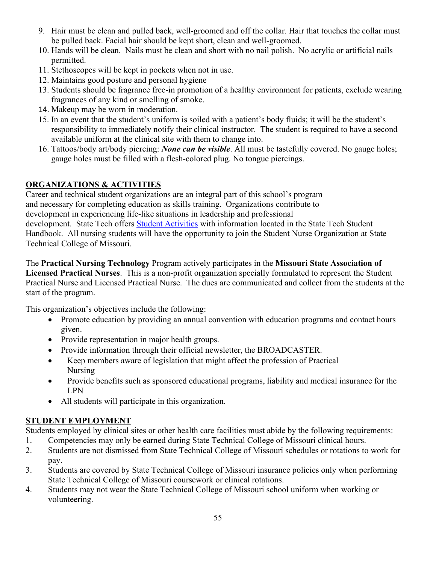- 9. Hair must be clean and pulled back, well-groomed and off the collar. Hair that touches the collar must be pulled back. Facial hair should be kept short, clean and well-groomed.
- 10. Hands will be clean. Nails must be clean and short with no nail polish. No acrylic or artificial nails permitted.
- 11. Stethoscopes will be kept in pockets when not in use.
- 12. Maintains good posture and personal hygiene
- 13. Students should be fragrance free-in promotion of a healthy environment for patients, exclude wearing fragrances of any kind or smelling of smoke.
- 14. Makeup may be worn in moderation.
- 15. In an event that the student's uniform is soiled with a patient's body fluids; it will be the student's responsibility to immediately notify their clinical instructor. The student is required to have a second available uniform at the clinical site with them to change into.
- 16. Tattoos/body art/body piercing: *None can be visible*. All must be tastefully covered. No gauge holes; gauge holes must be filled with a flesh-colored plug. No tongue piercings.

# **ORGANIZATIONS & ACTIVITIES**

Career and technical student organizations are an integral part of this school's program and necessary for completing education as skills training. Organizations contribute to development in experiencing life-like situations in leadership and professional development. State Tech offers [Student Activities](https://www.statetechmo.edu/campus-life/) with information located in the State Tech Student Handbook. All nursing students will have the opportunity to join the Student Nurse Organization at State Technical College of Missouri.

The **Practical Nursing Technology** Program actively participates in the **Missouri State Association of Licensed Practical Nurses**. This is a non-profit organization specially formulated to represent the Student Practical Nurse and Licensed Practical Nurse. The dues are communicated and collect from the students at the start of the program.

This organization's objectives include the following:

- Promote education by providing an annual convention with education programs and contact hours given.
- Provide representation in major health groups.
- Provide information through their official newsletter, the BROADCASTER.
- Keep members aware of legislation that might affect the profession of Practical Nursing
- Provide benefits such as sponsored educational programs, liability and medical insurance for the LPN
- All students will participate in this organization.

# **STUDENT EMPLOYMENT**

Students employed by clinical sites or other health care facilities must abide by the following requirements:

- 1. Competencies may only be earned during State Technical College of Missouri clinical hours.
- 2. Students are not dismissed from State Technical College of Missouri schedules or rotations to work for pay.
- 3. Students are covered by State Technical College of Missouri insurance policies only when performing State Technical College of Missouri coursework or clinical rotations.
- 4. Students may not wear the State Technical College of Missouri school uniform when working or volunteering.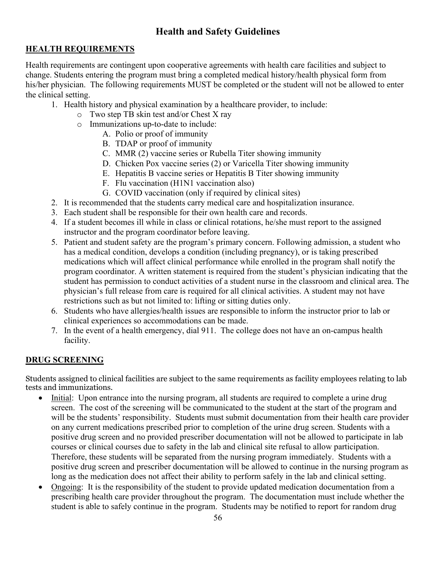# **Health and Safety Guidelines**

# **HEALTH REQUIREMENTS**

Health requirements are contingent upon cooperative agreements with health care facilities and subject to change. Students entering the program must bring a completed medical history/health physical form from his/her physician. The following requirements MUST be completed or the student will not be allowed to enter the clinical setting.

- 1. Health history and physical examination by a healthcare provider, to include:
	- o Two step TB skin test and/or Chest X ray
	- o Immunizations up-to-date to include:
		- A. Polio or proof of immunity
		- B. TDAP or proof of immunity
		- C. MMR (2) vaccine series or Rubella Titer showing immunity
		- D. Chicken Pox vaccine series (2) or Varicella Titer showing immunity
		- E. Hepatitis B vaccine series or Hepatitis B Titer showing immunity
		- F. Flu vaccination (H1N1 vaccination also)
		- G. COVID vaccination (only if required by clinical sites)
- 2. It is recommended that the students carry medical care and hospitalization insurance.
- 3. Each student shall be responsible for their own health care and records.
- 4. If a student becomes ill while in class or clinical rotations, he/she must report to the assigned instructor and the program coordinator before leaving.
- 5. Patient and student safety are the program's primary concern. Following admission, a student who has a medical condition, develops a condition (including pregnancy), or is taking prescribed medications which will affect clinical performance while enrolled in the program shall notify the program coordinator. A written statement is required from the student's physician indicating that the student has permission to conduct activities of a student nurse in the classroom and clinical area. The physician's full release from care is required for all clinical activities. A student may not have restrictions such as but not limited to: lifting or sitting duties only.
- 6. Students who have allergies/health issues are responsible to inform the instructor prior to lab or clinical experiences so accommodations can be made.
- 7. In the event of a health emergency, dial 911. The college does not have an on-campus health facility.

# **DRUG SCREENING**

Students assigned to clinical facilities are subject to the same requirements as facility employees relating to lab tests and immunizations.

- Initial: Upon entrance into the nursing program, all students are required to complete a urine drug screen. The cost of the screening will be communicated to the student at the start of the program and will be the students' responsibility. Students must submit documentation from their health care provider on any current medications prescribed prior to completion of the urine drug screen. Students with a positive drug screen and no provided prescriber documentation will not be allowed to participate in lab courses or clinical courses due to safety in the lab and clinical site refusal to allow participation. Therefore, these students will be separated from the nursing program immediately. Students with a positive drug screen and prescriber documentation will be allowed to continue in the nursing program as long as the medication does not affect their ability to perform safely in the lab and clinical setting.
- Ongoing: It is the responsibility of the student to provide updated medication documentation from a prescribing health care provider throughout the program. The documentation must include whether the student is able to safely continue in the program. Students may be notified to report for random drug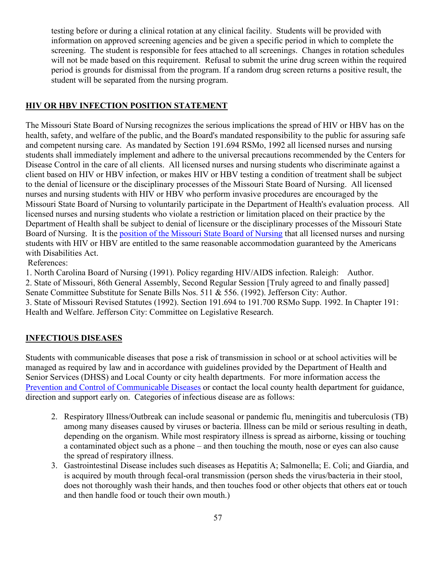testing before or during a clinical rotation at any clinical facility. Students will be provided with information on approved screening agencies and be given a specific period in which to complete the screening. The student is responsible for fees attached to all screenings. Changes in rotation schedules will not be made based on this requirement. Refusal to submit the urine drug screen within the required period is grounds for dismissal from the program. If a random drug screen returns a positive result, the student will be separated from the nursing program.

#### **HIV OR HBV INFECTION POSITION STATEMENT**

The Missouri State Board of Nursing recognizes the serious implications the spread of HIV or HBV has on the health, safety, and welfare of the public, and the Board's mandated responsibility to the public for assuring safe and competent nursing care. As mandated by Section 191.694 RSMo, 1992 all licensed nurses and nursing students shall immediately implement and adhere to the universal precautions recommended by the Centers for Disease Control in the care of all clients. All licensed nurses and nursing students who discriminate against a client based on HIV or HBV infection, or makes HIV or HBV testing a condition of treatment shall be subject to the denial of licensure or the disciplinary processes of the Missouri State Board of Nursing. All licensed nurses and nursing students with HIV or HBV who perform invasive procedures are encouraged by the Missouri State Board of Nursing to voluntarily participate in the Department of Health's evaluation process. All licensed nurses and nursing students who violate a restriction or limitation placed on their practice by the Department of Health shall be subject to denial of licensure or the disciplinary processes of the Missouri State Board of Nursing. It is the [position of the Missouri State Board of Nursing](http://www.pr.mo.gov/boards/nursing/positionstatements/Hiv%20or%20Hbv%20Infection.pdf) that all licensed nurses and nursing students with HIV or HBV are entitled to the same reasonable accommodation guaranteed by the Americans with Disabilities Act.

References:

1. North Carolina Board of Nursing (1991). Policy regarding HIV/AIDS infection. Raleigh: Author. 2. State of Missouri, 86th General Assembly, Second Regular Session [Truly agreed to and finally passed] Senate Committee Substitute for Senate Bills Nos. 511 & 556. (1992). Jefferson City: Author. 3. State of Missouri Revised Statutes (1992). Section 191.694 to 191.700 RSMo Supp. 1992. In Chapter 191: Health and Welfare. Jefferson City: Committee on Legislative Research.

#### **INFECTIOUS DISEASES**

Students with communicable diseases that pose a risk of transmission in school or at school activities will be managed as required by law and in accordance with guidelines provided by the Department of Health and Senior Services (DHSS) and Local County or city health departments. For more information access the [Prevention and Control of Communicable Diseases](https://health.mo.gov/living/healthcondiseases/communicable/) or contact the local county health department for guidance, direction and support early on. Categories of infectious disease are as follows:

- 2. Respiratory Illness/Outbreak can include seasonal or pandemic flu, meningitis and tuberculosis (TB) among many diseases caused by viruses or bacteria. Illness can be mild or serious resulting in death, depending on the organism. While most respiratory illness is spread as airborne, kissing or touching a contaminated object such as a phone – and then touching the mouth, nose or eyes can also cause the spread of respiratory illness.
- 3. Gastrointestinal Disease includes such diseases as Hepatitis A; Salmonella; E. Coli; and Giardia, and is acquired by mouth through fecal-oral transmission (person sheds the virus/bacteria in their stool, does not thoroughly wash their hands, and then touches food or other objects that others eat or touch and then handle food or touch their own mouth.)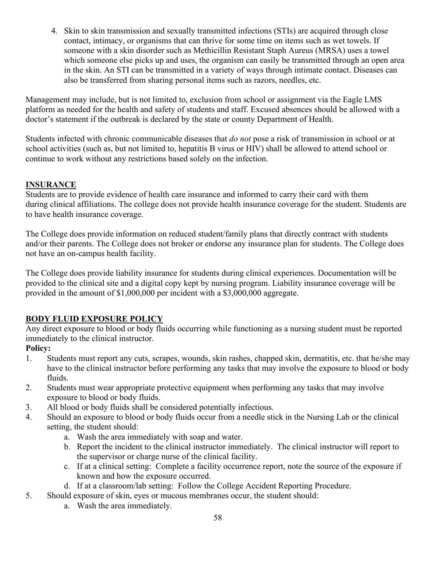4. Skin to skin transmission and sexually transmitted infections (STIs) are acquired through close contact, intimacy, or organisms that can thrive for some time on items such as wet towels. If someone with a skin disorder such as Methicillin Resistant Staph Aureus (MRSA) uses a towel which someone else picks up and uses, the organism can easily be transmitted through an open area in the skin. An STI can be transmitted in a variety of ways through intimate contact. Diseases can also be transferred from sharing personal items such as razors, needles, etc.

Management may include, but is not limited to, exclusion from school or assignment via the Eagle LMS platform as needed for the health and safety of students and staff. Excused absences should be allowed with a doctor's statement if the outbreak is declared by the state or county Department of Health.

Students infected with chronic communicable diseases that *do not* pose a risk of transmission in school or at school activities (such as, but not limited to, hepatitis B virus or HIV) shall be allowed to attend school or continue to work without any restrictions based solely on the infection.

# **INSURANCE**

Students are to provide evidence of health care insurance and informed to carry their card with them during clinical affiliations. The college does not provide health insurance coverage for the student. Students are to have health insurance coverage.

The College does provide information on reduced student/family plans that directly contract with students and/or their parents. The College does not broker or endorse any insurance plan for students. The College does not have an on-campus health facility.

The College does provide liability insurance for students during clinical experiences. Documentation will be provided to the clinical site and a digital copy kept by nursing program. Liability insurance coverage will be provided in the amount of \$1,000,000 per incident with a \$3,000,000 aggregate.

# **BODY FLUID EXPOSURE POLICY**

Any direct exposure to blood or body fluids occurring while functioning as a nursing student must be reported immediately to the clinical instructor.

# **Policy:**

- 1. Students must report any cuts, scrapes, wounds, skin rashes, chapped skin, dermatitis, etc. that he/she may have to the clinical instructor before performing any tasks that may involve the exposure to blood or body fluids.
- 2. Students must wear appropriate protective equipment when performing any tasks that may involve exposure to blood or body fluids.
- 3. All blood or body fluids shall be considered potentially infectious.
- 4. Should an exposure to blood or body fluids occur from a needle stick in the Nursing Lab or the clinical setting, the student should:
	- a. Wash the area immediately with soap and water.
	- b. Report the incident to the clinical instructor immediately. The clinical instructor will report to the supervisor or charge nurse of the clinical facility.
	- c. If at a clinical setting: Complete a facility occurrence report, note the source of the exposure if known and how the exposure occurred.
	- d. If at a classroom/lab setting: Follow the College Accident Reporting Procedure.
- 5. Should exposure of skin, eyes or mucous membranes occur, the student should:
	- a. Wash the area immediately.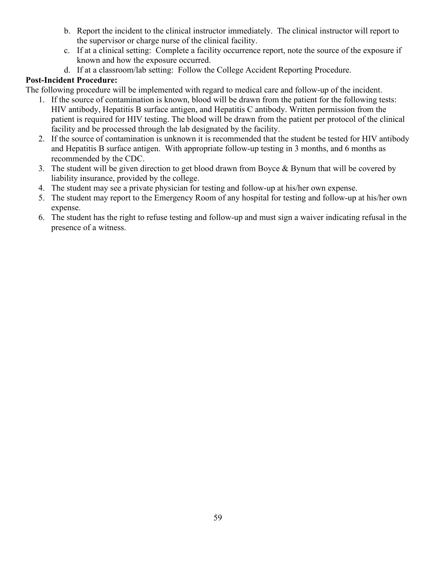- b. Report the incident to the clinical instructor immediately. The clinical instructor will report to the supervisor or charge nurse of the clinical facility.
- c. If at a clinical setting: Complete a facility occurrence report, note the source of the exposure if known and how the exposure occurred.
- d. If at a classroom/lab setting: Follow the College Accident Reporting Procedure.

# **Post-Incident Procedure:**

The following procedure will be implemented with regard to medical care and follow-up of the incident.

- 1. If the source of contamination is known, blood will be drawn from the patient for the following tests: HIV antibody, Hepatitis B surface antigen, and Hepatitis C antibody. Written permission from the patient is required for HIV testing. The blood will be drawn from the patient per protocol of the clinical facility and be processed through the lab designated by the facility.
- 2. If the source of contamination is unknown it is recommended that the student be tested for HIV antibody and Hepatitis B surface antigen. With appropriate follow-up testing in 3 months, and 6 months as recommended by the CDC.
- 3. The student will be given direction to get blood drawn from Boyce & Bynum that will be covered by liability insurance, provided by the college.
- 4. The student may see a private physician for testing and follow-up at his/her own expense.
- 5. The student may report to the Emergency Room of any hospital for testing and follow-up at his/her own expense.
- 6. The student has the right to refuse testing and follow-up and must sign a waiver indicating refusal in the presence of a witness.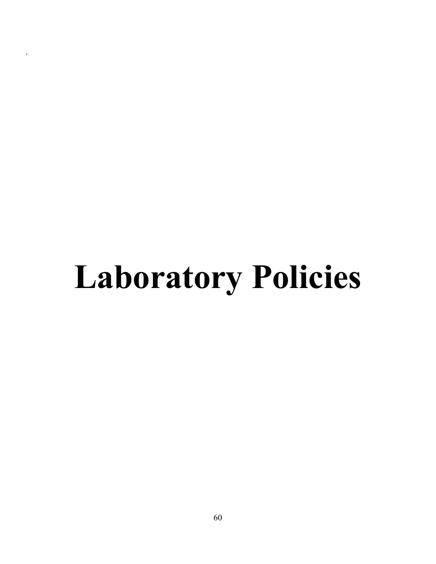# **Laboratory Policies**

.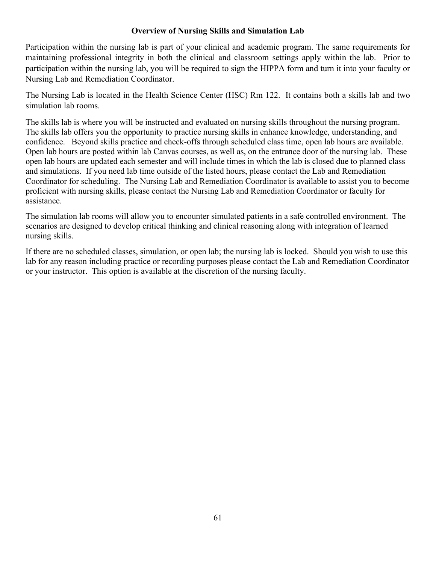### **Overview of Nursing Skills and Simulation Lab**

Participation within the nursing lab is part of your clinical and academic program. The same requirements for maintaining professional integrity in both the clinical and classroom settings apply within the lab. Prior to participation within the nursing lab, you will be required to sign the HIPPA form and turn it into your faculty or Nursing Lab and Remediation Coordinator.

The Nursing Lab is located in the Health Science Center (HSC) Rm 122. It contains both a skills lab and two simulation lab rooms.

The skills lab is where you will be instructed and evaluated on nursing skills throughout the nursing program. The skills lab offers you the opportunity to practice nursing skills in enhance knowledge, understanding, and confidence. Beyond skills practice and check-offs through scheduled class time, open lab hours are available. Open lab hours are posted within lab Canvas courses, as well as, on the entrance door of the nursing lab. These open lab hours are updated each semester and will include times in which the lab is closed due to planned class and simulations. If you need lab time outside of the listed hours, please contact the Lab and Remediation Coordinator for scheduling. The Nursing Lab and Remediation Coordinator is available to assist you to become proficient with nursing skills, please contact the Nursing Lab and Remediation Coordinator or faculty for assistance.

The simulation lab rooms will allow you to encounter simulated patients in a safe controlled environment. The scenarios are designed to develop critical thinking and clinical reasoning along with integration of learned nursing skills.

If there are no scheduled classes, simulation, or open lab; the nursing lab is locked. Should you wish to use this lab for any reason including practice or recording purposes please contact the Lab and Remediation Coordinator or your instructor. This option is available at the discretion of the nursing faculty.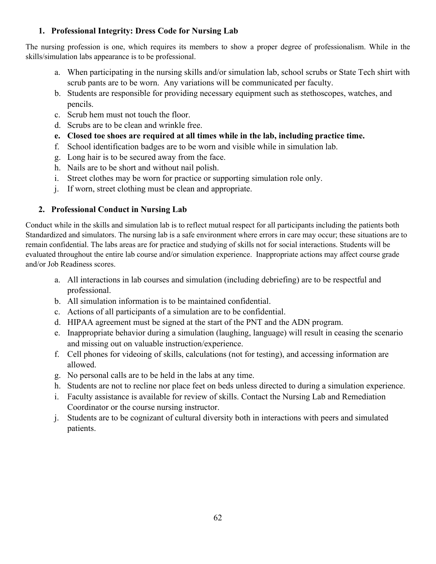# **1. Professional Integrity: Dress Code for Nursing Lab**

The nursing profession is one, which requires its members to show a proper degree of professionalism. While in the skills/simulation labs appearance is to be professional.

- a. When participating in the nursing skills and/or simulation lab, school scrubs or State Tech shirt with scrub pants are to be worn. Any variations will be communicated per faculty.
- b. Students are responsible for providing necessary equipment such as stethoscopes, watches, and pencils.
- c. Scrub hem must not touch the floor.
- d. Scrubs are to be clean and wrinkle free.
- **e. Closed toe shoes are required at all times while in the lab, including practice time.**
- f. School identification badges are to be worn and visible while in simulation lab.
- g. Long hair is to be secured away from the face.
- h. Nails are to be short and without nail polish.
- i. Street clothes may be worn for practice or supporting simulation role only.
- j. If worn, street clothing must be clean and appropriate.

# **2. Professional Conduct in Nursing Lab**

Conduct while in the skills and simulation lab is to reflect mutual respect for all participants including the patients both Standardized and simulators. The nursing lab is a safe environment where errors in care may occur; these situations are to remain confidential. The labs areas are for practice and studying of skills not for social interactions. Students will be evaluated throughout the entire lab course and/or simulation experience. Inappropriate actions may affect course grade and/or Job Readiness scores.

- a. All interactions in lab courses and simulation (including debriefing) are to be respectful and professional.
- b. All simulation information is to be maintained confidential.
- c. Actions of all participants of a simulation are to be confidential.
- d. HIPAA agreement must be signed at the start of the PNT and the ADN program.
- e. Inappropriate behavior during a simulation (laughing, language) will result in ceasing the scenario and missing out on valuable instruction/experience.
- f. Cell phones for videoing of skills, calculations (not for testing), and accessing information are allowed.
- g. No personal calls are to be held in the labs at any time.
- h. Students are not to recline nor place feet on beds unless directed to during a simulation experience.
- i. Faculty assistance is available for review of skills. Contact the Nursing Lab and Remediation Coordinator or the course nursing instructor.
- j. Students are to be cognizant of cultural diversity both in interactions with peers and simulated patients.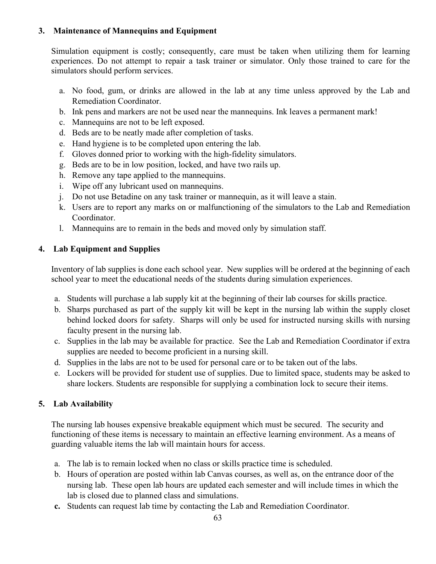# **3. Maintenance of Mannequins and Equipment**

Simulation equipment is costly; consequently, care must be taken when utilizing them for learning experiences. Do not attempt to repair a task trainer or simulator. Only those trained to care for the simulators should perform services.

- a. No food, gum, or drinks are allowed in the lab at any time unless approved by the Lab and Remediation Coordinator.
- b. Ink pens and markers are not be used near the mannequins. Ink leaves a permanent mark!
- c. Mannequins are not to be left exposed.
- d. Beds are to be neatly made after completion of tasks.
- e. Hand hygiene is to be completed upon entering the lab.
- f. Gloves donned prior to working with the high-fidelity simulators.
- g. Beds are to be in low position, locked, and have two rails up.
- h. Remove any tape applied to the mannequins.
- i. Wipe off any lubricant used on mannequins.
- j. Do not use Betadine on any task trainer or mannequin, as it will leave a stain.
- k. Users are to report any marks on or malfunctioning of the simulators to the Lab and Remediation Coordinator.
- l. Mannequins are to remain in the beds and moved only by simulation staff.

# **4. Lab Equipment and Supplies**

Inventory of lab supplies is done each school year. New supplies will be ordered at the beginning of each school year to meet the educational needs of the students during simulation experiences.

- a. Students will purchase a lab supply kit at the beginning of their lab courses for skills practice.
- b. Sharps purchased as part of the supply kit will be kept in the nursing lab within the supply closet behind locked doors for safety. Sharps will only be used for instructed nursing skills with nursing faculty present in the nursing lab.
- c. Supplies in the lab may be available for practice. See the Lab and Remediation Coordinator if extra supplies are needed to become proficient in a nursing skill.
- d. Supplies in the labs are not to be used for personal care or to be taken out of the labs.
- e. Lockers will be provided for student use of supplies. Due to limited space, students may be asked to share lockers. Students are responsible for supplying a combination lock to secure their items.

# **5. Lab Availability**

The nursing lab houses expensive breakable equipment which must be secured. The security and functioning of these items is necessary to maintain an effective learning environment. As a means of guarding valuable items the lab will maintain hours for access.

- a. The lab is to remain locked when no class or skills practice time is scheduled.
- b. Hours of operation are posted within lab Canvas courses, as well as, on the entrance door of the nursing lab. These open lab hours are updated each semester and will include times in which the lab is closed due to planned class and simulations.
- **c.** Students can request lab time by contacting the Lab and Remediation Coordinator.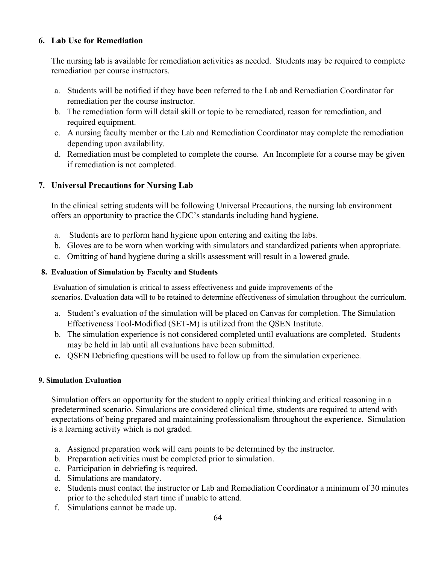#### **6. Lab Use for Remediation**

The nursing lab is available for remediation activities as needed. Students may be required to complete remediation per course instructors.

- a. Students will be notified if they have been referred to the Lab and Remediation Coordinator for remediation per the course instructor.
- b. The remediation form will detail skill or topic to be remediated, reason for remediation, and required equipment.
- c. A nursing faculty member or the Lab and Remediation Coordinator may complete the remediation depending upon availability.
- d. Remediation must be completed to complete the course. An Incomplete for a course may be given if remediation is not completed.

# **7. Universal Precautions for Nursing Lab**

In the clinical setting students will be following Universal Precautions, the nursing lab environment offers an opportunity to practice the CDC's standards including hand hygiene.

- a. Students are to perform hand hygiene upon entering and exiting the labs.
- b. Gloves are to be worn when working with simulators and standardized patients when appropriate.
- c. Omitting of hand hygiene during a skills assessment will result in a lowered grade.

#### **8. Evaluation of Simulation by Faculty and Students**

 Evaluation of simulation is critical to assess effectiveness and guide improvements of the scenarios. Evaluation data will to be retained to determine effectiveness of simulation throughout the curriculum.

- a. Student's evaluation of the simulation will be placed on Canvas for completion. The Simulation Effectiveness Tool-Modified (SET-M) is utilized from the QSEN Institute.
- b. The simulation experience is not considered completed until evaluations are completed. Students may be held in lab until all evaluations have been submitted.
- **c.** QSEN Debriefing questions will be used to follow up from the simulation experience.

#### **9. Simulation Evaluation**

Simulation offers an opportunity for the student to apply critical thinking and critical reasoning in a predetermined scenario. Simulations are considered clinical time, students are required to attend with expectations of being prepared and maintaining professionalism throughout the experience. Simulation is a learning activity which is not graded.

- a. Assigned preparation work will earn points to be determined by the instructor.
- b. Preparation activities must be completed prior to simulation.
- c. Participation in debriefing is required.
- d. Simulations are mandatory.
- e. Students must contact the instructor or Lab and Remediation Coordinator a minimum of 30 minutes prior to the scheduled start time if unable to attend.
- f. Simulations cannot be made up.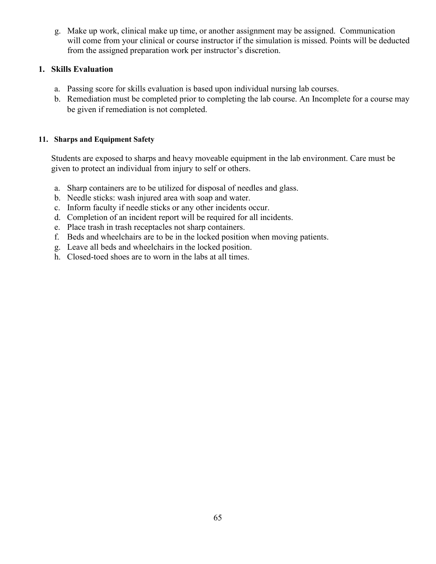g. Make up work, clinical make up time, or another assignment may be assigned. Communication will come from your clinical or course instructor if the simulation is missed. Points will be deducted from the assigned preparation work per instructor's discretion.

#### **1. Skills Evaluation**

- a. Passing score for skills evaluation is based upon individual nursing lab courses.
- b. Remediation must be completed prior to completing the lab course. An Incomplete for a course may be given if remediation is not completed.

#### **11. Sharps and Equipment Safety**

Students are exposed to sharps and heavy moveable equipment in the lab environment. Care must be given to protect an individual from injury to self or others.

- a. Sharp containers are to be utilized for disposal of needles and glass.
- b. Needle sticks: wash injured area with soap and water.
- c. Inform faculty if needle sticks or any other incidents occur.
- d. Completion of an incident report will be required for all incidents.
- e. Place trash in trash receptacles not sharp containers.
- f. Beds and wheelchairs are to be in the locked position when moving patients.
- g. Leave all beds and wheelchairs in the locked position.
- h. Closed-toed shoes are to worn in the labs at all times.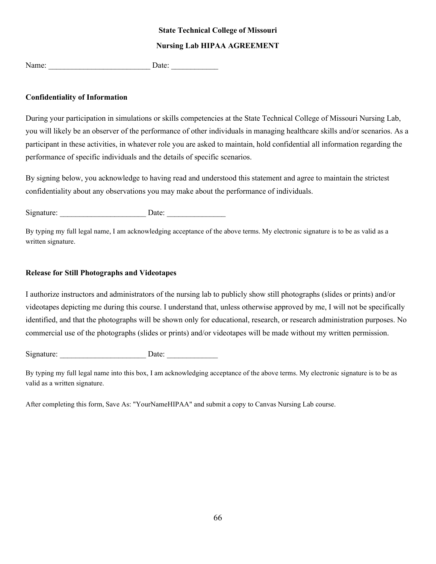#### **State Technical College of Missouri**

#### **Nursing Lab HIPAA AGREEMENT**

Name:  $\Box$  Date:

#### **Confidentiality of Information**

During your participation in simulations or skills competencies at the State Technical College of Missouri Nursing Lab, you will likely be an observer of the performance of other individuals in managing healthcare skills and/or scenarios. As a participant in these activities, in whatever role you are asked to maintain, hold confidential all information regarding the performance of specific individuals and the details of specific scenarios.

By signing below, you acknowledge to having read and understood this statement and agree to maintain the strictest confidentiality about any observations you may make about the performance of individuals.

Signature: Date:

By typing my full legal name, I am acknowledging acceptance of the above terms. My electronic signature is to be as valid as a written signature.

#### **Release for Still Photographs and Videotapes**

I authorize instructors and administrators of the nursing lab to publicly show still photographs (slides or prints) and/or videotapes depicting me during this course. I understand that, unless otherwise approved by me, I will not be specifically identified, and that the photographs will be shown only for educational, research, or research administration purposes. No commercial use of the photographs (slides or prints) and/or videotapes will be made without my written permission.

Signature: Date:

By typing my full legal name into this box, I am acknowledging acceptance of the above terms. My electronic signature is to be as valid as a written signature.

After completing this form, Save As: "YourNameHIPAA" and submit a copy to Canvas Nursing Lab course.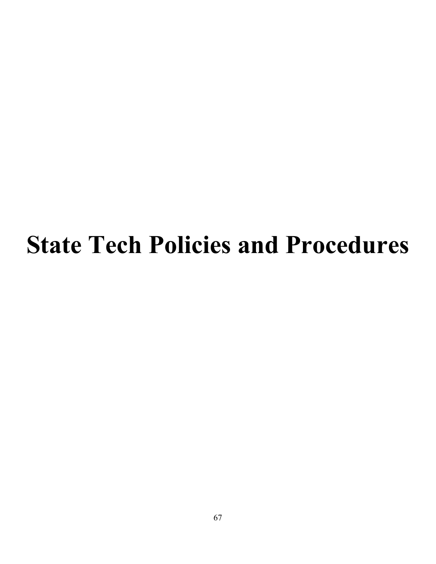# **State Tech Policies and Procedures**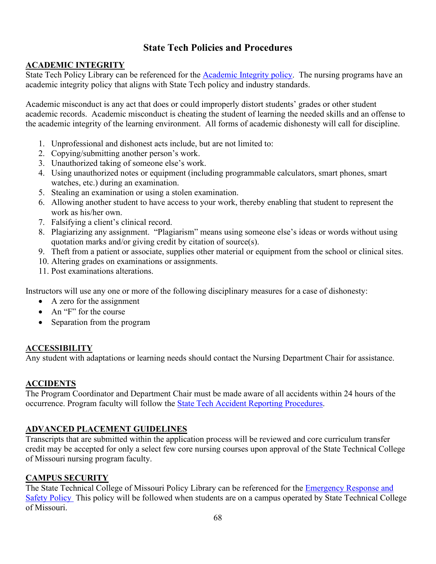# **State Tech Policies and Procedures**

# **ACADEMIC INTEGRITY**

State Tech Policy Library can be referenced for the [Academic Integrity policy.](https://www.statetechmo.edu/academic-integrity/) The nursing programs have an academic integrity policy that aligns with State Tech policy and industry standards.

Academic misconduct is any act that does or could improperly distort students' grades or other student academic records. Academic misconduct is cheating the student of learning the needed skills and an offense to the academic integrity of the learning environment. All forms of academic dishonesty will call for discipline.

- 1. Unprofessional and dishonest acts include, but are not limited to:
- 2. Copying/submitting another person's work.
- 3. Unauthorized taking of someone else's work.
- 4. Using unauthorized notes or equipment (including programmable calculators, smart phones, smart watches, etc.) during an examination.
- 5. Stealing an examination or using a stolen examination.
- 6. Allowing another student to have access to your work, thereby enabling that student to represent the work as his/her own.
- 7. Falsifying a client's clinical record.
- 8. Plagiarizing any assignment. "Plagiarism" means using someone else's ideas or words without using quotation marks and/or giving credit by citation of source(s).
- 9. Theft from a patient or associate, supplies other material or equipment from the school or clinical sites.
- 10. Altering grades on examinations or assignments.
- 11. Post examinations alterations.

Instructors will use any one or more of the following disciplinary measures for a case of dishonesty:

- A zero for the assignment
- An "F" for the course
- Separation from the program

# **ACCESSIBILITY**

Any student with adaptations or learning needs should contact the Nursing Department Chair for assistance.

# **ACCIDENTS**

The Program Coordinator and Department Chair must be made aware of all accidents within 24 hours of the occurrence. Program faculty will follow the [State Tech Accident Reporting Procedures.](https://www.statetechmo.edu/accidents/)

# **ADVANCED PLACEMENT GUIDELINES**

Transcripts that are submitted within the application process will be reviewed and core curriculum transfer credit may be accepted for only a select few core nursing courses upon approval of the State Technical College of Missouri nursing program faculty.

# **CAMPUS SECURITY**

The State Technical College of Missouri Policy Library can be referenced for the Emergency Response and [Safety Policy](https://www.statetechmo.edu/policy/) This policy will be followed when students are on a campus operated by State Technical College of Missouri.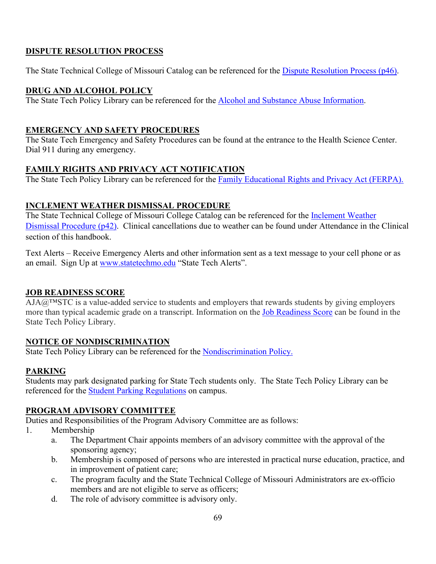# **DISPUTE RESOLUTION PROCESS**

The State Technical College of Missouri Catalog can be referenced for the [Dispute Resolution Process \(p46\).](https://www.statetechmo.edu/wp-content/uploads/2021/07/2021-2022-State-Tech-College-Catalog-Policies.pdf)

# **DRUG AND ALCOHOL POLICY**

The State Tech Policy Library can be referenced for the [Alcohol and Substance Abuse Information.](https://www.statetechmo.edu/drug-free-schools-biennial-review/)

# **EMERGENCY AND SAFETY PROCEDURES**

The State Tech Emergency and Safety Procedures can be found at the entrance to the Health Science Center. Dial 911 during any emergency.

# **FAMILY RIGHTS AND PRIVACY ACT NOTIFICATION**

The State Tech Policy Library can be referenced for the **Family Educational Rights and Privacy Act (FERPA)**.

# **INCLEMENT WEATHER DISMISSAL PROCEDURE**

The State Technical College of Missouri College Catalog can be referenced for the [Inclement Weather](https://www.statetechmo.edu/wp-content/uploads/2021/07/2021-2022-State-Tech-College-Catalog-Policies.pdf)  [Dismissal Procedure \(p42\).](https://www.statetechmo.edu/wp-content/uploads/2021/07/2021-2022-State-Tech-College-Catalog-Policies.pdf) Clinical cancellations due to weather can be found under Attendance in the Clinical section of this handbook.

Text Alerts – Receive Emergency Alerts and other information sent as a text message to your cell phone or as an email. Sign Up at [www.statetechmo.edu](http://www.statetechmo.edu/) "State Tech Alerts".

# **JOB READINESS SCORE**

 $\overline{AJA@^{TM}STC}$  is a value-added service to students and employers that rewards students by giving employers more than typical academic grade on a transcript. Information on the [Job Readiness Score](https://www.statetechmo.edu/aja-state-tech-grading-system/) can be found in the State Tech Policy Library.

# **NOTICE OF NONDISCRIMINATION**

State Tech Policy Library can be referenced for the [Nondiscrimination Policy.](https://www.statetechmo.edu/non-discrimination-policy-3/)

# **PARKING**

Students may park designated parking for State Tech students only. The State Tech Policy Library can be referenced for the **Student Parking Regulations** on campus.

# **PROGRAM ADVISORY COMMITTEE**

Duties and Responsibilities of the Program Advisory Committee are as follows:

- 1. Membership
	- a. The Department Chair appoints members of an advisory committee with the approval of the sponsoring agency;
	- b. Membership is composed of persons who are interested in practical nurse education, practice, and in improvement of patient care;
	- c. The program faculty and the State Technical College of Missouri Administrators are ex-officio members and are not eligible to serve as officers;
	- d. The role of advisory committee is advisory only.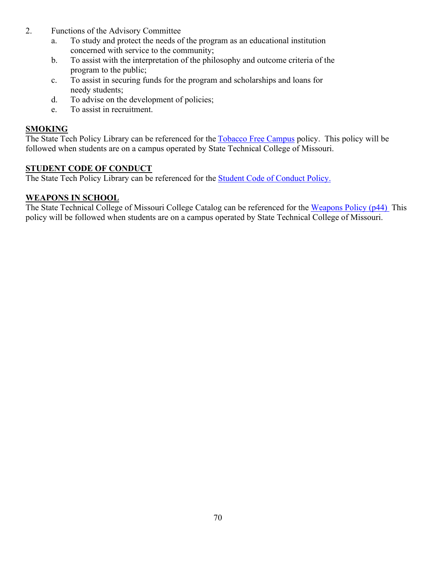- 2. Functions of the Advisory Committee
	- a. To study and protect the needs of the program as an educational institution concerned with service to the community;
	- b. To assist with the interpretation of the philosophy and outcome criteria of the program to the public;
	- c. To assist in securing funds for the program and scholarships and loans for needy students;
	- d. To advise on the development of policies;
	- e. To assist in recruitment.

# **SMOKING**

The State Tech Policy Library can be referenced for the [Tobacco Free Campus](https://www.statetechmo.edu/tobacco-free-campus-2/) policy. This policy will be followed when students are on a campus operated by State Technical College of Missouri.

# **STUDENT CODE OF CONDUCT**

The State Tech Policy Library can be referenced for the [Student Code of Conduct Policy.](https://www.statetechmo.edu/student-code-of-conduct/)

# **WEAPONS IN SCHOOL**

The State Technical College of Missouri College Catalog can be referenced for the [Weapons Policy \(p44\)](https://www.statetechmo.edu/wp-content/uploads/2021/07/2021-2022-State-Tech-College-Catalog-Policies.pdf) This policy will be followed when students are on a campus operated by State Technical College of Missouri.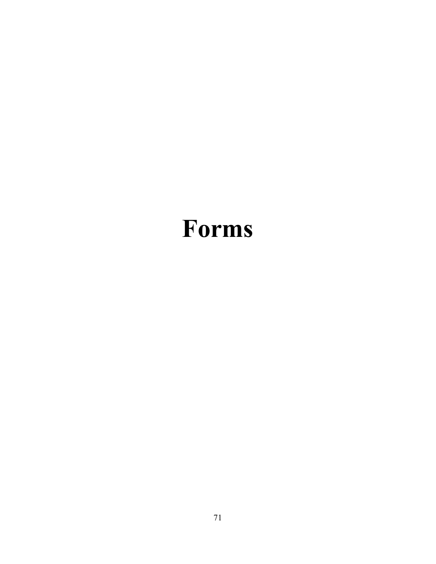# **Forms**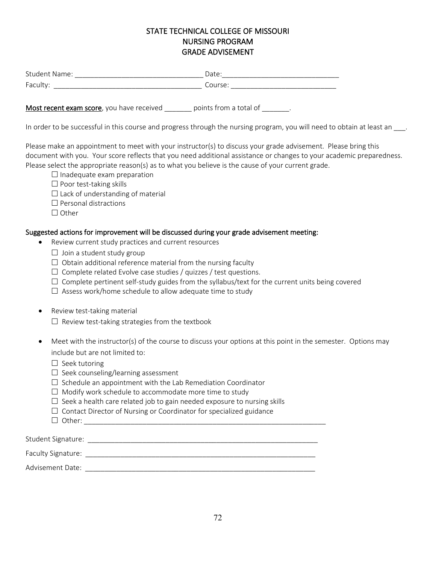# STATE TECHNICAL COLLEGE OF MISSOURI NURSING PROGRAM GRADE ADVISEMENT

| <b>Student Name:</b> | Date:   |
|----------------------|---------|
| Faculty:             | Course: |

Most recent exam score, you have received \_\_\_\_\_\_ points from a total of \_\_\_\_\_\_.

In order to be successful in this course and progress through the nursing program, you will need to obtain at least an  $\ldots$ 

Please make an appointment to meet with your instructor(s) to discuss your grade advisement. Please bring this document with you. Your score reflects that you need additional assistance or changes to your academic preparedness. Please select the appropriate reason(s) as to what you believe is the cause of your current grade.

- $\Box$  Inadequate exam preparation
- $\Box$  Poor test-taking skills
- $\Box$  Lack of understanding of material
- $\square$  Personal distractions
- $\Box$  Other

#### Suggested actions for improvement will be discussed during your grade advisement meeting:

- Review current study practices and current resources
	- $\Box$  Join a student study group
	- $\Box$  Obtain additional reference material from the nursing faculty
	- $\Box$  Complete related Evolve case studies / quizzes / test questions.
	- $\Box$  Complete pertinent self-study guides from the syllabus/text for the current units being covered
	- $\Box$  Assess work/home schedule to allow adequate time to study
- Review test-taking material
	- $\Box$  Review test-taking strategies from the textbook
- Meet with the instructor(s) of the course to discuss your options at this point in the semester. Options may include but are not limited to:
	- $\Box$  Seek tutoring
	- $\Box$  Seek counseling/learning assessment
	- $\Box$  Schedule an appointment with the Lab Remediation Coordinator
	- $\Box$  Modify work schedule to accommodate more time to study
	- $\Box$  Seek a health care related job to gain needed exposure to nursing skills
	- $\Box$  Contact Director of Nursing or Coordinator for specialized guidance
	- Other: \_\_\_\_\_\_\_\_\_\_\_\_\_\_\_\_\_\_\_\_\_\_\_\_\_\_\_\_\_\_\_\_\_\_\_\_\_\_\_\_\_\_\_\_\_\_\_\_\_\_\_\_\_\_\_\_\_\_\_\_\_\_

| Student Signature: |  |
|--------------------|--|
| Faculty Signature: |  |

Advisement Date:  $\blacksquare$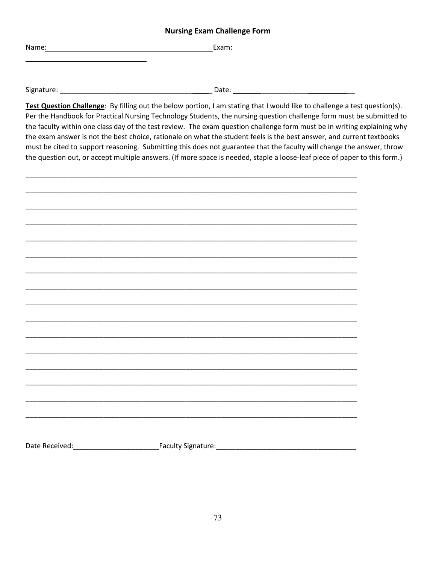|  | <b>Nursing Exam Challenge Form</b> |  |
|--|------------------------------------|--|
|--|------------------------------------|--|

Name: Exam: Exam: Exam: Exam: Exam: Exam: Exam: Exam: Exam: Exam: Exam: Exam: Exam: Exam: Exam: Exam: Exam: Exam: Exam: Exam: Exam: Exam: Exam: Exam: Exam: Exam: Exam: Exam: Exam: Exam: Exam: Exam: Exam: Exam: Exam: Exam:

Signature: \_\_\_\_\_\_\_\_\_\_\_\_\_\_\_\_\_\_\_\_\_\_\_\_\_\_\_\_\_\_\_\_\_\_ \_ Date: \_\_\_\_\_\_\_\_\_\_\_\_ \_\_

\_\_\_\_\_\_\_\_\_\_\_\_\_\_\_\_\_\_\_\_\_\_\_\_\_\_\_\_\_\_\_

**Test Question Challenge**: By filling out the below portion, I am stating that I would like to challenge a test question(s). Per the Handbook for Practical Nursing Technology Students, the nursing question challenge form must be submitted to the faculty within one class day of the test review. The exam question challenge form must be in writing explaining why the exam answer is not the best choice, rationale on what the student feels is the best answer, and current textbooks must be cited to support reasoning. Submitting this does not guarantee that the faculty will change the answer, throw the question out, or accept multiple answers. (If more space is needed, staple a loose-leaf piece of paper to this form.)

Date Received:\_\_\_\_\_\_\_\_\_\_\_\_\_\_\_\_\_\_\_\_\_\_Faculty Signature:\_\_\_\_\_\_\_\_\_\_\_\_\_\_\_\_\_\_\_\_\_\_\_\_\_\_\_\_\_\_\_\_\_\_\_\_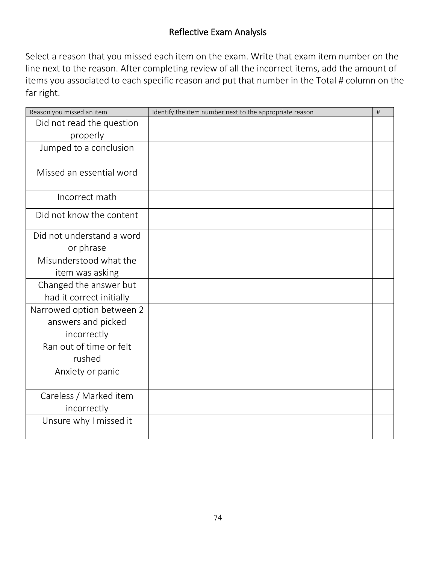## Reflective Exam Analysis

Select a reason that you missed each item on the exam. Write that exam item number on the line next to the reason. After completing review of all the incorrect items, add the amount of items you associated to each specific reason and put that number in the Total # column on the far right.

| Reason you missed an item | Identify the item number next to the appropriate reason | # |
|---------------------------|---------------------------------------------------------|---|
| Did not read the question |                                                         |   |
| properly                  |                                                         |   |
| Jumped to a conclusion    |                                                         |   |
|                           |                                                         |   |
| Missed an essential word  |                                                         |   |
|                           |                                                         |   |
| Incorrect math            |                                                         |   |
| Did not know the content  |                                                         |   |
|                           |                                                         |   |
| Did not understand a word |                                                         |   |
| or phrase                 |                                                         |   |
| Misunderstood what the    |                                                         |   |
| item was asking           |                                                         |   |
| Changed the answer but    |                                                         |   |
| had it correct initially  |                                                         |   |
| Narrowed option between 2 |                                                         |   |
| answers and picked        |                                                         |   |
| incorrectly               |                                                         |   |
| Ran out of time or felt   |                                                         |   |
| rushed                    |                                                         |   |
| Anxiety or panic          |                                                         |   |
|                           |                                                         |   |
| Careless / Marked item    |                                                         |   |
| incorrectly               |                                                         |   |
| Unsure why I missed it    |                                                         |   |
|                           |                                                         |   |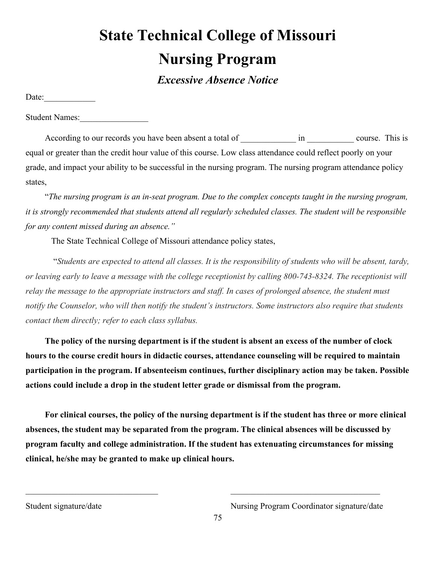# **State Technical College of Missouri Nursing Program**

*Excessive Absence Notice*

Date:

Student Names:

According to our records you have been absent a total of  $\qquad$  in  $\qquad$  course. This is equal or greater than the credit hour value of this course. Low class attendance could reflect poorly on your grade, and impact your ability to be successful in the nursing program. The nursing program attendance policy states,

 "*The nursing program is an in-seat program. Due to the complex concepts taught in the nursing program, it is strongly recommended that students attend all regularly scheduled classes. The student will be responsible for any content missed during an absence."* 

The State Technical College of Missouri attendance policy states,

 "*Students are expected to attend all classes. It is the responsibility of students who will be absent, tardy, or leaving early to leave a message with the college receptionist by calling 800-743-8324. The receptionist will relay the message to the appropriate instructors and staff. In cases of prolonged absence, the student must notify the Counselor, who will then notify the student's instructors. Some instructors also require that students contact them directly; refer to each class syllabus.* 

**The policy of the nursing department is if the student is absent an excess of the number of clock hours to the course credit hours in didactic courses, attendance counseling will be required to maintain participation in the program. If absenteeism continues, further disciplinary action may be taken. Possible actions could include a drop in the student letter grade or dismissal from the program.** 

**For clinical courses, the policy of the nursing department is if the student has three or more clinical absences, the student may be separated from the program. The clinical absences will be discussed by program faculty and college administration. If the student has extenuating circumstances for missing clinical, he/she may be granted to make up clinical hours.** 

 $\mathcal{L}_\text{max}$  , and the contribution of the contribution of the contribution of the contribution of the contribution of the contribution of the contribution of the contribution of the contribution of the contribution of t

Student signature/date Nursing Program Coordinator signature/date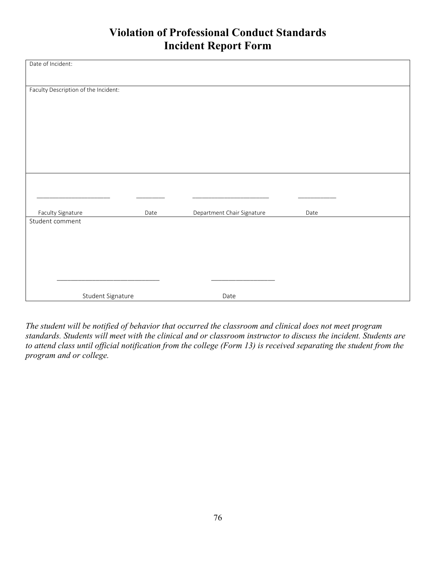# **Violation of Professional Conduct Standards Incident Report Form**

| Date of Incident:                    |      |                            |      |  |
|--------------------------------------|------|----------------------------|------|--|
|                                      |      |                            |      |  |
|                                      |      |                            |      |  |
|                                      |      |                            |      |  |
| Faculty Description of the Incident: |      |                            |      |  |
|                                      |      |                            |      |  |
|                                      |      |                            |      |  |
|                                      |      |                            |      |  |
|                                      |      |                            |      |  |
|                                      |      |                            |      |  |
|                                      |      |                            |      |  |
|                                      |      |                            |      |  |
|                                      |      |                            |      |  |
|                                      |      |                            |      |  |
|                                      |      |                            |      |  |
|                                      |      |                            |      |  |
|                                      |      |                            |      |  |
|                                      |      |                            |      |  |
|                                      |      |                            |      |  |
| Faculty Signature                    | Date | Department Chair Signature | Date |  |
| Student comment                      |      |                            |      |  |
|                                      |      |                            |      |  |
|                                      |      |                            |      |  |
|                                      |      |                            |      |  |
|                                      |      |                            |      |  |
|                                      |      |                            |      |  |
|                                      |      |                            |      |  |
|                                      |      |                            |      |  |
|                                      |      |                            |      |  |
| Student Signature                    |      | Date                       |      |  |

*The student will be notified of behavior that occurred the classroom and clinical does not meet program standards. Students will meet with the clinical and or classroom instructor to discuss the incident. Students are*  to attend class until official notification from the college (Form 13) is received separating the student from the *program and or college.*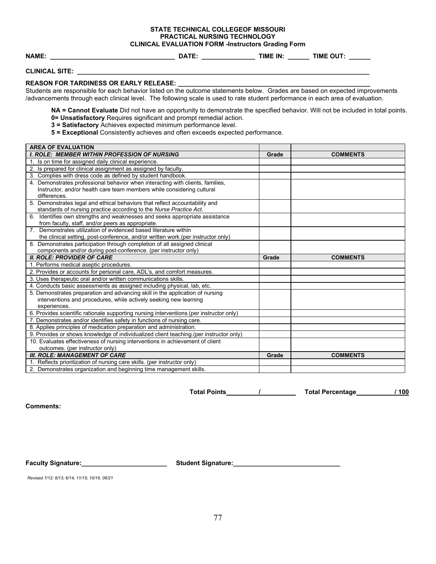### **STATE TECHNICAL COLLEGEOF MISSOURI PRACTICAL NURSING TECHNOLOGY**

**CLINICAL EVALUATION FORM -Instructors Grading Form**<br>DATE: TIME IN: **NAME: \_\_\_\_\_\_\_\_\_\_\_\_\_\_\_\_\_\_\_\_\_\_\_\_\_\_\_\_\_\_\_\_\_\_\_ DATE: \_\_\_\_\_\_\_\_\_\_\_\_\_\_\_ TIME IN: \_\_\_\_\_\_ TIME OUT: \_\_\_\_\_\_**

**CLINICAL SITE:** 

#### **REASON FOR TARDINESS OR EARLY RELEASE:**

Students are responsible for each behavior listed on the outcome statements below. Grades are based on expected improvements /advancements through each clinical level. The following scale is used to rate student performance in each area of evaluation.

**NA = Cannot Evaluate** Did not have an opportunity to demonstrate the specified behavior. Will not be included in total points. **0= Unsatisfactory** Requires significant and prompt remedial action.

- **3 = Satisfactory** Achieves expected minimum performance level.
- **5 = Exceptional** Consistently achieves and often exceeds expected performance.

| <b>AREA OF EVALUATION</b>                                                               |                                                                               |                 |  |
|-----------------------------------------------------------------------------------------|-------------------------------------------------------------------------------|-----------------|--|
| <b>I. ROLE: MEMBER WITHIN PROFESSION OF NURSING</b>                                     | Grade                                                                         | <b>COMMENTS</b> |  |
| 1. Is on time for assigned daily clinical experience.                                   |                                                                               |                 |  |
| 2. Is prepared for clinical assignment as assigned by faculty.                          |                                                                               |                 |  |
| 3. Complies with dress code as defined by student handbook.                             |                                                                               |                 |  |
| 4. Demonstrates professional behavior when interacting with clients, families,          |                                                                               |                 |  |
| Instructor, and/or health care team members while considering cultural                  |                                                                               |                 |  |
| differences.                                                                            |                                                                               |                 |  |
| 5. Demonstrates legal and ethical behaviors that reflect accountability and             |                                                                               |                 |  |
| standards of nursing practice according to the Nurse Practice Act.                      |                                                                               |                 |  |
| Identifies own strengths and weaknesses and seeks appropriate assistance<br>6.          |                                                                               |                 |  |
| from faculty, staff, and/or peers as appropriate.                                       |                                                                               |                 |  |
| 7. Demonstrates utilization of evidenced based literature within                        |                                                                               |                 |  |
| the clinical setting, post-conference, and/or written work. (per instructor only)       |                                                                               |                 |  |
| 8. Demonstrates participation through completion of all assigned clinical               |                                                                               |                 |  |
| components and/or during post-conference. (per instructor only)                         |                                                                               |                 |  |
| <b>II. ROLE: PROVIDER OF CARE</b>                                                       | Grade                                                                         | <b>COMMENTS</b> |  |
| 1. Performs medical aseptic procedures.                                                 |                                                                               |                 |  |
| 2. Provides or accounts for personal care, ADL's, and comfort measures.                 |                                                                               |                 |  |
| 3. Uses therapeutic oral and/or written communications skills.                          |                                                                               |                 |  |
| 4. Conducts basic assessments as assigned including physical, lab, etc.                 |                                                                               |                 |  |
|                                                                                         | 5. Demonstrates preparation and advancing skill in the application of nursing |                 |  |
|                                                                                         | interventions and procedures, while actively seeking new learning             |                 |  |
| experiences.                                                                            |                                                                               |                 |  |
| 6. Provides scientific rationale supporting nursing interventions.(per instructor only) |                                                                               |                 |  |
| 7. Demonstrates and/or identifies safety in functions of nursing care.                  |                                                                               |                 |  |
| 8. Applies principles of medication preparation and administration.                     |                                                                               |                 |  |
| 9. Provides or shows knowledge of individualized client teaching (per instructor only)  |                                                                               |                 |  |
| 10. Evaluates effectiveness of nursing interventions in achievement of client           |                                                                               |                 |  |
| outcomes. (per instructor only)                                                         |                                                                               |                 |  |
| <b>III. ROLE: MANAGEMENT OF CARE</b>                                                    | Grade                                                                         | <b>COMMENTS</b> |  |
| 1. Reflects prioritization of nursing care skills. (per instructor only)                |                                                                               |                 |  |
| 2. Demonstrates organization and beginning time management skills.                      |                                                                               |                 |  |

**Total Points / Total Percentage / 100**

**Comments:**

Faculty Signature: **Notify Algebra 2018** Student Signature:

*Revised 7/12; 8/13; 6/14; 11/15; 10/16, 06/21*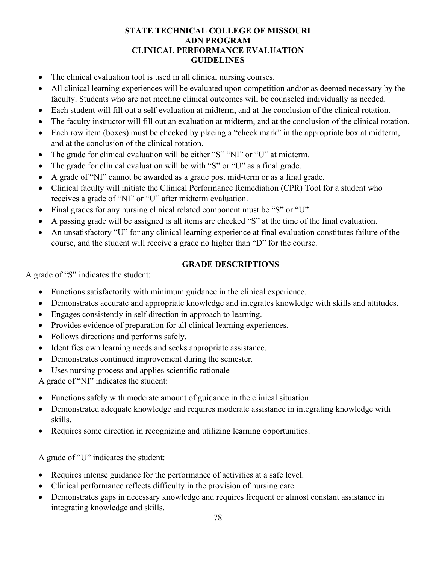#### **STATE TECHNICAL COLLEGE OF MISSOURI ADN PROGRAM CLINICAL PERFORMANCE EVALUATION GUIDELINES**

- The clinical evaluation tool is used in all clinical nursing courses.
- All clinical learning experiences will be evaluated upon competition and/or as deemed necessary by the faculty. Students who are not meeting clinical outcomes will be counseled individually as needed.
- Each student will fill out a self-evaluation at midterm, and at the conclusion of the clinical rotation.
- The faculty instructor will fill out an evaluation at midterm, and at the conclusion of the clinical rotation.
- Each row item (boxes) must be checked by placing a "check mark" in the appropriate box at midterm, and at the conclusion of the clinical rotation.
- The grade for clinical evaluation will be either "S" "NI" or "U" at midterm.
- The grade for clinical evaluation will be with "S" or "U" as a final grade.
- A grade of "NI" cannot be awarded as a grade post mid-term or as a final grade.
- Clinical faculty will initiate the Clinical Performance Remediation (CPR) Tool for a student who receives a grade of "NI" or "U" after midterm evaluation.
- Final grades for any nursing clinical related component must be "S" or "U"
- A passing grade will be assigned is all items are checked "S" at the time of the final evaluation.
- An unsatisfactory "U" for any clinical learning experience at final evaluation constitutes failure of the course, and the student will receive a grade no higher than "D" for the course.

#### **GRADE DESCRIPTIONS**

A grade of "S" indicates the student:

- Functions satisfactorily with minimum guidance in the clinical experience.
- Demonstrates accurate and appropriate knowledge and integrates knowledge with skills and attitudes.
- Engages consistently in self direction in approach to learning.
- Provides evidence of preparation for all clinical learning experiences.
- Follows directions and performs safely.
- Identifies own learning needs and seeks appropriate assistance.
- Demonstrates continued improvement during the semester.
- Uses nursing process and applies scientific rationale

A grade of "NI" indicates the student:

- Functions safely with moderate amount of guidance in the clinical situation.
- Demonstrated adequate knowledge and requires moderate assistance in integrating knowledge with skills.
- Requires some direction in recognizing and utilizing learning opportunities.

A grade of "U" indicates the student:

- Requires intense guidance for the performance of activities at a safe level.
- Clinical performance reflects difficulty in the provision of nursing care.
- Demonstrates gaps in necessary knowledge and requires frequent or almost constant assistance in integrating knowledge and skills.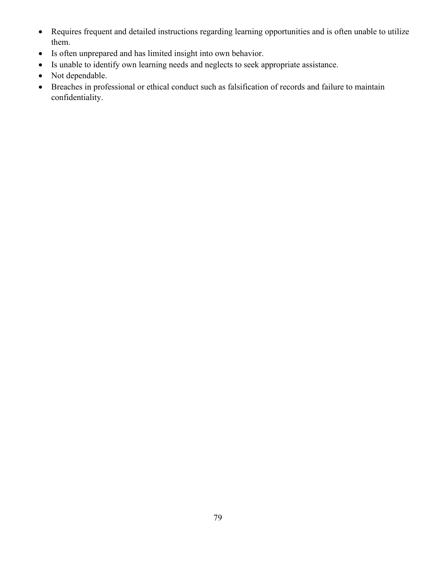- Requires frequent and detailed instructions regarding learning opportunities and is often unable to utilize them.
- Is often unprepared and has limited insight into own behavior.
- Is unable to identify own learning needs and neglects to seek appropriate assistance.
- Not dependable.
- Breaches in professional or ethical conduct such as falsification of records and failure to maintain confidentiality.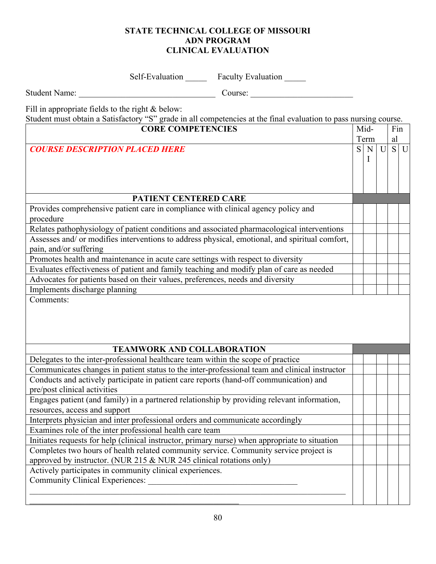#### **STATE TECHNICAL COLLEGE OF MISSOURI ADN PROGRAM CLINICAL EVALUATION**

Self-Evaluation Faculty Evaluation

Student Name: \_\_\_\_\_\_\_\_\_\_\_\_\_\_\_\_\_\_\_\_\_\_\_\_\_\_\_\_\_\_\_\_ Course: \_\_\_\_\_\_\_\_\_\_\_\_\_\_\_\_\_\_\_\_\_\_\_\_

Fill in appropriate fields to the right & below:

Student must obtain a Satisfactory "S" grade in all competencies at the final evaluation to pass nursing course.

| <b>CORE COMPETENCIES</b>                                                                       |    | Mid- |   | Fin |       |
|------------------------------------------------------------------------------------------------|----|------|---|-----|-------|
|                                                                                                |    | Term |   | al  |       |
| <b>COURSE DESCRIPTION PLACED HERE</b>                                                          | S. | N    | U |     | $S$ U |
|                                                                                                |    | I    |   |     |       |
|                                                                                                |    |      |   |     |       |
|                                                                                                |    |      |   |     |       |
|                                                                                                |    |      |   |     |       |
| PATIENT CENTERED CARE                                                                          |    |      |   |     |       |
| Provides comprehensive patient care in compliance with clinical agency policy and              |    |      |   |     |       |
| procedure                                                                                      |    |      |   |     |       |
| Relates pathophysiology of patient conditions and associated pharmacological interventions     |    |      |   |     |       |
| Assesses and/ or modifies interventions to address physical, emotional, and spiritual comfort, |    |      |   |     |       |
| pain, and/or suffering                                                                         |    |      |   |     |       |
| Promotes health and maintenance in acute care settings with respect to diversity               |    |      |   |     |       |
| Evaluates effectiveness of patient and family teaching and modify plan of care as needed       |    |      |   |     |       |
| Advocates for patients based on their values, preferences, needs and diversity                 |    |      |   |     |       |
| Implements discharge planning                                                                  |    |      |   |     |       |
| Comments:                                                                                      |    |      |   |     |       |
|                                                                                                |    |      |   |     |       |
|                                                                                                |    |      |   |     |       |
|                                                                                                |    |      |   |     |       |
|                                                                                                |    |      |   |     |       |
| <b>TEAMWORK AND COLLABORATION</b>                                                              |    |      |   |     |       |
| Delegates to the inter-professional healthcare team within the scope of practice               |    |      |   |     |       |
| Communicates changes in patient status to the inter-professional team and clinical instructor  |    |      |   |     |       |
| Conducts and actively participate in patient care reports (hand-off communication) and         |    |      |   |     |       |
| pre/post clinical activities                                                                   |    |      |   |     |       |
| Engages patient (and family) in a partnered relationship by providing relevant information,    |    |      |   |     |       |
| resources, access and support                                                                  |    |      |   |     |       |
| Interprets physician and inter professional orders and communicate accordingly                 |    |      |   |     |       |
| Examines role of the inter professional health care team                                       |    |      |   |     |       |
| Initiates requests for help (clinical instructor, primary nurse) when appropriate to situation |    |      |   |     |       |
| Completes two hours of health related community service. Community service project is          |    |      |   |     |       |
| approved by instructor. (NUR 215 & NUR 245 clinical rotations only)                            |    |      |   |     |       |
| Actively participates in community clinical experiences.                                       |    |      |   |     |       |
|                                                                                                |    |      |   |     |       |
|                                                                                                |    |      |   |     |       |
|                                                                                                |    |      |   |     |       |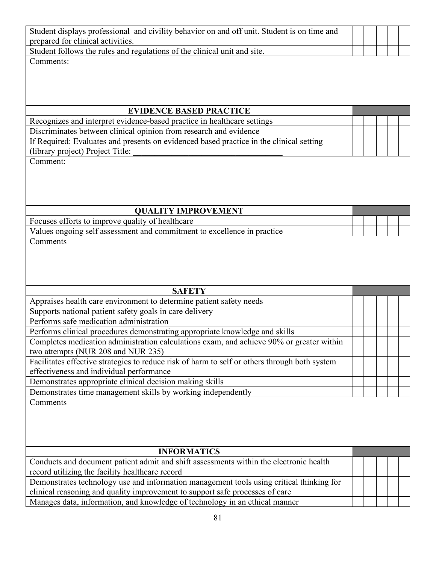| Student displays professional and civility behavior on and off unit. Student is on time and                                                                 |  |  |
|-------------------------------------------------------------------------------------------------------------------------------------------------------------|--|--|
| prepared for clinical activities.                                                                                                                           |  |  |
| Student follows the rules and regulations of the clinical unit and site.                                                                                    |  |  |
| Comments:                                                                                                                                                   |  |  |
|                                                                                                                                                             |  |  |
|                                                                                                                                                             |  |  |
|                                                                                                                                                             |  |  |
|                                                                                                                                                             |  |  |
| <b>EVIDENCE BASED PRACTICE</b>                                                                                                                              |  |  |
| Recognizes and interpret evidence-based practice in healthcare settings                                                                                     |  |  |
| Discriminates between clinical opinion from research and evidence                                                                                           |  |  |
| If Required: Evaluates and presents on evidenced based practice in the clinical setting                                                                     |  |  |
| (library project) Project Title:                                                                                                                            |  |  |
| Comment:                                                                                                                                                    |  |  |
|                                                                                                                                                             |  |  |
|                                                                                                                                                             |  |  |
|                                                                                                                                                             |  |  |
| <b>QUALITY IMPROVEMENT</b>                                                                                                                                  |  |  |
| Focuses efforts to improve quality of healthcare                                                                                                            |  |  |
| Values ongoing self assessment and commitment to excellence in practice                                                                                     |  |  |
| Comments                                                                                                                                                    |  |  |
|                                                                                                                                                             |  |  |
|                                                                                                                                                             |  |  |
|                                                                                                                                                             |  |  |
|                                                                                                                                                             |  |  |
|                                                                                                                                                             |  |  |
| <b>SAFETY</b>                                                                                                                                               |  |  |
|                                                                                                                                                             |  |  |
| Appraises health care environment to determine patient safety needs                                                                                         |  |  |
| Supports national patient safety goals in care delivery<br>Performs safe medication administration                                                          |  |  |
|                                                                                                                                                             |  |  |
| Performs clinical procedures demonstrating appropriate knowledge and skills                                                                                 |  |  |
| Completes medication administration calculations exam, and achieve 90% or greater within                                                                    |  |  |
| two attempts (NUR 208 and NUR 235)                                                                                                                          |  |  |
| Facilitates effective strategies to reduce risk of harm to self or others through both system<br>effectiveness and individual performance                   |  |  |
|                                                                                                                                                             |  |  |
| Demonstrates appropriate clinical decision making skills<br>Demonstrates time management skills by working independently                                    |  |  |
| Comments                                                                                                                                                    |  |  |
|                                                                                                                                                             |  |  |
|                                                                                                                                                             |  |  |
|                                                                                                                                                             |  |  |
|                                                                                                                                                             |  |  |
| <b>INFORMATICS</b>                                                                                                                                          |  |  |
| Conducts and document patient admit and shift assessments within the electronic health                                                                      |  |  |
| record utilizing the facility healthcare record                                                                                                             |  |  |
| Demonstrates technology use and information management tools using critical thinking for                                                                    |  |  |
| clinical reasoning and quality improvement to support safe processes of care<br>Manages data, information, and knowledge of technology in an ethical manner |  |  |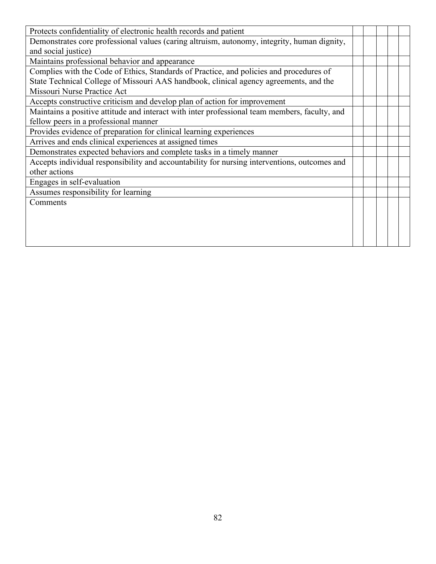| Protects confidentiality of electronic health records and patient                             |  |  |  |
|-----------------------------------------------------------------------------------------------|--|--|--|
| Demonstrates core professional values (caring altruism, autonomy, integrity, human dignity,   |  |  |  |
| and social justice)                                                                           |  |  |  |
| Maintains professional behavior and appearance                                                |  |  |  |
| Complies with the Code of Ethics, Standards of Practice, and policies and procedures of       |  |  |  |
| State Technical College of Missouri AAS handbook, clinical agency agreements, and the         |  |  |  |
| Missouri Nurse Practice Act                                                                   |  |  |  |
| Accepts constructive criticism and develop plan of action for improvement                     |  |  |  |
| Maintains a positive attitude and interact with inter professional team members, faculty, and |  |  |  |
| fellow peers in a professional manner                                                         |  |  |  |
| Provides evidence of preparation for clinical learning experiences                            |  |  |  |
| Arrives and ends clinical experiences at assigned times                                       |  |  |  |
| Demonstrates expected behaviors and complete tasks in a timely manner                         |  |  |  |
| Accepts individual responsibility and accountability for nursing interventions, outcomes and  |  |  |  |
| other actions                                                                                 |  |  |  |
| Engages in self-evaluation                                                                    |  |  |  |
| Assumes responsibility for learning                                                           |  |  |  |
| Comments                                                                                      |  |  |  |
|                                                                                               |  |  |  |
|                                                                                               |  |  |  |
|                                                                                               |  |  |  |
|                                                                                               |  |  |  |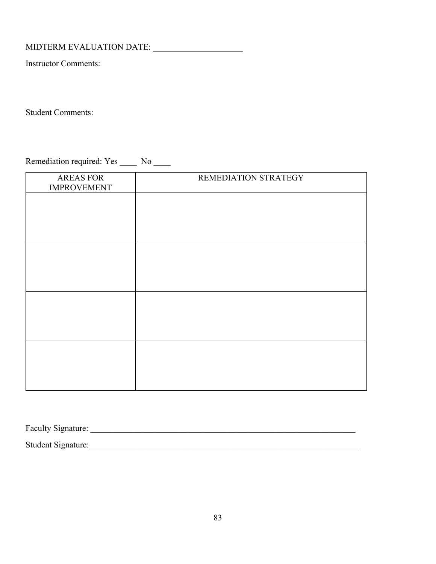MIDTERM EVALUATION DATE: \_\_\_\_\_\_\_\_\_\_\_\_\_\_\_\_\_\_\_\_\_

Instructor Comments:

Student Comments:

Remediation required: Yes \_\_\_\_\_ No \_\_\_\_

| <b>AREAS FOR</b><br><b>IMPROVEMENT</b> | REMEDIATION STRATEGY |
|----------------------------------------|----------------------|
|                                        |                      |
|                                        |                      |
|                                        |                      |
|                                        |                      |
|                                        |                      |
|                                        |                      |
|                                        |                      |
|                                        |                      |

Faculty Signature: \_\_\_\_\_\_\_\_\_\_\_\_\_\_\_\_\_\_\_\_\_\_\_\_\_\_\_\_\_\_\_\_\_\_\_\_\_\_\_\_\_\_\_\_\_\_\_\_\_\_\_\_\_\_\_\_\_\_\_\_\_\_ Student Signature:\_\_\_\_\_\_\_\_\_\_\_\_\_\_\_\_\_\_\_\_\_\_\_\_\_\_\_\_\_\_\_\_\_\_\_\_\_\_\_\_\_\_\_\_\_\_\_\_\_\_\_\_\_\_\_\_\_\_\_\_\_\_\_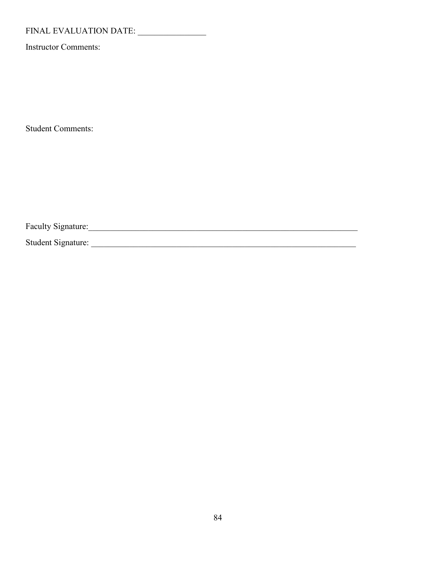# FINAL EVALUATION DATE: \_\_\_\_\_\_\_\_\_\_\_\_\_\_\_\_

Instructor Comments:

Student Comments:

Faculty Signature:

Student Signature: